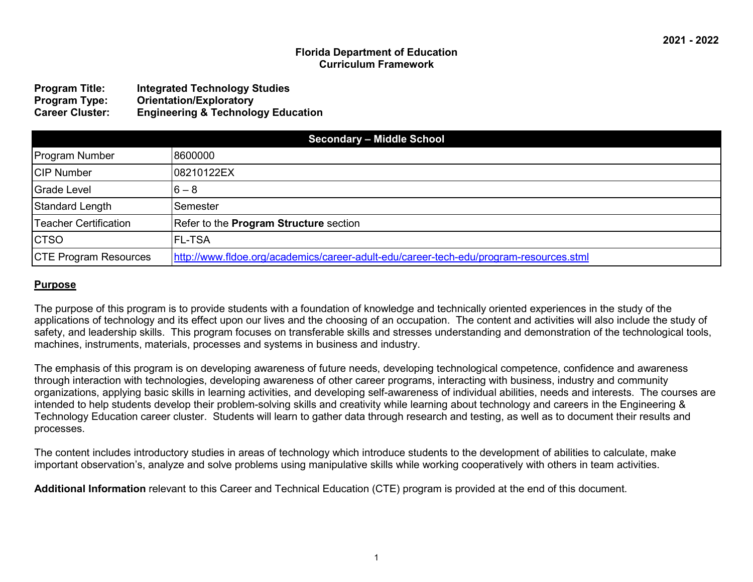#### **Florida Department of Education Curriculum Framework**

| <b>Program Title:</b>  | <b>Integrated Technology Studies</b>          |
|------------------------|-----------------------------------------------|
| <b>Program Type:</b>   | <b>Orientation/Exploratory</b>                |
| <b>Career Cluster:</b> | <b>Engineering &amp; Technology Education</b> |

| <b>Secondary - Middle School</b> |                                                                                        |
|----------------------------------|----------------------------------------------------------------------------------------|
| <b>Program Number</b>            | 8600000                                                                                |
| <b>CIP Number</b>                | 08210122EX                                                                             |
| <b>Grade Level</b>               | $6 - 8$                                                                                |
| Standard Length                  | Semester                                                                               |
| <b>Teacher Certification</b>     | Refer to the <b>Program Structure</b> section                                          |
| <b>CTSO</b>                      | <b>FL-TSA</b>                                                                          |
| <b>CTE Program Resources</b>     | http://www.fldoe.org/academics/career-adult-edu/career-tech-edu/program-resources.stml |

#### **Purpose**

The purpose of this program is to provide students with a foundation of knowledge and technically oriented experiences in the study of the applications of technology and its effect upon our lives and the choosing of an occupation. The content and activities will also include the study of safety, and leadership skills. This program focuses on transferable skills and stresses understanding and demonstration of the technological tools, machines, instruments, materials, processes and systems in business and industry.

The emphasis of this program is on developing awareness of future needs, developing technological competence, confidence and awareness through interaction with technologies, developing awareness of other career programs, interacting with business, industry and community organizations, applying basic skills in learning activities, and developing self-awareness of individual abilities, needs and interests. The courses are intended to help students develop their problem-solving skills and creativity while learning about technology and careers in the Engineering & Technology Education career cluster. Students will learn to gather data through research and testing, as well as to document their results and processes.

The content includes introductory studies in areas of technology which introduce students to the development of abilities to calculate, make important observation's, analyze and solve problems using manipulative skills while working cooperatively with others in team activities.

**Additional Information** relevant to this Career and Technical Education (CTE) program is provided at the end of this document.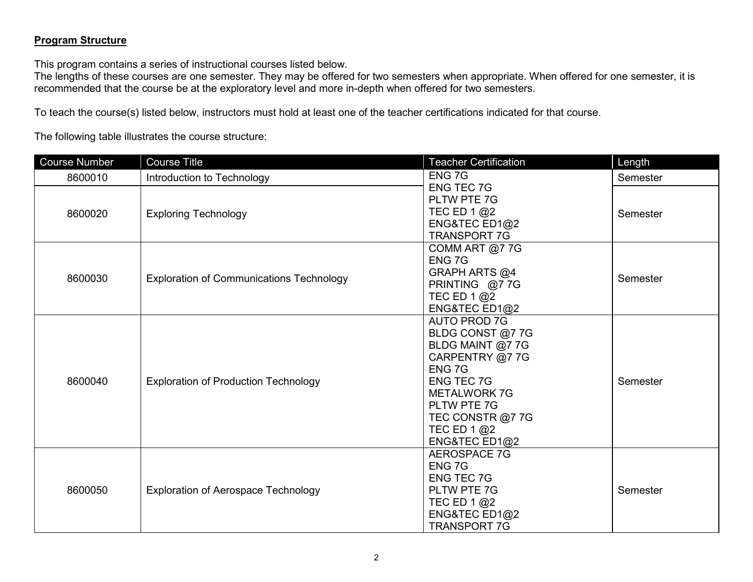# **Program Structure**

This program contains a series of instructional courses listed below.

The lengths of these courses are one semester. They may be offered for two semesters when appropriate. When offered for one semester, it is recommended that the course be at the exploratory level and more in-depth when offered for two semesters.

To teach the course(s) listed below, instructors must hold at least one of the teacher certifications indicated for that course.

The following table illustrates the course structure:

| <b>Course Number</b> | <b>Course Title</b>                             | <b>Teacher Certification</b>                                                                                                                                                                       | Length   |
|----------------------|-------------------------------------------------|----------------------------------------------------------------------------------------------------------------------------------------------------------------------------------------------------|----------|
| 8600010              | Introduction to Technology                      | ENG 7G                                                                                                                                                                                             | Semester |
| 8600020              | <b>Exploring Technology</b>                     | <b>ENG TEC 7G</b><br>PLTW PTE 7G<br>TEC ED 1 $@2$<br>ENG&TEC ED1@2<br><b>TRANSPORT 7G</b>                                                                                                          | Semester |
| 8600030              | <b>Exploration of Communications Technology</b> | COMM ART @7 7G<br>ENG 7G<br>GRAPH ARTS @4<br>PRINTING @77G<br>TEC ED 1 @2<br>ENG&TEC ED1@2                                                                                                         | Semester |
| 8600040              | <b>Exploration of Production Technology</b>     | AUTO PROD 7G<br>BLDG CONST @7 7G<br>BLDG MAINT @7 7G<br>CARPENTRY @7 7G<br>ENG 7G<br><b>ENG TEC 7G</b><br><b>METALWORK 7G</b><br>PLTW PTE 7G<br>TEC CONSTR @7 7G<br>TEC ED 1 $@2$<br>ENG&TEC ED1@2 | Semester |
| 8600050              | <b>Exploration of Aerospace Technology</b>      | <b>AEROSPACE 7G</b><br>ENG 7G<br><b>ENG TEC 7G</b><br>PLTW PTE 7G<br>TEC ED 1 $@2$<br>ENG&TEC ED1@2<br><b>TRANSPORT 7G</b>                                                                         | Semester |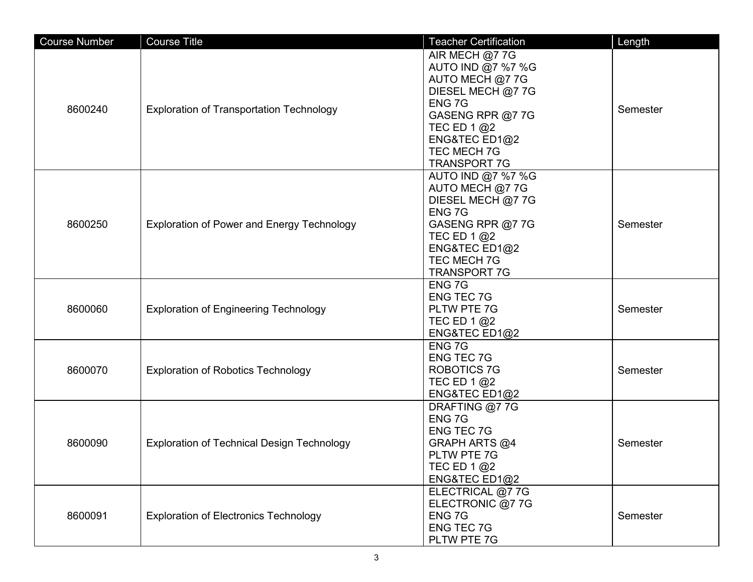| <b>Course Number</b> | <b>Course Title</b>                               | <b>Teacher Certification</b>                                                                                                                                                    | Length   |
|----------------------|---------------------------------------------------|---------------------------------------------------------------------------------------------------------------------------------------------------------------------------------|----------|
| 8600240              | <b>Exploration of Transportation Technology</b>   | AIR MECH @7 7G<br>AUTO IND @7 %7 %G<br>AUTO MECH @7 7G<br>DIESEL MECH @7 7G<br>ENG 7G<br>GASENG RPR @7 7G<br>TEC ED 1 @2<br>ENG&TEC ED1@2<br>TEC MECH 7G<br><b>TRANSPORT 7G</b> | Semester |
| 8600250              | <b>Exploration of Power and Energy Technology</b> | AUTO IND @7 %7 %G<br>AUTO MECH @7 7G<br>DIESEL MECH @7 7G<br>ENG 7G<br>GASENG RPR @7 7G<br>TEC ED 1 @2<br>ENG&TEC ED1@2<br><b>TEC MECH 7G</b><br><b>TRANSPORT 7G</b>            | Semester |
| 8600060              | <b>Exploration of Engineering Technology</b>      | ENG 7G<br><b>ENG TEC 7G</b><br>PLTW PTE 7G<br>TEC ED 1 @2<br>ENG&TEC ED1@2                                                                                                      | Semester |
| 8600070              | <b>Exploration of Robotics Technology</b>         | ENG 7G<br><b>ENG TEC 7G</b><br><b>ROBOTICS 7G</b><br>TEC ED 1 @2<br>ENG&TEC ED1@2                                                                                               | Semester |
| 8600090              | <b>Exploration of Technical Design Technology</b> | DRAFTING @7 7G<br>ENG <sub>7G</sub><br><b>ENG TEC 7G</b><br>GRAPH ARTS @4<br>PLTW PTE 7G<br>TEC ED 1 @2<br>ENG&TEC ED1@2                                                        | Semester |
| 8600091              | <b>Exploration of Electronics Technology</b>      | ELECTRICAL @7 7G<br>ELECTRONIC @7 7G<br>ENG 7G<br><b>ENG TEC 7G</b><br>PLTW PTE 7G                                                                                              | Semester |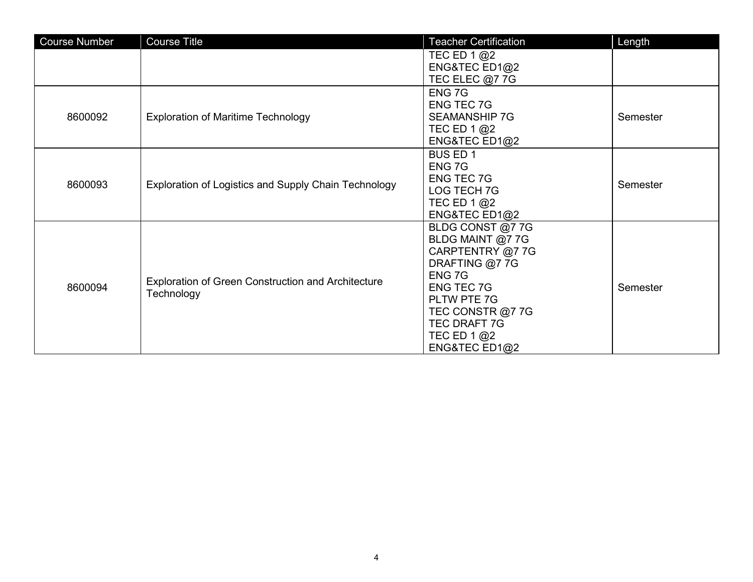| <b>Course Number</b> | <b>Course Title</b>                                                     | <b>Teacher Certification</b>                                                                                                                                                                           | Length   |
|----------------------|-------------------------------------------------------------------------|--------------------------------------------------------------------------------------------------------------------------------------------------------------------------------------------------------|----------|
|                      |                                                                         | TEC ED 1 @2<br>ENG&TEC $ED1@2$<br>TEC ELEC @7 7G                                                                                                                                                       |          |
| 8600092              | <b>Exploration of Maritime Technology</b>                               | ENG 7G<br><b>ENG TEC 7G</b><br><b>SEAMANSHIP 7G</b><br>TEC ED 1 $@2$<br>ENG&TEC $ED1@2$                                                                                                                | Semester |
| 8600093              | Exploration of Logistics and Supply Chain Technology                    | <b>BUS ED 1</b><br>ENG 7G<br><b>ENG TEC 7G</b><br>LOG TECH 7G<br>TEC ED 1 @2<br>ENG&TEC ED1@2                                                                                                          | Semester |
| 8600094              | <b>Exploration of Green Construction and Architecture</b><br>Technology | BLDG CONST @7 7G<br>BLDG MAINT @7 7G<br>CARPTENTRY @7 7G<br>DRAFTING @7 7G<br>ENG 7G<br><b>ENG TEC 7G</b><br>PLTW PTE 7G<br>TEC CONSTR @7 7G<br><b>TEC DRAFT 7G</b><br>TEC ED 1 @2<br>ENG&TEC ED1 $@2$ | Semester |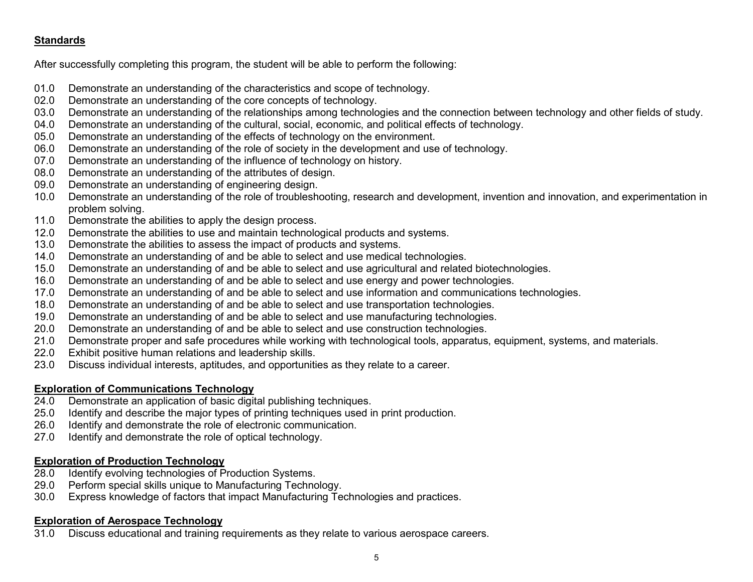# **Standards**

After successfully completing this program, the student will be able to perform the following:

- 01.0 Demonstrate an understanding of the characteristics and scope of technology.
- 02.0 Demonstrate an understanding of the core concepts of technology.<br>03.0 Demonstrate an understanding of the relationships among technolo
- 03.0 Demonstrate an understanding of the relationships among technologies and the connection between technology and other fields of study.<br>04.0 Demonstrate an understanding of the cultural, social, economic, and political
- Demonstrate an understanding of the cultural, social, economic, and political effects of technology.
- 05.0 Demonstrate an understanding of the effects of technology on the environment.
- 06.0 Demonstrate an understanding of the role of society in the development and use of technology.
- 07.0 Demonstrate an understanding of the influence of technology on history.
- 08.0 Demonstrate an understanding of the attributes of design.
- 09.0 Demonstrate an understanding of engineering design.
- 10.0 Demonstrate an understanding of the role of troubleshooting, research and development, invention and innovation, and experimentation in problem solving.
- 11.0 Demonstrate the abilities to apply the design process.
- 12.0 Demonstrate the abilities to use and maintain technological products and systems.
- 13.0 Demonstrate the abilities to assess the impact of products and systems.
- 14.0 Demonstrate an understanding of and be able to select and use medical technologies.
- 15.0 Demonstrate an understanding of and be able to select and use agricultural and related biotechnologies.
- 16.0 Demonstrate an understanding of and be able to select and use energy and power technologies.
- 17.0 Demonstrate an understanding of and be able to select and use information and communications technologies.
- 18.0 Demonstrate an understanding of and be able to select and use transportation technologies.
- 19.0 Demonstrate an understanding of and be able to select and use manufacturing technologies.
- 20.0 Demonstrate an understanding of and be able to select and use construction technologies.
- 21.0 Demonstrate proper and safe procedures while working with technological tools, apparatus, equipment, systems, and materials.
- 22.0 Exhibit positive human relations and leadership skills.<br>23.0 Discuss individual interests, aptitudes, and opportuniti
- Discuss individual interests, aptitudes, and opportunities as they relate to a career.

# **Exploration of Communications Technology**

- 24.0 Demonstrate an application of basic digital publishing techniques.
- 25.0 Identify and describe the major types of printing techniques used in print production.
- 26.0 Identify and demonstrate the role of electronic communication.
- 27.0 Identify and demonstrate the role of optical technology.

# **Exploration of Production Technology**

- 28.0 Identify evolving technologies of Production Systems.
- 29.0 Perform special skills unique to Manufacturing Technology.
- 30.0 Express knowledge of factors that impact Manufacturing Technologies and practices.

# **Exploration of Aerospace Technology**

31.0 Discuss educational and training requirements as they relate to various aerospace careers.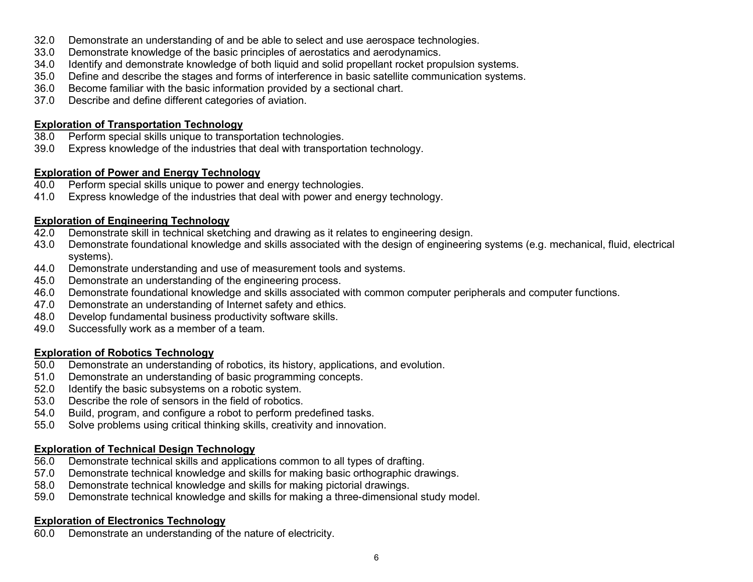- 32.0 Demonstrate an understanding of and be able to select and use aerospace technologies.
- 33.0 Demonstrate knowledge of the basic principles of aerostatics and aerodynamics.
- 34.0 Identify and demonstrate knowledge of both liquid and solid propellant rocket propulsion systems.
- 35.0 Define and describe the stages and forms of interference in basic satellite communication systems.
- 36.0 Become familiar with the basic information provided by a sectional chart.<br>37.0 Describe and define different categories of aviation.
- Describe and define different categories of aviation.

### **Exploration of Transportation Technology**

- 38.0 Perform special skills unique to transportation technologies.
- 39.0 Express knowledge of the industries that deal with transportation technology.

### **Exploration of Power and Energy Technology**

- 40.0 Perform special skills unique to power and energy technologies.
- 41.0 Express knowledge of the industries that deal with power and energy technology.

# **Exploration of Engineering Technology**

- 42.0 Demonstrate skill in technical sketching and drawing as it relates to engineering design.
- 43.0 Demonstrate foundational knowledge and skills associated with the design of engineering systems (e.g. mechanical, fluid, electrical systems).
- 44.0 Demonstrate understanding and use of measurement tools and systems.
- 45.0 Demonstrate an understanding of the engineering process.
- 46.0 Demonstrate foundational knowledge and skills associated with common computer peripherals and computer functions.
- 47.0 Demonstrate an understanding of Internet safety and ethics.
- 48.0 Develop fundamental business productivity software skills.
- 49.0 Successfully work as a member of a team.

### **Exploration of Robotics Technology**

- 50.0 Demonstrate an understanding of robotics, its history, applications, and evolution.
- 51.0 Demonstrate an understanding of basic programming concepts.
- 52.0 Identify the basic subsystems on a robotic system.
- 53.0 Describe the role of sensors in the field of robotics.
- 54.0 Build, program, and configure a robot to perform predefined tasks.
- 55.0 Solve problems using critical thinking skills, creativity and innovation.

# **Exploration of Technical Design Technology**

- 56.0 Demonstrate technical skills and applications common to all types of drafting.
- 57.0 Demonstrate technical knowledge and skills for making basic orthographic drawings.<br>58.0 Demonstrate technical knowledge and skills for making pictorial drawings.
- Demonstrate technical knowledge and skills for making pictorial drawings.
- 59.0 Demonstrate technical knowledge and skills for making a three-dimensional study model.

# **Exploration of Electronics Technology**

60.0 Demonstrate an understanding of the nature of electricity.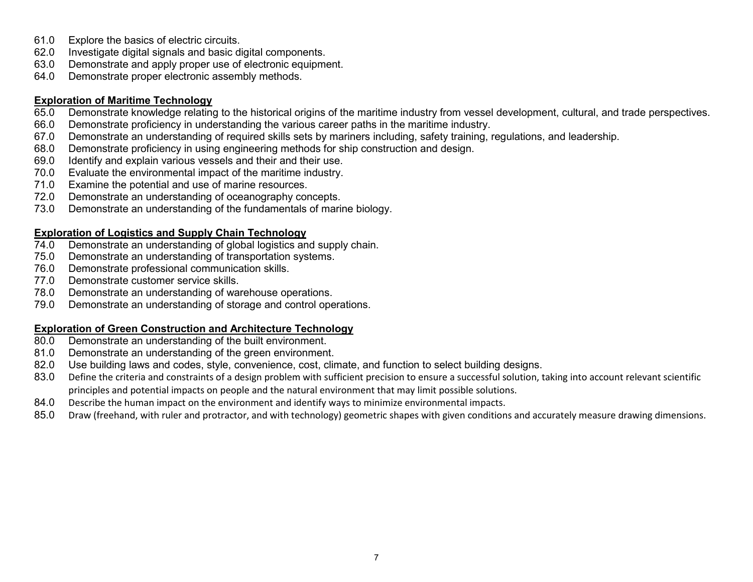- 61.0 Explore the basics of electric circuits.
- 62.0 Investigate digital signals and basic digital components.
- 63.0 Demonstrate and apply proper use of electronic equipment.
- 64.0 Demonstrate proper electronic assembly methods.

### **Exploration of Maritime Technology**

- 65.0 Demonstrate knowledge relating to the historical origins of the maritime industry from vessel development, cultural, and trade perspectives.
- 66.0 Demonstrate proficiency in understanding the various career paths in the maritime industry.
- 67.0 Demonstrate an understanding of required skills sets by mariners including, safety training, regulations, and leadership.<br>68.0 Demonstrate proficiency in using engineering methods for ship construction and design.
- Demonstrate proficiency in using engineering methods for ship construction and design.
- 69.0 Identify and explain various vessels and their and their use.
- 70.0 Evaluate the environmental impact of the maritime industry.
- 71.0 Examine the potential and use of marine resources.
- 72.0 Demonstrate an understanding of oceanography concepts.
- 73.0 Demonstrate an understanding of the fundamentals of marine biology.

### **Exploration of Logistics and Supply Chain Technology**

- 74.0 Demonstrate an understanding of global logistics and supply chain.
- 75.0 Demonstrate an understanding of transportation systems.
- 76.0 Demonstrate professional communication skills.
- 77.0 Demonstrate customer service skills.
- 78.0 Demonstrate an understanding of warehouse operations.
- 79.0 Demonstrate an understanding of storage and control operations.

# **Exploration of Green Construction and Architecture Technology**

- 80.0 Demonstrate an understanding of the built environment.
- 81.0 Demonstrate an understanding of the green environment.
- 82.0 Use building laws and codes, style, convenience, cost, climate, and function to select building designs.
- 83.0 Define the criteria and constraints of a design problem with sufficient precision to ensure a successful solution, taking into account relevant scientific principles and potential impacts on people and the natural environment that may limit possible solutions.
- 84.0 Describe the human impact on the environment and identify ways to minimize environmental impacts.
- 85.0 Draw (freehand, with ruler and protractor, and with technology) geometric shapes with given conditions and accurately measure drawing dimensions.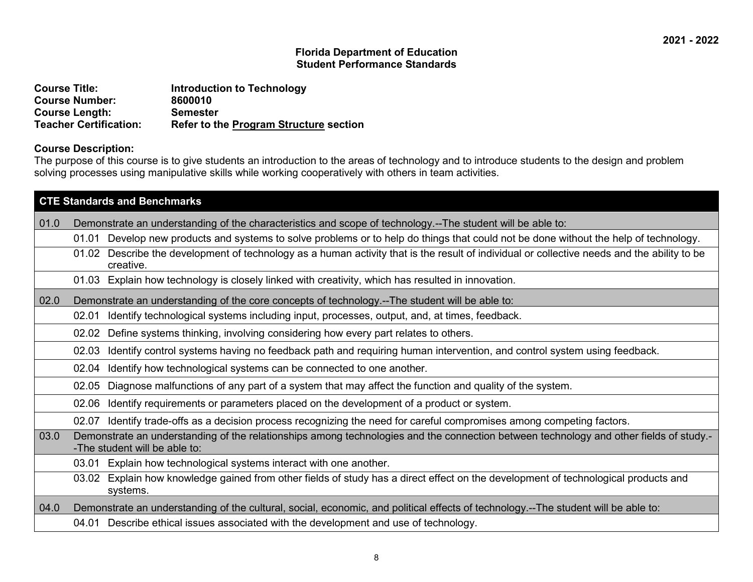| <b>Course Title:</b>          | <b>Introduction to Technology</b>             |
|-------------------------------|-----------------------------------------------|
| <b>Course Number:</b>         | 8600010                                       |
| <b>Course Length:</b>         | <b>Semester</b>                               |
| <b>Teacher Certification:</b> | <b>Refer to the Program Structure section</b> |

### **Course Description:**

The purpose of this course is to give students an introduction to the areas of technology and to introduce students to the design and problem solving processes using manipulative skills while working cooperatively with others in team activities.

|      | <b>CTE Standards and Benchmarks</b>                                                                                                                                     |  |  |
|------|-------------------------------------------------------------------------------------------------------------------------------------------------------------------------|--|--|
| 01.0 | Demonstrate an understanding of the characteristics and scope of technology.--The student will be able to:                                                              |  |  |
|      | Develop new products and systems to solve problems or to help do things that could not be done without the help of technology.<br>01.01                                 |  |  |
|      | 01.02 Describe the development of technology as a human activity that is the result of individual or collective needs and the ability to be<br>creative.                |  |  |
|      | 01.03 Explain how technology is closely linked with creativity, which has resulted in innovation.                                                                       |  |  |
| 02.0 | Demonstrate an understanding of the core concepts of technology.--The student will be able to:                                                                          |  |  |
|      | Identify technological systems including input, processes, output, and, at times, feedback.<br>02.01                                                                    |  |  |
|      | Define systems thinking, involving considering how every part relates to others.<br>02.02                                                                               |  |  |
|      | Identify control systems having no feedback path and requiring human intervention, and control system using feedback.<br>02.03                                          |  |  |
|      | Identify how technological systems can be connected to one another.<br>02.04                                                                                            |  |  |
|      | Diagnose malfunctions of any part of a system that may affect the function and quality of the system.<br>02.05                                                          |  |  |
|      | Identify requirements or parameters placed on the development of a product or system.<br>02.06                                                                          |  |  |
|      | 02.07 Identify trade-offs as a decision process recognizing the need for careful compromises among competing factors.                                                   |  |  |
| 03.0 | Demonstrate an understanding of the relationships among technologies and the connection between technology and other fields of study.-<br>-The student will be able to: |  |  |
|      | Explain how technological systems interact with one another.<br>03.01                                                                                                   |  |  |
|      | Explain how knowledge gained from other fields of study has a direct effect on the development of technological products and<br>03.02<br>systems.                       |  |  |
| 04.0 | Demonstrate an understanding of the cultural, social, economic, and political effects of technology.--The student will be able to:                                      |  |  |
|      | 04.01 Describe ethical issues associated with the development and use of technology.                                                                                    |  |  |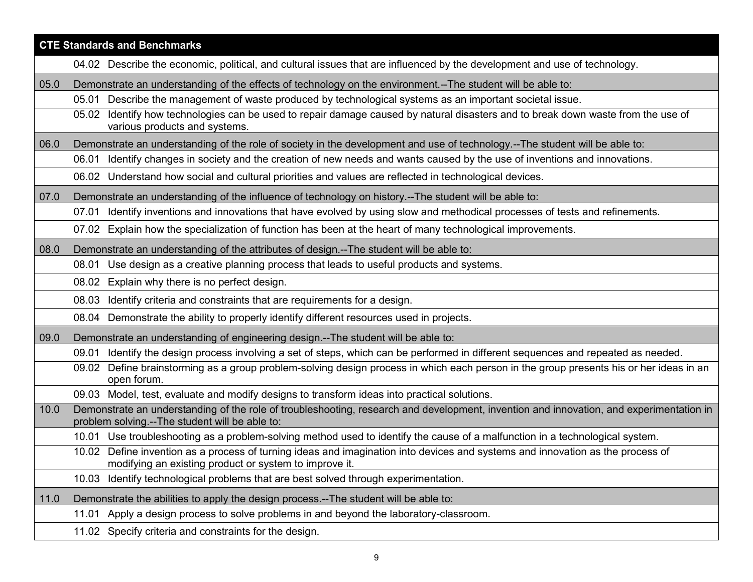|      | <b>CTE Standards and Benchmarks</b>                                                                                                                                                       |
|------|-------------------------------------------------------------------------------------------------------------------------------------------------------------------------------------------|
|      | 04.02 Describe the economic, political, and cultural issues that are influenced by the development and use of technology.                                                                 |
| 05.0 | Demonstrate an understanding of the effects of technology on the environment.--The student will be able to:                                                                               |
|      | 05.01 Describe the management of waste produced by technological systems as an important societal issue.                                                                                  |
|      | 05.02 Identify how technologies can be used to repair damage caused by natural disasters and to break down waste from the use of<br>various products and systems.                         |
| 06.0 | Demonstrate an understanding of the role of society in the development and use of technology.--The student will be able to:                                                               |
|      | 06.01 Identify changes in society and the creation of new needs and wants caused by the use of inventions and innovations.                                                                |
|      | 06.02 Understand how social and cultural priorities and values are reflected in technological devices.                                                                                    |
| 07.0 | Demonstrate an understanding of the influence of technology on history.--The student will be able to:                                                                                     |
|      | 07.01 Identify inventions and innovations that have evolved by using slow and methodical processes of tests and refinements.                                                              |
|      | 07.02 Explain how the specialization of function has been at the heart of many technological improvements.                                                                                |
| 08.0 | Demonstrate an understanding of the attributes of design.--The student will be able to:                                                                                                   |
|      | Use design as a creative planning process that leads to useful products and systems.<br>08.01                                                                                             |
|      | 08.02 Explain why there is no perfect design.                                                                                                                                             |
|      | Identify criteria and constraints that are requirements for a design.<br>08.03                                                                                                            |
|      | 08.04 Demonstrate the ability to properly identify different resources used in projects.                                                                                                  |
| 09.0 | Demonstrate an understanding of engineering design.--The student will be able to:                                                                                                         |
|      | 09.01 Identify the design process involving a set of steps, which can be performed in different sequences and repeated as needed.                                                         |
|      | Define brainstorming as a group problem-solving design process in which each person in the group presents his or her ideas in an<br>09.02<br>open forum.                                  |
|      | 09.03 Model, test, evaluate and modify designs to transform ideas into practical solutions.                                                                                               |
| 10.0 | Demonstrate an understanding of the role of troubleshooting, research and development, invention and innovation, and experimentation in<br>problem solving.--The student will be able to: |
|      | 10.01 Use troubleshooting as a problem-solving method used to identify the cause of a malfunction in a technological system.                                                              |
|      | 10.02 Define invention as a process of turning ideas and imagination into devices and systems and innovation as the process of<br>modifying an existing product or system to improve it.  |
|      | Identify technological problems that are best solved through experimentation.<br>10.03                                                                                                    |
| 11.0 | Demonstrate the abilities to apply the design process.--The student will be able to:                                                                                                      |
|      | 11.01 Apply a design process to solve problems in and beyond the laboratory-classroom.                                                                                                    |
|      | 11.02 Specify criteria and constraints for the design.                                                                                                                                    |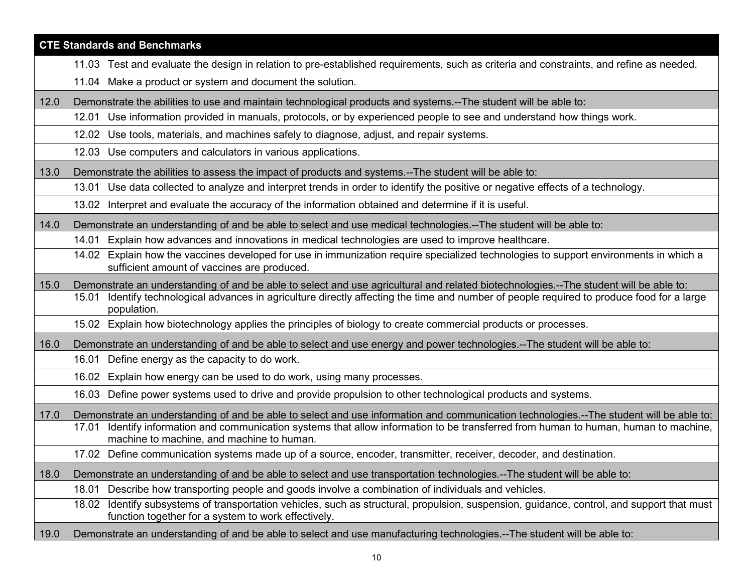|      | <b>CTE Standards and Benchmarks</b>                                                                                                                                                                  |
|------|------------------------------------------------------------------------------------------------------------------------------------------------------------------------------------------------------|
|      | 11.03 Test and evaluate the design in relation to pre-established requirements, such as criteria and constraints, and refine as needed.                                                              |
|      | 11.04 Make a product or system and document the solution.                                                                                                                                            |
| 12.0 | Demonstrate the abilities to use and maintain technological products and systems.--The student will be able to:                                                                                      |
|      | 12.01 Use information provided in manuals, protocols, or by experienced people to see and understand how things work.                                                                                |
|      | 12.02 Use tools, materials, and machines safely to diagnose, adjust, and repair systems.                                                                                                             |
|      | 12.03 Use computers and calculators in various applications.                                                                                                                                         |
| 13.0 | Demonstrate the abilities to assess the impact of products and systems.--The student will be able to:                                                                                                |
|      | Use data collected to analyze and interpret trends in order to identify the positive or negative effects of a technology.<br>13.01                                                                   |
|      | 13.02 Interpret and evaluate the accuracy of the information obtained and determine if it is useful.                                                                                                 |
| 14.0 | Demonstrate an understanding of and be able to select and use medical technologies.--The student will be able to:                                                                                    |
|      | 14.01 Explain how advances and innovations in medical technologies are used to improve healthcare.                                                                                                   |
|      | 14.02 Explain how the vaccines developed for use in immunization require specialized technologies to support environments in which a<br>sufficient amount of vaccines are produced.                  |
| 15.0 | Demonstrate an understanding of and be able to select and use agricultural and related biotechnologies.--The student will be able to:                                                                |
|      | Identify technological advances in agriculture directly affecting the time and number of people required to produce food for a large<br>15.01<br>population.                                         |
|      | 15.02 Explain how biotechnology applies the principles of biology to create commercial products or processes.                                                                                        |
| 16.0 | Demonstrate an understanding of and be able to select and use energy and power technologies.--The student will be able to:                                                                           |
|      | 16.01 Define energy as the capacity to do work.                                                                                                                                                      |
|      | 16.02 Explain how energy can be used to do work, using many processes.                                                                                                                               |
|      | 16.03 Define power systems used to drive and provide propulsion to other technological products and systems.                                                                                         |
| 17.0 | Demonstrate an understanding of and be able to select and use information and communication technologies.--The student will be able to:                                                              |
|      | Identify information and communication systems that allow information to be transferred from human to human, human to machine,<br>17.01<br>machine to machine, and machine to human.                 |
|      | 17.02 Define communication systems made up of a source, encoder, transmitter, receiver, decoder, and destination                                                                                     |
| 18.0 | Demonstrate an understanding of and be able to select and use transportation technologies.--The student will be able to:                                                                             |
|      | Describe how transporting people and goods involve a combination of individuals and vehicles.<br>18.01                                                                                               |
|      | Identify subsystems of transportation vehicles, such as structural, propulsion, suspension, guidance, control, and support that must<br>18.02<br>function together for a system to work effectively. |
| 19.0 | Demonstrate an understanding of and be able to select and use manufacturing technologies.--The student will be able to:                                                                              |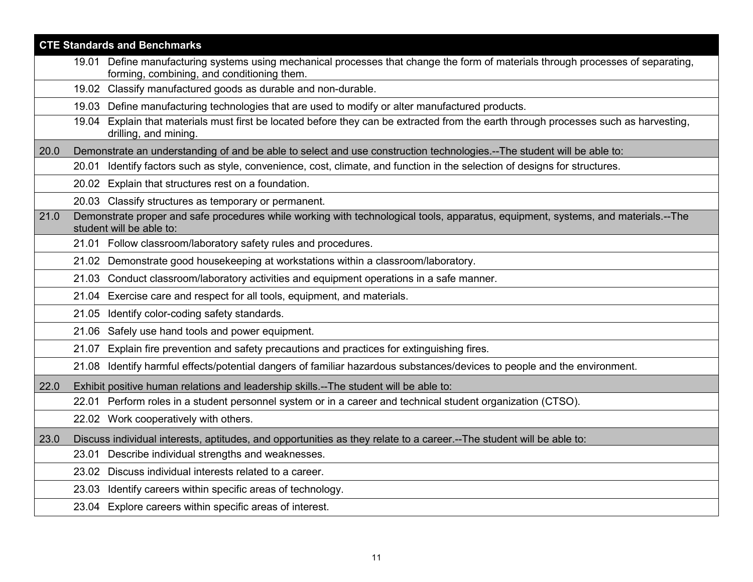|      | <b>CTE Standards and Benchmarks</b>                                                                                                                                            |
|------|--------------------------------------------------------------------------------------------------------------------------------------------------------------------------------|
|      | 19.01 Define manufacturing systems using mechanical processes that change the form of materials through processes of separating,<br>forming, combining, and conditioning them. |
|      | 19.02 Classify manufactured goods as durable and non-durable.                                                                                                                  |
|      | 19.03 Define manufacturing technologies that are used to modify or alter manufactured products.                                                                                |
|      | 19.04 Explain that materials must first be located before they can be extracted from the earth through processes such as harvesting,<br>drilling, and mining.                  |
| 20.0 | Demonstrate an understanding of and be able to select and use construction technologies.--The student will be able to:                                                         |
|      | 20.01 Identify factors such as style, convenience, cost, climate, and function in the selection of designs for structures.                                                     |
|      | 20.02 Explain that structures rest on a foundation.                                                                                                                            |
|      | 20.03 Classify structures as temporary or permanent.                                                                                                                           |
| 21.0 | Demonstrate proper and safe procedures while working with technological tools, apparatus, equipment, systems, and materials.--The<br>student will be able to:                  |
|      | 21.01 Follow classroom/laboratory safety rules and procedures.                                                                                                                 |
|      | 21.02 Demonstrate good housekeeping at workstations within a classroom/laboratory.                                                                                             |
|      | 21.03 Conduct classroom/laboratory activities and equipment operations in a safe manner.                                                                                       |
|      | 21.04 Exercise care and respect for all tools, equipment, and materials.                                                                                                       |
|      | 21.05 Identify color-coding safety standards.                                                                                                                                  |
|      | 21.06 Safely use hand tools and power equipment.                                                                                                                               |
|      | Explain fire prevention and safety precautions and practices for extinguishing fires.<br>21.07                                                                                 |
|      | Identify harmful effects/potential dangers of familiar hazardous substances/devices to people and the environment.<br>21.08                                                    |
| 22.0 | Exhibit positive human relations and leadership skills.--The student will be able to:                                                                                          |
|      | 22.01 Perform roles in a student personnel system or in a career and technical student organization (CTSO).                                                                    |
|      | 22.02 Work cooperatively with others.                                                                                                                                          |
| 23.0 | Discuss individual interests, aptitudes, and opportunities as they relate to a career.--The student will be able to:                                                           |
|      | 23.01 Describe individual strengths and weaknesses.                                                                                                                            |
|      | 23.02 Discuss individual interests related to a career.                                                                                                                        |
|      | 23.03 Identify careers within specific areas of technology.                                                                                                                    |
|      | 23.04 Explore careers within specific areas of interest.                                                                                                                       |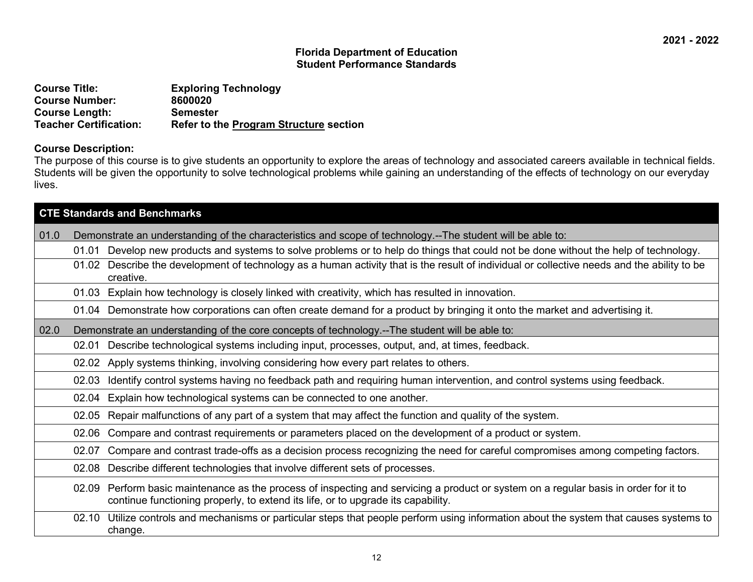| <b>Course Title:</b>          | <b>Exploring Technology</b>                   |
|-------------------------------|-----------------------------------------------|
| <b>Course Number:</b>         | 8600020                                       |
| <b>Course Length:</b>         | <b>Semester</b>                               |
| <b>Teacher Certification:</b> | <b>Refer to the Program Structure section</b> |

#### **Course Description:**

The purpose of this course is to give students an opportunity to explore the areas of technology and associated careers available in technical fields. Students will be given the opportunity to solve technological problems while gaining an understanding of the effects of technology on our everyday lives.

|      | <b>CTE Standards and Benchmarks</b> |                                                                                                                                                                                                                    |  |
|------|-------------------------------------|--------------------------------------------------------------------------------------------------------------------------------------------------------------------------------------------------------------------|--|
| 01.0 |                                     | Demonstrate an understanding of the characteristics and scope of technology.--The student will be able to:                                                                                                         |  |
|      | 01.01                               | Develop new products and systems to solve problems or to help do things that could not be done without the help of technology.                                                                                     |  |
|      | 01.02                               | Describe the development of technology as a human activity that is the result of individual or collective needs and the ability to be<br>creative.                                                                 |  |
|      |                                     | 01.03 Explain how technology is closely linked with creativity, which has resulted in innovation.                                                                                                                  |  |
|      |                                     | 01.04 Demonstrate how corporations can often create demand for a product by bringing it onto the market and advertising it.                                                                                        |  |
| 02.0 |                                     | Demonstrate an understanding of the core concepts of technology.--The student will be able to:                                                                                                                     |  |
|      | 02.01                               | Describe technological systems including input, processes, output, and, at times, feedback.                                                                                                                        |  |
|      |                                     | 02.02 Apply systems thinking, involving considering how every part relates to others.                                                                                                                              |  |
|      | 02.03                               | Identify control systems having no feedback path and requiring human intervention, and control systems using feedback.                                                                                             |  |
|      | 02.04                               | Explain how technological systems can be connected to one another.                                                                                                                                                 |  |
|      | 02.05                               | Repair malfunctions of any part of a system that may affect the function and quality of the system.                                                                                                                |  |
|      | 02.06                               | Compare and contrast requirements or parameters placed on the development of a product or system.                                                                                                                  |  |
|      | 02.07                               | Compare and contrast trade-offs as a decision process recognizing the need for careful compromises among competing factors.                                                                                        |  |
|      | 02.08                               | Describe different technologies that involve different sets of processes.                                                                                                                                          |  |
|      | 02.09                               | Perform basic maintenance as the process of inspecting and servicing a product or system on a regular basis in order for it to<br>continue functioning properly, to extend its life, or to upgrade its capability. |  |
|      | 02.10                               | Utilize controls and mechanisms or particular steps that people perform using information about the system that causes systems to<br>change.                                                                       |  |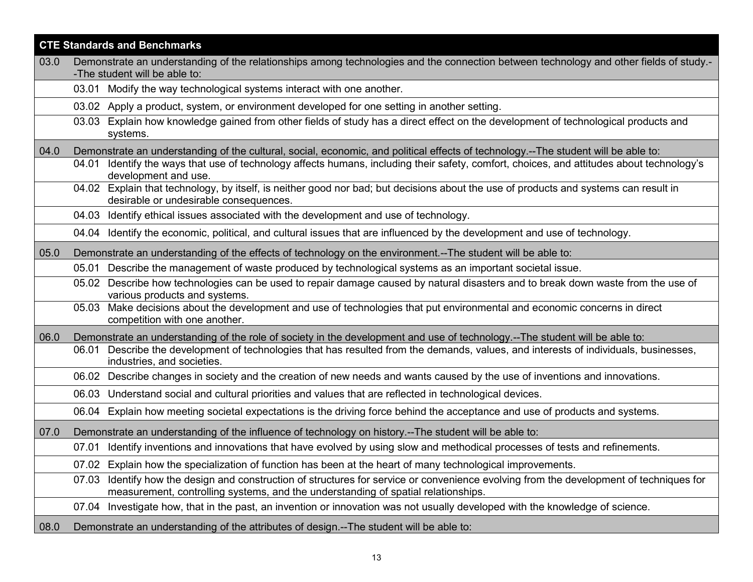|      | <b>CTE Standards and Benchmarks</b>                                                                                                                                                                                             |
|------|---------------------------------------------------------------------------------------------------------------------------------------------------------------------------------------------------------------------------------|
| 03.0 | Demonstrate an understanding of the relationships among technologies and the connection between technology and other fields of study.-                                                                                          |
|      | -The student will be able to:<br>03.01 Modify the way technological systems interact with one another.                                                                                                                          |
|      |                                                                                                                                                                                                                                 |
|      | 03.02 Apply a product, system, or environment developed for one setting in another setting.                                                                                                                                     |
|      | Explain how knowledge gained from other fields of study has a direct effect on the development of technological products and<br>03.03<br>systems.                                                                               |
| 04.0 | Demonstrate an understanding of the cultural, social, economic, and political effects of technology.--The student will be able to:                                                                                              |
|      | Identify the ways that use of technology affects humans, including their safety, comfort, choices, and attitudes about technology's<br>04.01<br>development and use.                                                            |
|      | 04.02 Explain that technology, by itself, is neither good nor bad; but decisions about the use of products and systems can result in<br>desirable or undesirable consequences.                                                  |
|      | 04.03 Identify ethical issues associated with the development and use of technology.                                                                                                                                            |
|      | 04.04 Identify the economic, political, and cultural issues that are influenced by the development and use of technology.                                                                                                       |
| 05.0 | Demonstrate an understanding of the effects of technology on the environment.--The student will be able to:                                                                                                                     |
|      | 05.01 Describe the management of waste produced by technological systems as an important societal issue.                                                                                                                        |
|      | 05.02 Describe how technologies can be used to repair damage caused by natural disasters and to break down waste from the use of<br>various products and systems.                                                               |
|      | 05.03 Make decisions about the development and use of technologies that put environmental and economic concerns in direct<br>competition with one another.                                                                      |
| 06.0 | Demonstrate an understanding of the role of society in the development and use of technology.--The student will be able to:                                                                                                     |
|      | Describe the development of technologies that has resulted from the demands, values, and interests of individuals, businesses,<br>06.01<br>industries, and societies.                                                           |
|      | Describe changes in society and the creation of new needs and wants caused by the use of inventions and innovations.<br>06.02                                                                                                   |
|      | 06.03 Understand social and cultural priorities and values that are reflected in technological devices.                                                                                                                         |
|      | Explain how meeting societal expectations is the driving force behind the acceptance and use of products and systems.<br>06.04                                                                                                  |
| 07.0 | Demonstrate an understanding of the influence of technology on history.--The student will be able to:                                                                                                                           |
|      | Identify inventions and innovations that have evolved by using slow and methodical processes of tests and refinements.<br>07.01                                                                                                 |
|      | 07.02 Explain how the specialization of function has been at the heart of many technological improvements.                                                                                                                      |
|      | Identify how the design and construction of structures for service or convenience evolving from the development of techniques for<br>07.03<br>measurement, controlling systems, and the understanding of spatial relationships. |
|      | Investigate how, that in the past, an invention or innovation was not usually developed with the knowledge of science.<br>07.04                                                                                                 |
| 08.0 | Demonstrate an understanding of the attributes of design.--The student will be able to:                                                                                                                                         |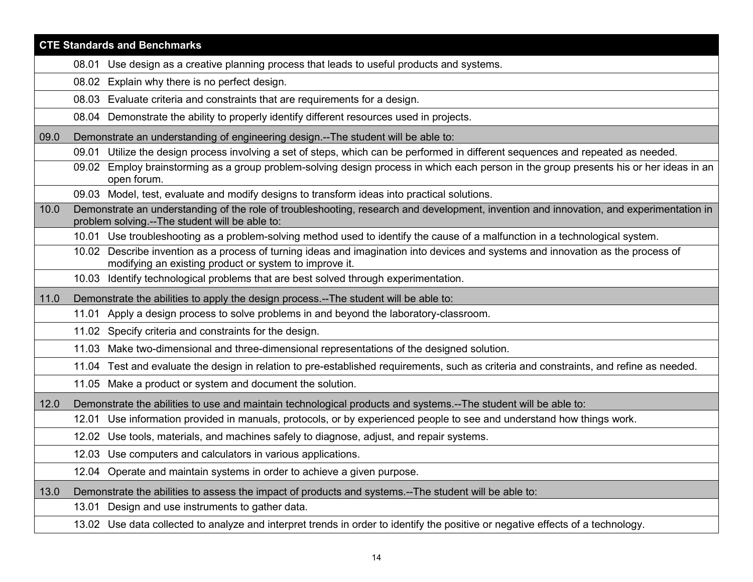|      | <b>CTE Standards and Benchmarks</b>                                                                                                                                                        |
|------|--------------------------------------------------------------------------------------------------------------------------------------------------------------------------------------------|
|      | 08.01 Use design as a creative planning process that leads to useful products and systems.                                                                                                 |
|      | 08.02 Explain why there is no perfect design.                                                                                                                                              |
|      | 08.03 Evaluate criteria and constraints that are requirements for a design.                                                                                                                |
|      | 08.04 Demonstrate the ability to properly identify different resources used in projects.                                                                                                   |
| 09.0 | Demonstrate an understanding of engineering design.--The student will be able to:                                                                                                          |
|      | 09.01 Utilize the design process involving a set of steps, which can be performed in different sequences and repeated as needed.                                                           |
|      | 09.02 Employ brainstorming as a group problem-solving design process in which each person in the group presents his or her ideas in an<br>open forum.                                      |
|      | 09.03 Model, test, evaluate and modify designs to transform ideas into practical solutions.                                                                                                |
| 10.0 | Demonstrate an understanding of the role of troubleshooting, research and development, invention and innovation, and experimentation in<br>problem solving.--The student will be able to:  |
|      | 10.01 Use troubleshooting as a problem-solving method used to identify the cause of a malfunction in a technological system.                                                               |
|      | 10.02 Describe invention as a process of turning ideas and imagination into devices and systems and innovation as the process of<br>modifying an existing product or system to improve it. |
|      | 10.03 Identify technological problems that are best solved through experimentation.                                                                                                        |
| 11.0 | Demonstrate the abilities to apply the design process.--The student will be able to:                                                                                                       |
|      |                                                                                                                                                                                            |
|      | 11.01 Apply a design process to solve problems in and beyond the laboratory-classroom.                                                                                                     |
|      | 11.02 Specify criteria and constraints for the design.                                                                                                                                     |
|      | 11.03 Make two-dimensional and three-dimensional representations of the designed solution.                                                                                                 |
|      | 11.04 Test and evaluate the design in relation to pre-established requirements, such as criteria and constraints, and refine as needed.                                                    |
|      | 11.05 Make a product or system and document the solution.                                                                                                                                  |
| 12.0 | Demonstrate the abilities to use and maintain technological products and systems.--The student will be able to:                                                                            |
|      | 12.01 Use information provided in manuals, protocols, or by experienced people to see and understand how things work.                                                                      |
|      | 12.02 Use tools, materials, and machines safely to diagnose, adjust, and repair systems.                                                                                                   |
|      | 12.03 Use computers and calculators in various applications.                                                                                                                               |
|      | 12.04 Operate and maintain systems in order to achieve a given purpose.                                                                                                                    |
| 13.0 | Demonstrate the abilities to assess the impact of products and systems.--The student will be able to:                                                                                      |
|      | Design and use instruments to gather data.<br>13.01                                                                                                                                        |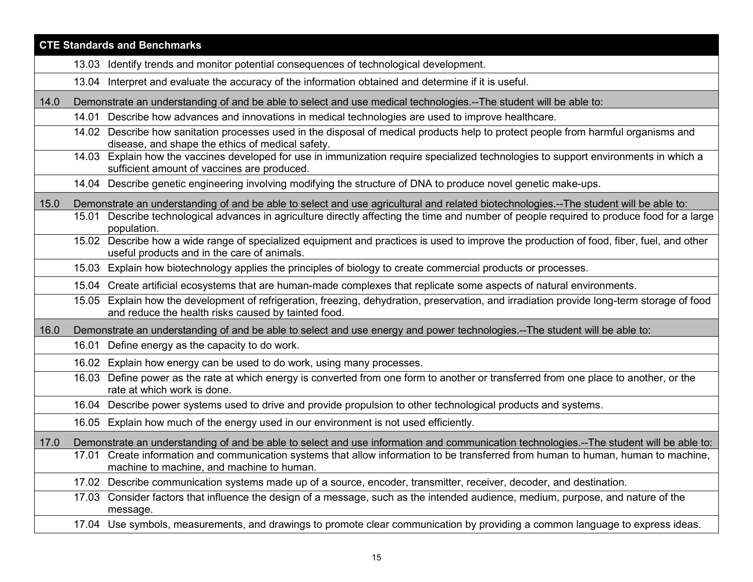|      | <b>CTE Standards and Benchmarks</b>                                                                                                                                                               |
|------|---------------------------------------------------------------------------------------------------------------------------------------------------------------------------------------------------|
|      | Identify trends and monitor potential consequences of technological development.<br>13.03                                                                                                         |
|      | Interpret and evaluate the accuracy of the information obtained and determine if it is useful.<br>13.04                                                                                           |
| 14.0 | Demonstrate an understanding of and be able to select and use medical technologies.--The student will be able to:                                                                                 |
|      | 14.01 Describe how advances and innovations in medical technologies are used to improve healthcare.                                                                                               |
|      | 14.02 Describe how sanitation processes used in the disposal of medical products help to protect people from harmful organisms and<br>disease, and shape the ethics of medical safety.            |
|      | 14.03 Explain how the vaccines developed for use in immunization require specialized technologies to support environments in which a<br>sufficient amount of vaccines are produced.               |
|      | 14.04 Describe genetic engineering involving modifying the structure of DNA to produce novel genetic make-ups.                                                                                    |
| 15.0 | Demonstrate an understanding of and be able to select and use agricultural and related biotechnologies.--The student will be able to:                                                             |
|      | 15.01 Describe technological advances in agriculture directly affecting the time and number of people required to produce food for a large<br>population.                                         |
|      | 15.02 Describe how a wide range of specialized equipment and practices is used to improve the production of food, fiber, fuel, and other<br>useful products and in the care of animals.           |
|      | 15.03 Explain how biotechnology applies the principles of biology to create commercial products or processes.                                                                                     |
|      | 15.04 Create artificial ecosystems that are human-made complexes that replicate some aspects of natural environments.                                                                             |
|      | 15.05 Explain how the development of refrigeration, freezing, dehydration, preservation, and irradiation provide long-term storage of food<br>and reduce the health risks caused by tainted food. |
| 16.0 | Demonstrate an understanding of and be able to select and use energy and power technologies.--The student will be able to:                                                                        |
|      | 16.01 Define energy as the capacity to do work.                                                                                                                                                   |
|      | 16.02 Explain how energy can be used to do work, using many processes.                                                                                                                            |
|      | Define power as the rate at which energy is converted from one form to another or transferred from one place to another, or the<br>16.03<br>rate at which work is done.                           |
|      | 16.04 Describe power systems used to drive and provide propulsion to other technological products and systems.                                                                                    |
|      | 16.05 Explain how much of the energy used in our environment is not used efficiently.                                                                                                             |
| 17.0 | Demonstrate an understanding of and be able to select and use information and communication technologies.--The student will be able to:                                                           |
|      | 17.01 Create information and communication systems that allow information to be transferred from human to human, human to machine,<br>machine to machine, and machine to human.                   |
|      | 17.02 Describe communication systems made up of a source, encoder, transmitter, receiver, decoder, and destination.                                                                               |
|      | 17.03 Consider factors that influence the design of a message, such as the intended audience, medium, purpose, and nature of the<br>message.                                                      |
|      | 17.04 Use symbols, measurements, and drawings to promote clear communication by providing a common language to express ideas.                                                                     |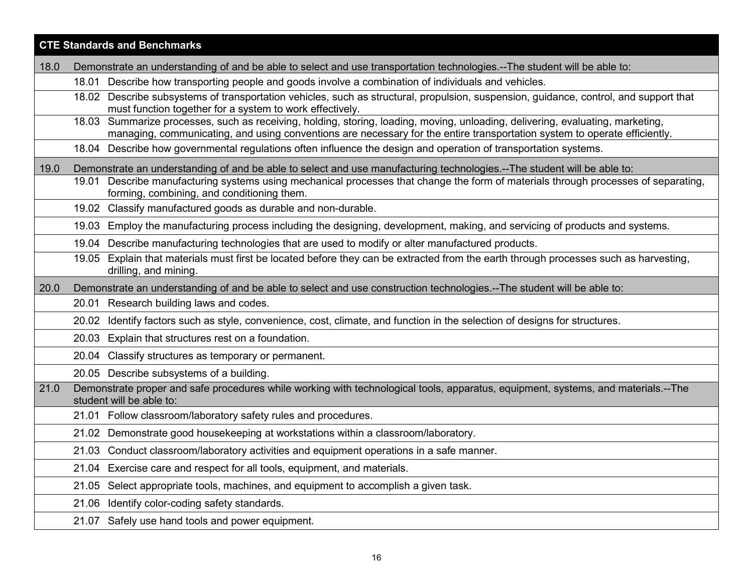|      | <b>CTE Standards and Benchmarks</b>                                                                                                                                                                                                                         |
|------|-------------------------------------------------------------------------------------------------------------------------------------------------------------------------------------------------------------------------------------------------------------|
| 18.0 | Demonstrate an understanding of and be able to select and use transportation technologies.--The student will be able to:                                                                                                                                    |
|      | 18.01 Describe how transporting people and goods involve a combination of individuals and vehicles.                                                                                                                                                         |
|      | Describe subsystems of transportation vehicles, such as structural, propulsion, suspension, guidance, control, and support that<br>18.02<br>must function together for a system to work effectively.                                                        |
|      | 18.03 Summarize processes, such as receiving, holding, storing, loading, moving, unloading, delivering, evaluating, marketing,<br>managing, communicating, and using conventions are necessary for the entire transportation system to operate efficiently. |
|      | 18.04 Describe how governmental regulations often influence the design and operation of transportation systems.                                                                                                                                             |
| 19.0 | Demonstrate an understanding of and be able to select and use manufacturing technologies.--The student will be able to:                                                                                                                                     |
|      | 19.01 Describe manufacturing systems using mechanical processes that change the form of materials through processes of separating,<br>forming, combining, and conditioning them.                                                                            |
|      | 19.02 Classify manufactured goods as durable and non-durable.                                                                                                                                                                                               |
|      | Employ the manufacturing process including the designing, development, making, and servicing of products and systems.<br>19.03                                                                                                                              |
|      | 19.04 Describe manufacturing technologies that are used to modify or alter manufactured products.                                                                                                                                                           |
|      | Explain that materials must first be located before they can be extracted from the earth through processes such as harvesting,<br>19.05<br>drilling, and mining.                                                                                            |
| 20.0 | Demonstrate an understanding of and be able to select and use construction technologies.--The student will be able to:                                                                                                                                      |
|      | 20.01 Research building laws and codes.                                                                                                                                                                                                                     |
|      | Identify factors such as style, convenience, cost, climate, and function in the selection of designs for structures.<br>20.02                                                                                                                               |
|      | Explain that structures rest on a foundation.<br>20.03                                                                                                                                                                                                      |
|      | Classify structures as temporary or permanent.<br>20.04                                                                                                                                                                                                     |
|      | 20.05 Describe subsystems of a building.                                                                                                                                                                                                                    |
| 21.0 | Demonstrate proper and safe procedures while working with technological tools, apparatus, equipment, systems, and materials.--The<br>student will be able to:                                                                                               |
|      | 21.01 Follow classroom/laboratory safety rules and procedures.                                                                                                                                                                                              |
|      | 21.02 Demonstrate good housekeeping at workstations within a classroom/laboratory.                                                                                                                                                                          |
|      | 21.03 Conduct classroom/laboratory activities and equipment operations in a safe manner.                                                                                                                                                                    |
|      | Exercise care and respect for all tools, equipment, and materials.<br>21.04                                                                                                                                                                                 |
|      | Select appropriate tools, machines, and equipment to accomplish a given task.<br>21.05                                                                                                                                                                      |
|      | Identify color-coding safety standards.<br>21.06                                                                                                                                                                                                            |
|      | Safely use hand tools and power equipment.<br>21.07                                                                                                                                                                                                         |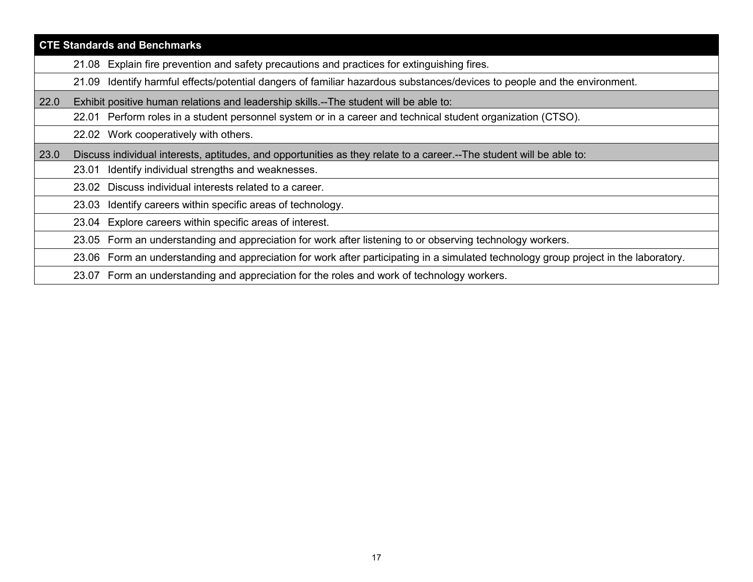|      | <b>CTE Standards and Benchmarks</b>                                                                                                     |  |
|------|-----------------------------------------------------------------------------------------------------------------------------------------|--|
|      | 21.08 Explain fire prevention and safety precautions and practices for extinguishing fires.                                             |  |
|      | Identify harmful effects/potential dangers of familiar hazardous substances/devices to people and the environment.<br>21.09             |  |
| 22.0 | Exhibit positive human relations and leadership skills.--The student will be able to:                                                   |  |
|      | 22.01 Perform roles in a student personnel system or in a career and technical student organization (CTSO).                             |  |
|      | 22.02 Work cooperatively with others.                                                                                                   |  |
| 23.0 | Discuss individual interests, aptitudes, and opportunities as they relate to a career.--The student will be able to:                    |  |
|      | Identify individual strengths and weaknesses.<br>23.01                                                                                  |  |
|      | Discuss individual interests related to a career.<br>23.02                                                                              |  |
|      | 23.03 Identify careers within specific areas of technology.                                                                             |  |
|      | Explore careers within specific areas of interest.<br>23.04                                                                             |  |
|      | Form an understanding and appreciation for work after listening to or observing technology workers.<br>23.05                            |  |
|      | Form an understanding and appreciation for work after participating in a simulated technology group project in the laboratory.<br>23.06 |  |
|      | 23.07 Form an understanding and appreciation for the roles and work of technology workers.                                              |  |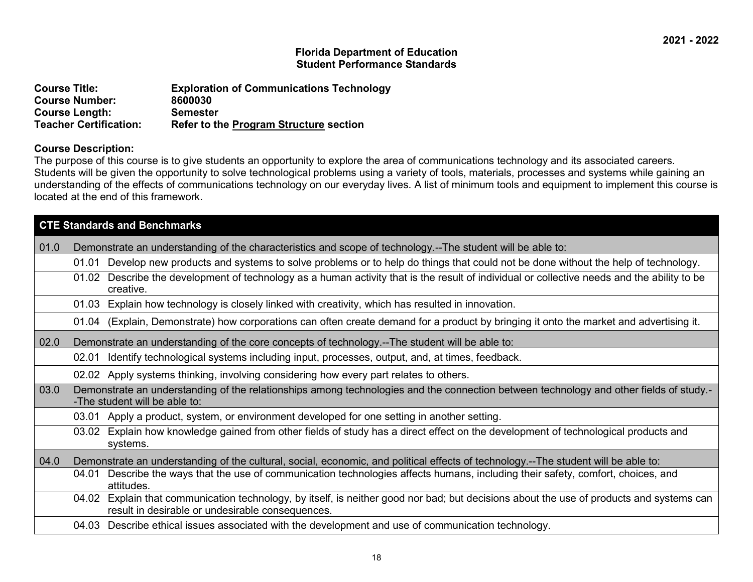| <b>Course Title:</b>          | <b>Exploration of Communications Technology</b> |
|-------------------------------|-------------------------------------------------|
| <b>Course Number:</b>         | 8600030                                         |
| <b>Course Length:</b>         | <b>Semester</b>                                 |
| <b>Teacher Certification:</b> | <b>Refer to the Program Structure section</b>   |

#### **Course Description:**

The purpose of this course is to give students an opportunity to explore the area of communications technology and its associated careers. Students will be given the opportunity to solve technological problems using a variety of tools, materials, processes and systems while gaining an understanding of the effects of communications technology on our everyday lives. A list of minimum tools and equipment to implement this course is located at the end of this framework.

|      | <b>CTE Standards and Benchmarks</b>                                                                                                                                                          |
|------|----------------------------------------------------------------------------------------------------------------------------------------------------------------------------------------------|
| 01.0 | Demonstrate an understanding of the characteristics and scope of technology.--The student will be able to:                                                                                   |
|      | Develop new products and systems to solve problems or to help do things that could not be done without the help of technology.<br>01.01                                                      |
|      | Describe the development of technology as a human activity that is the result of individual or collective needs and the ability to be<br>01.02<br>creative.                                  |
|      | Explain how technology is closely linked with creativity, which has resulted in innovation.<br>01.03                                                                                         |
|      | 01.04 (Explain, Demonstrate) how corporations can often create demand for a product by bringing it onto the market and advertising it.                                                       |
| 02.0 | Demonstrate an understanding of the core concepts of technology.--The student will be able to:                                                                                               |
|      | Identify technological systems including input, processes, output, and, at times, feedback.<br>02.01                                                                                         |
|      | 02.02 Apply systems thinking, involving considering how every part relates to others.                                                                                                        |
| 03.0 | Demonstrate an understanding of the relationships among technologies and the connection between technology and other fields of study.-<br>-The student will be able to:                      |
|      | 03.01 Apply a product, system, or environment developed for one setting in another setting.                                                                                                  |
|      | Explain how knowledge gained from other fields of study has a direct effect on the development of technological products and<br>03.02<br>systems.                                            |
| 04.0 | Demonstrate an understanding of the cultural, social, economic, and political effects of technology.--The student will be able to:                                                           |
|      | Describe the ways that the use of communication technologies affects humans, including their safety, comfort, choices, and<br>04.01<br>attitudes.                                            |
|      | 04.02 Explain that communication technology, by itself, is neither good nor bad; but decisions about the use of products and systems can<br>result in desirable or undesirable consequences. |
|      | Describe ethical issues associated with the development and use of communication technology.<br>04.03                                                                                        |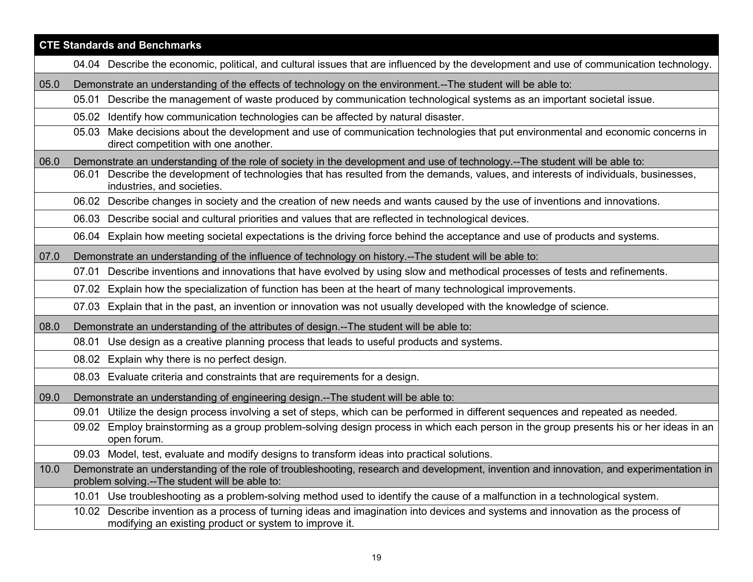|      | <b>CTE Standards and Benchmarks</b>                                                                                                                                                           |
|------|-----------------------------------------------------------------------------------------------------------------------------------------------------------------------------------------------|
|      | 04.04 Describe the economic, political, and cultural issues that are influenced by the development and use of communication technology.                                                       |
| 05.0 | Demonstrate an understanding of the effects of technology on the environment.--The student will be able to:                                                                                   |
|      | Describe the management of waste produced by communication technological systems as an important societal issue.<br>05.01                                                                     |
|      | 05.02 Identify how communication technologies can be affected by natural disaster.                                                                                                            |
|      | 05.03 Make decisions about the development and use of communication technologies that put environmental and economic concerns in<br>direct competition with one another.                      |
| 06.0 | Demonstrate an understanding of the role of society in the development and use of technology.--The student will be able to:                                                                   |
|      | 06.01 Describe the development of technologies that has resulted from the demands, values, and interests of individuals, businesses,<br>industries, and societies.                            |
|      | 06.02 Describe changes in society and the creation of new needs and wants caused by the use of inventions and innovations.                                                                    |
|      | 06.03 Describe social and cultural priorities and values that are reflected in technological devices.                                                                                         |
|      | 06.04 Explain how meeting societal expectations is the driving force behind the acceptance and use of products and systems.                                                                   |
| 07.0 | Demonstrate an understanding of the influence of technology on history.--The student will be able to:                                                                                         |
|      | Describe inventions and innovations that have evolved by using slow and methodical processes of tests and refinements.<br>07.01                                                               |
|      | 07.02 Explain how the specialization of function has been at the heart of many technological improvements.                                                                                    |
|      | 07.03 Explain that in the past, an invention or innovation was not usually developed with the knowledge of science.                                                                           |
| 08.0 | Demonstrate an understanding of the attributes of design.--The student will be able to:                                                                                                       |
|      | Use design as a creative planning process that leads to useful products and systems.<br>08.01                                                                                                 |
|      | 08.02 Explain why there is no perfect design.                                                                                                                                                 |
|      | 08.03 Evaluate criteria and constraints that are requirements for a design.                                                                                                                   |
| 09.0 | Demonstrate an understanding of engineering design.--The student will be able to:                                                                                                             |
|      | Utilize the design process involving a set of steps, which can be performed in different sequences and repeated as needed.<br>09.01                                                           |
|      | Employ brainstorming as a group problem-solving design process in which each person in the group presents his or her ideas in an<br>09.02<br>open forum.                                      |
|      | 09.03 Model, test, evaluate and modify designs to transform ideas into practical solutions.                                                                                                   |
| 10.0 | Demonstrate an understanding of the role of troubleshooting, research and development, invention and innovation, and experimentation in<br>problem solving.--The student will be able to:     |
|      | Use troubleshooting as a problem-solving method used to identify the cause of a malfunction in a technological system.<br>10.01                                                               |
|      | Describe invention as a process of turning ideas and imagination into devices and systems and innovation as the process of<br>10.02<br>modifying an existing product or system to improve it. |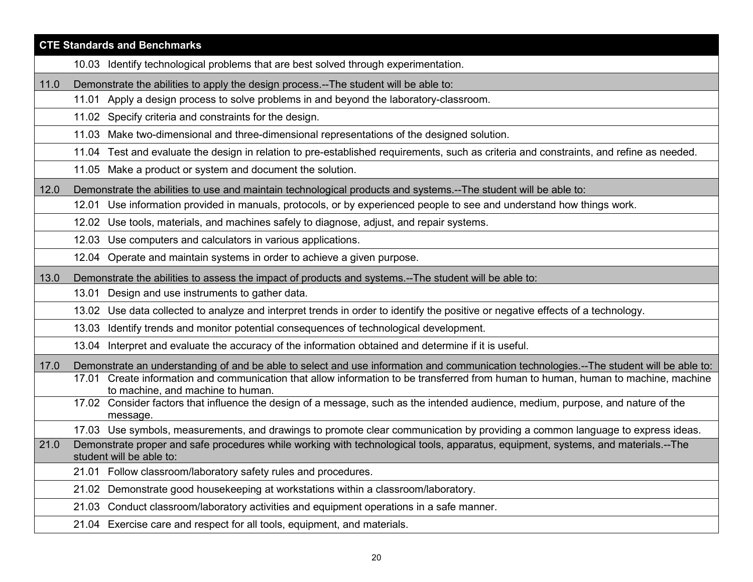|      | <b>CTE Standards and Benchmarks</b>                                                                                                                                                                                                                                           |
|------|-------------------------------------------------------------------------------------------------------------------------------------------------------------------------------------------------------------------------------------------------------------------------------|
|      | 10.03 Identify technological problems that are best solved through experimentation.                                                                                                                                                                                           |
| 11.0 | Demonstrate the abilities to apply the design process.--The student will be able to:                                                                                                                                                                                          |
|      | 11.01 Apply a design process to solve problems in and beyond the laboratory-classroom.                                                                                                                                                                                        |
|      | 11.02 Specify criteria and constraints for the design.                                                                                                                                                                                                                        |
|      | 11.03 Make two-dimensional and three-dimensional representations of the designed solution.                                                                                                                                                                                    |
|      | 11.04 Test and evaluate the design in relation to pre-established requirements, such as criteria and constraints, and refine as needed.                                                                                                                                       |
|      | 11.05 Make a product or system and document the solution.                                                                                                                                                                                                                     |
| 12.0 | Demonstrate the abilities to use and maintain technological products and systems.--The student will be able to:                                                                                                                                                               |
|      | Use information provided in manuals, protocols, or by experienced people to see and understand how things work.<br>12.01                                                                                                                                                      |
|      | 12.02 Use tools, materials, and machines safely to diagnose, adjust, and repair systems.                                                                                                                                                                                      |
|      | 12.03 Use computers and calculators in various applications.                                                                                                                                                                                                                  |
|      | 12.04 Operate and maintain systems in order to achieve a given purpose.                                                                                                                                                                                                       |
| 13.0 | Demonstrate the abilities to assess the impact of products and systems.--The student will be able to:                                                                                                                                                                         |
|      | 13.01 Design and use instruments to gather data.                                                                                                                                                                                                                              |
|      | 13.02 Use data collected to analyze and interpret trends in order to identify the positive or negative effects of a technology.                                                                                                                                               |
|      | 13.03 Identify trends and monitor potential consequences of technological development.                                                                                                                                                                                        |
|      | 13.04 Interpret and evaluate the accuracy of the information obtained and determine if it is useful.                                                                                                                                                                          |
| 17.0 | Demonstrate an understanding of and be able to select and use information and communication technologies.--The student will be able to:<br>17.01 Create information and communication that allow information to be transferred from human to human, human to machine, machine |
|      | to machine, and machine to human.<br>17.02 Consider factors that influence the design of a message, such as the intended audience, medium, purpose, and nature of the<br>message.                                                                                             |
|      | 17.03 Use symbols, measurements, and drawings to promote clear communication by providing a common language to express ideas.                                                                                                                                                 |
| 21.0 | Demonstrate proper and safe procedures while working with technological tools, apparatus, equipment, systems, and materials.--The<br>student will be able to:                                                                                                                 |
|      | 21.01 Follow classroom/laboratory safety rules and procedures.                                                                                                                                                                                                                |
|      | Demonstrate good housekeeping at workstations within a classroom/laboratory.<br>21.02                                                                                                                                                                                         |
|      | Conduct classroom/laboratory activities and equipment operations in a safe manner.<br>21.03                                                                                                                                                                                   |
|      | Exercise care and respect for all tools, equipment, and materials.<br>21.04                                                                                                                                                                                                   |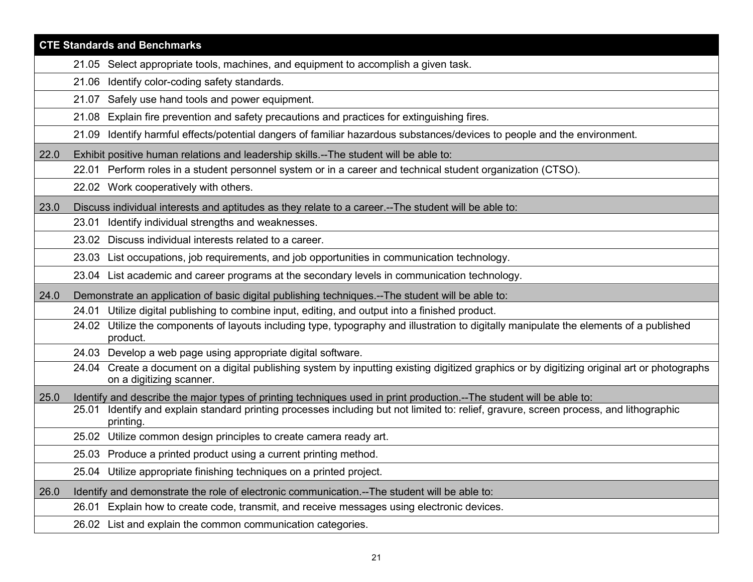|      | <b>CTE Standards and Benchmarks</b>                                                                                                                                      |
|------|--------------------------------------------------------------------------------------------------------------------------------------------------------------------------|
|      | 21.05 Select appropriate tools, machines, and equipment to accomplish a given task.                                                                                      |
|      | 21.06 Identify color-coding safety standards.                                                                                                                            |
|      | Safely use hand tools and power equipment.<br>21.07                                                                                                                      |
|      | Explain fire prevention and safety precautions and practices for extinguishing fires.<br>21.08                                                                           |
|      | Identify harmful effects/potential dangers of familiar hazardous substances/devices to people and the environment.<br>21.09                                              |
| 22.0 | Exhibit positive human relations and leadership skills.--The student will be able to:                                                                                    |
|      | Perform roles in a student personnel system or in a career and technical student organization (CTSO).<br>22.01                                                           |
|      | 22.02 Work cooperatively with others.                                                                                                                                    |
| 23.0 | Discuss individual interests and aptitudes as they relate to a career.--The student will be able to:                                                                     |
|      | Identify individual strengths and weaknesses.<br>23.01                                                                                                                   |
|      | 23.02 Discuss individual interests related to a career.                                                                                                                  |
|      | 23.03 List occupations, job requirements, and job opportunities in communication technology.                                                                             |
|      | 23.04 List academic and career programs at the secondary levels in communication technology.                                                                             |
| 24.0 | Demonstrate an application of basic digital publishing techniques.--The student will be able to:                                                                         |
|      | 24.01 Utilize digital publishing to combine input, editing, and output into a finished product.                                                                          |
|      | 24.02 Utilize the components of layouts including type, typography and illustration to digitally manipulate the elements of a published<br>product.                      |
|      | 24.03 Develop a web page using appropriate digital software.                                                                                                             |
|      | 24.04 Create a document on a digital publishing system by inputting existing digitized graphics or by digitizing original art or photographs<br>on a digitizing scanner. |
| 25.0 | Identify and describe the major types of printing techniques used in print production.--The student will be able to:                                                     |
|      | Identify and explain standard printing processes including but not limited to: relief, gravure, screen process, and lithographic<br>25.01<br>printing.                   |
|      | 25.02 Utilize common design principles to create camera ready art.                                                                                                       |
|      | 25.03 Produce a printed product using a current printing method.                                                                                                         |
|      | 25.04 Utilize appropriate finishing techniques on a printed project.                                                                                                     |
| 26.0 | Identify and demonstrate the role of electronic communication.--The student will be able to:                                                                             |
|      | Explain how to create code, transmit, and receive messages using electronic devices.<br>26.01                                                                            |
|      | 26.02 List and explain the common communication categories.                                                                                                              |
|      |                                                                                                                                                                          |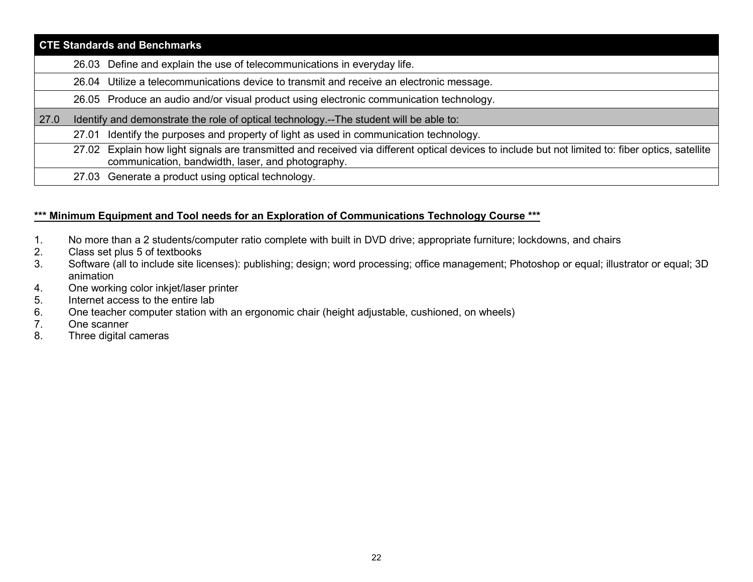| <b>CTE Standards and Benchmarks</b> |                                                                                                                                                                                                        |  |
|-------------------------------------|--------------------------------------------------------------------------------------------------------------------------------------------------------------------------------------------------------|--|
|                                     | 26.03 Define and explain the use of telecommunications in everyday life.                                                                                                                               |  |
|                                     | 26.04 Utilize a telecommunications device to transmit and receive an electronic message.                                                                                                               |  |
|                                     | 26.05 Produce an audio and/or visual product using electronic communication technology.                                                                                                                |  |
| $\sqrt{27.0}$                       | Identify and demonstrate the role of optical technology.--The student will be able to:                                                                                                                 |  |
|                                     | 27.01 Identify the purposes and property of light as used in communication technology.                                                                                                                 |  |
|                                     | 27.02 Explain how light signals are transmitted and received via different optical devices to include but not limited to: fiber optics, satellite<br>communication, bandwidth, laser, and photography. |  |
|                                     | 27.03 Generate a product using optical technology.                                                                                                                                                     |  |

# **\*\*\* Minimum Equipment and Tool needs for an Exploration of Communications Technology Course \*\*\***

- 1. No more than a 2 students/computer ratio complete with built in DVD drive; appropriate furniture; lockdowns, and chairs 2.
- 2. Class set plus 5 of textbooks<br>3. Software (all to include site lic
- 3. Software (all to include site licenses): publishing; design; word processing; office management; Photoshop or equal; illustrator or equal; 3D animation
- 4. One working color inkjet/laser printer
- 5. Internet access to the entire lab
- 6. One teacher computer station with an ergonomic chair (height adjustable, cushioned, on wheels)
- One scanner
- 8. Three digital cameras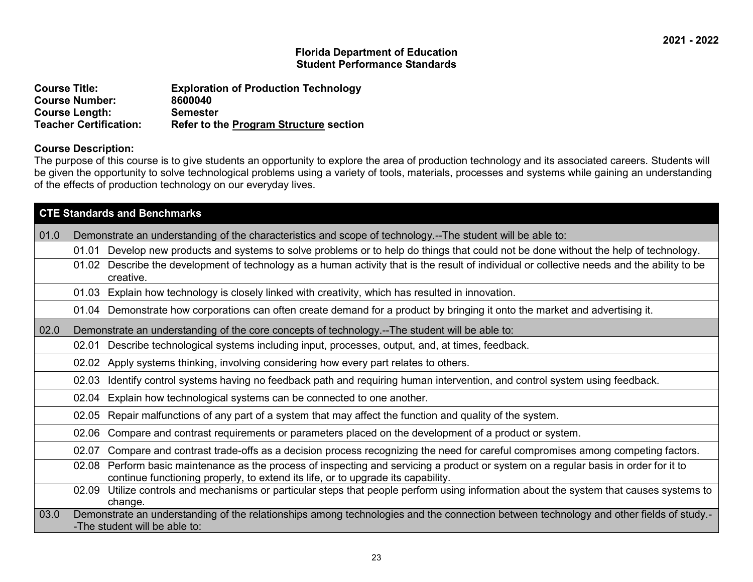| <b>Course Title:</b>          | <b>Exploration of Production Technology</b>   |
|-------------------------------|-----------------------------------------------|
| <b>Course Number:</b>         | 8600040                                       |
| <b>Course Length:</b>         | <b>Semester</b>                               |
| <b>Teacher Certification:</b> | <b>Refer to the Program Structure section</b> |

#### **Course Description:**

The purpose of this course is to give students an opportunity to explore the area of production technology and its associated careers. Students will be given the opportunity to solve technological problems using a variety of tools, materials, processes and systems while gaining an understanding of the effects of production technology on our everyday lives.

|      | <b>CTE Standards and Benchmarks</b>                                                                                                                                                                                         |
|------|-----------------------------------------------------------------------------------------------------------------------------------------------------------------------------------------------------------------------------|
| 01.0 | Demonstrate an understanding of the characteristics and scope of technology.--The student will be able to:                                                                                                                  |
|      | Develop new products and systems to solve problems or to help do things that could not be done without the help of technology.<br>01.01                                                                                     |
|      | Describe the development of technology as a human activity that is the result of individual or collective needs and the ability to be<br>01.02<br>creative.                                                                 |
|      | Explain how technology is closely linked with creativity, which has resulted in innovation.<br>01.03                                                                                                                        |
|      | 01.04 Demonstrate how corporations can often create demand for a product by bringing it onto the market and advertising it.                                                                                                 |
| 02.0 | Demonstrate an understanding of the core concepts of technology.--The student will be able to:                                                                                                                              |
|      | Describe technological systems including input, processes, output, and, at times, feedback.<br>02.01                                                                                                                        |
|      | 02.02 Apply systems thinking, involving considering how every part relates to others.                                                                                                                                       |
|      | Identify control systems having no feedback path and requiring human intervention, and control system using feedback.<br>02.03                                                                                              |
|      | Explain how technological systems can be connected to one another.<br>02.04                                                                                                                                                 |
|      | Repair malfunctions of any part of a system that may affect the function and quality of the system.<br>02.05                                                                                                                |
|      | Compare and contrast requirements or parameters placed on the development of a product or system.<br>02.06                                                                                                                  |
|      | Compare and contrast trade-offs as a decision process recognizing the need for careful compromises among competing factors.<br>02.07                                                                                        |
|      | Perform basic maintenance as the process of inspecting and servicing a product or system on a regular basis in order for it to<br>02.08<br>continue functioning properly, to extend its life, or to upgrade its capability. |
|      | Utilize controls and mechanisms or particular steps that people perform using information about the system that causes systems to<br>02.09<br>change.                                                                       |
| 03.0 | Demonstrate an understanding of the relationships among technologies and the connection between technology and other fields of study.-<br>-The student will be able to:                                                     |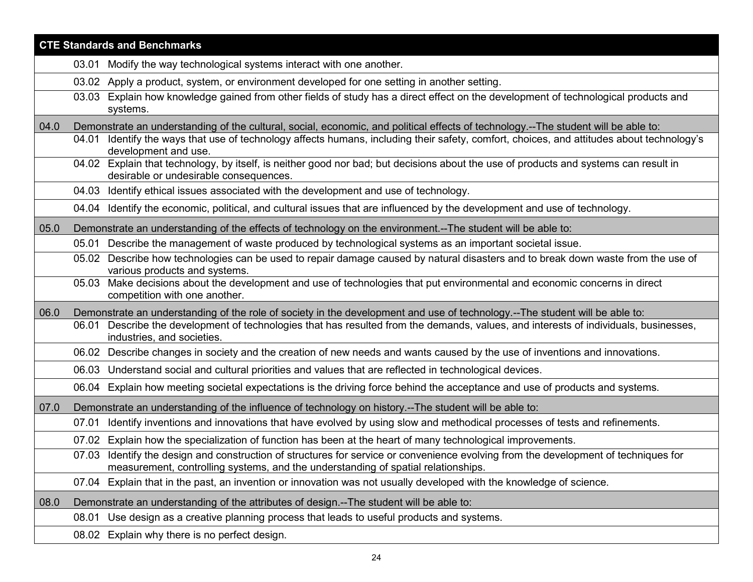|      | <b>CTE Standards and Benchmarks</b>                                                                                                                                                                                      |
|------|--------------------------------------------------------------------------------------------------------------------------------------------------------------------------------------------------------------------------|
|      | 03.01 Modify the way technological systems interact with one another.                                                                                                                                                    |
|      | Apply a product, system, or environment developed for one setting in another setting.<br>03.02                                                                                                                           |
|      | Explain how knowledge gained from other fields of study has a direct effect on the development of technological products and<br>03.03<br>systems.                                                                        |
| 04.0 | Demonstrate an understanding of the cultural, social, economic, and political effects of technology.--The student will be able to:                                                                                       |
|      | Identify the ways that use of technology affects humans, including their safety, comfort, choices, and attitudes about technology's<br>04.01<br>development and use.                                                     |
|      | 04.02 Explain that technology, by itself, is neither good nor bad; but decisions about the use of products and systems can result in<br>desirable or undesirable consequences.                                           |
|      | 04.03 Identify ethical issues associated with the development and use of technology.                                                                                                                                     |
|      | 04.04 Identify the economic, political, and cultural issues that are influenced by the development and use of technology.                                                                                                |
| 05.0 | Demonstrate an understanding of the effects of technology on the environment.--The student will be able to:                                                                                                              |
|      | 05.01 Describe the management of waste produced by technological systems as an important societal issue.                                                                                                                 |
|      | 05.02 Describe how technologies can be used to repair damage caused by natural disasters and to break down waste from the use of<br>various products and systems.                                                        |
|      | Make decisions about the development and use of technologies that put environmental and economic concerns in direct<br>05.03<br>competition with one another.                                                            |
| 06.0 | Demonstrate an understanding of the role of society in the development and use of technology.--The student will be able to:                                                                                              |
|      | Describe the development of technologies that has resulted from the demands, values, and interests of individuals, businesses,<br>06.01<br>industries, and societies.                                                    |
|      | 06.02 Describe changes in society and the creation of new needs and wants caused by the use of inventions and innovations.                                                                                               |
|      | 06.03 Understand social and cultural priorities and values that are reflected in technological devices.                                                                                                                  |
|      | 06.04 Explain how meeting societal expectations is the driving force behind the acceptance and use of products and systems.                                                                                              |
| 07.0 | Demonstrate an understanding of the influence of technology on history.--The student will be able to:                                                                                                                    |
|      | Identify inventions and innovations that have evolved by using slow and methodical processes of tests and refinements.<br>07.01                                                                                          |
|      | 07.02 Explain how the specialization of function has been at the heart of many technological improvements.                                                                                                               |
|      | 07.03 Identify the design and construction of structures for service or convenience evolving from the development of techniques for<br>measurement, controlling systems, and the understanding of spatial relationships. |
|      | Explain that in the past, an invention or innovation was not usually developed with the knowledge of science.<br>07.04                                                                                                   |
| 08.0 | Demonstrate an understanding of the attributes of design.--The student will be able to:                                                                                                                                  |
|      | Use design as a creative planning process that leads to useful products and systems.<br>08.01                                                                                                                            |
|      | 08.02 Explain why there is no perfect design.                                                                                                                                                                            |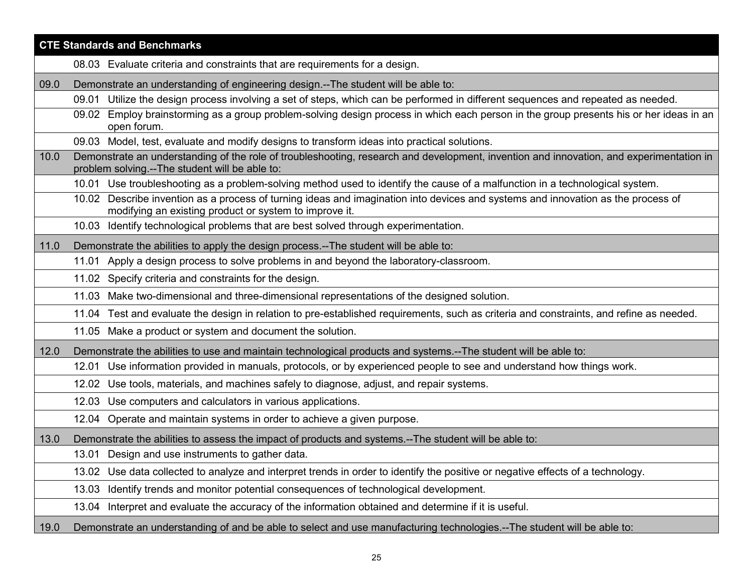|      | <b>CTE Standards and Benchmarks</b>                                                                                                                                                        |
|------|--------------------------------------------------------------------------------------------------------------------------------------------------------------------------------------------|
|      | 08.03 Evaluate criteria and constraints that are requirements for a design.                                                                                                                |
| 09.0 | Demonstrate an understanding of engineering design.--The student will be able to:                                                                                                          |
|      | 09.01 Utilize the design process involving a set of steps, which can be performed in different sequences and repeated as needed.                                                           |
|      | 09.02 Employ brainstorming as a group problem-solving design process in which each person in the group presents his or her ideas in an<br>open forum.                                      |
|      | 09.03 Model, test, evaluate and modify designs to transform ideas into practical solutions.                                                                                                |
| 10.0 | Demonstrate an understanding of the role of troubleshooting, research and development, invention and innovation, and experimentation in<br>problem solving.--The student will be able to:  |
|      | 10.01 Use troubleshooting as a problem-solving method used to identify the cause of a malfunction in a technological system.                                                               |
|      | 10.02 Describe invention as a process of turning ideas and imagination into devices and systems and innovation as the process of<br>modifying an existing product or system to improve it. |
|      | 10.03 Identify technological problems that are best solved through experimentation.                                                                                                        |
| 11.0 | Demonstrate the abilities to apply the design process.--The student will be able to:                                                                                                       |
|      | Apply a design process to solve problems in and beyond the laboratory-classroom.<br>11.01                                                                                                  |
|      | 11.02 Specify criteria and constraints for the design.                                                                                                                                     |
|      | Make two-dimensional and three-dimensional representations of the designed solution.<br>11.03                                                                                              |
|      | 11.04 Test and evaluate the design in relation to pre-established requirements, such as criteria and constraints, and refine as needed.                                                    |
|      | 11.05 Make a product or system and document the solution.                                                                                                                                  |
| 12.0 | Demonstrate the abilities to use and maintain technological products and systems.--The student will be able to:                                                                            |
|      | 12.01 Use information provided in manuals, protocols, or by experienced people to see and understand how things work.                                                                      |
|      | 12.02 Use tools, materials, and machines safely to diagnose, adjust, and repair systems.                                                                                                   |
|      | 12.03 Use computers and calculators in various applications.                                                                                                                               |
|      | 12.04 Operate and maintain systems in order to achieve a given purpose.                                                                                                                    |
| 13.0 | Demonstrate the abilities to assess the impact of products and systems.--The student will be able to:                                                                                      |
|      | 13.01 Design and use instruments to gather data.                                                                                                                                           |
|      | 13.02 Use data collected to analyze and interpret trends in order to identify the positive or negative effects of a technology.                                                            |
|      | Identify trends and monitor potential consequences of technological development.<br>13.03                                                                                                  |
|      | Interpret and evaluate the accuracy of the information obtained and determine if it is useful.<br>13.04                                                                                    |
| 19.0 | Demonstrate an understanding of and be able to select and use manufacturing technologies.--The student will be able to:                                                                    |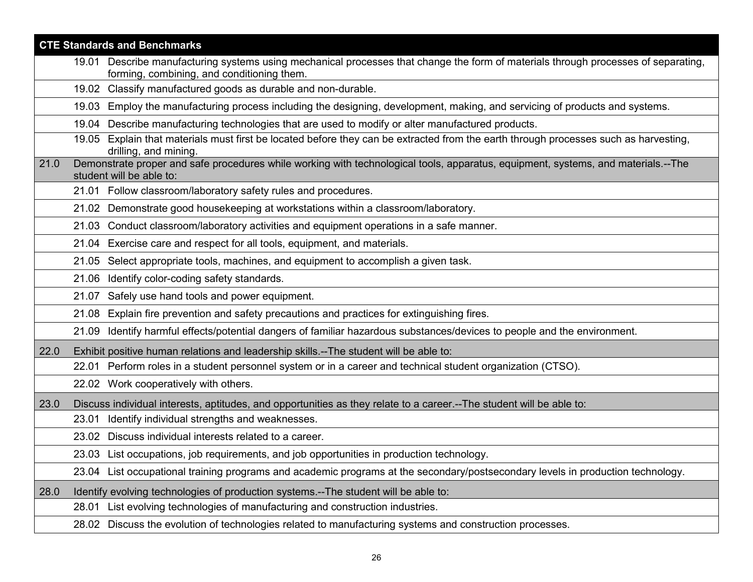|      | <b>CTE Standards and Benchmarks</b>                                                                                                                                              |
|------|----------------------------------------------------------------------------------------------------------------------------------------------------------------------------------|
|      | 19.01 Describe manufacturing systems using mechanical processes that change the form of materials through processes of separating,<br>forming, combining, and conditioning them. |
|      | 19.02 Classify manufactured goods as durable and non-durable.                                                                                                                    |
|      | Employ the manufacturing process including the designing, development, making, and servicing of products and systems.<br>19.03                                                   |
|      | 19.04 Describe manufacturing technologies that are used to modify or alter manufactured products.                                                                                |
|      | 19.05 Explain that materials must first be located before they can be extracted from the earth through processes such as harvesting,<br>drilling, and mining.                    |
| 21.0 | Demonstrate proper and safe procedures while working with technological tools, apparatus, equipment, systems, and materials.--The<br>student will be able to:                    |
|      | 21.01 Follow classroom/laboratory safety rules and procedures.                                                                                                                   |
|      | 21.02 Demonstrate good housekeeping at workstations within a classroom/laboratory.                                                                                               |
|      | Conduct classroom/laboratory activities and equipment operations in a safe manner.<br>21.03                                                                                      |
|      | Exercise care and respect for all tools, equipment, and materials.<br>21.04                                                                                                      |
|      | Select appropriate tools, machines, and equipment to accomplish a given task.<br>21.05                                                                                           |
|      | Identify color-coding safety standards.<br>21.06                                                                                                                                 |
|      | 21.07 Safely use hand tools and power equipment.                                                                                                                                 |
|      | 21.08 Explain fire prevention and safety precautions and practices for extinguishing fires.                                                                                      |
|      | 21.09 Identify harmful effects/potential dangers of familiar hazardous substances/devices to people and the environment.                                                         |
| 22.0 | Exhibit positive human relations and leadership skills.--The student will be able to:                                                                                            |
|      | 22.01 Perform roles in a student personnel system or in a career and technical student organization (CTSO).                                                                      |
|      | 22.02 Work cooperatively with others.                                                                                                                                            |
| 23.0 | Discuss individual interests, aptitudes, and opportunities as they relate to a career.--The student will be able to:                                                             |
|      | Identify individual strengths and weaknesses.<br>23.01                                                                                                                           |
|      | Discuss individual interests related to a career.<br>23.02                                                                                                                       |
|      | 23.03 List occupations, job requirements, and job opportunities in production technology.                                                                                        |
|      | 23.04 List occupational training programs and academic programs at the secondary/postsecondary levels in production technology.                                                  |
| 28.0 | Identify evolving technologies of production systems.--The student will be able to:                                                                                              |
|      | List evolving technologies of manufacturing and construction industries.<br>28.01                                                                                                |
|      | 28.02 Discuss the evolution of technologies related to manufacturing systems and construction processes.                                                                         |
|      |                                                                                                                                                                                  |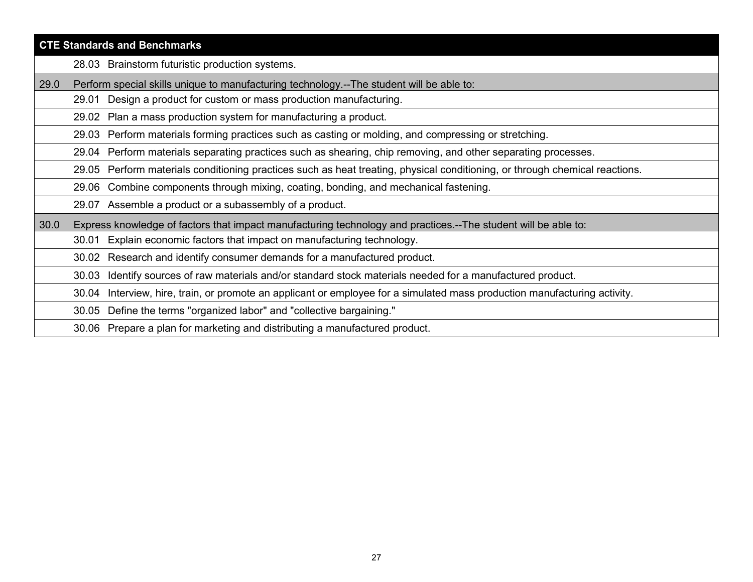|      | <b>CTE Standards and Benchmarks</b>                                                                                            |
|------|--------------------------------------------------------------------------------------------------------------------------------|
|      | 28.03 Brainstorm futuristic production systems.                                                                                |
| 29.0 | Perform special skills unique to manufacturing technology.--The student will be able to:                                       |
|      | Design a product for custom or mass production manufacturing.<br>29.01                                                         |
|      | 29.02 Plan a mass production system for manufacturing a product.                                                               |
|      | Perform materials forming practices such as casting or molding, and compressing or stretching.<br>29.03                        |
|      | Perform materials separating practices such as shearing, chip removing, and other separating processes.<br>29.04               |
|      | Perform materials conditioning practices such as heat treating, physical conditioning, or through chemical reactions.<br>29.05 |
|      | Combine components through mixing, coating, bonding, and mechanical fastening.<br>29.06                                        |
|      | 29.07 Assemble a product or a subassembly of a product.                                                                        |
| 30.0 | Express knowledge of factors that impact manufacturing technology and practices.--The student will be able to:                 |
|      | Explain economic factors that impact on manufacturing technology.<br>30.01                                                     |
|      | 30.02 Research and identify consumer demands for a manufactured product.                                                       |
|      | Identify sources of raw materials and/or standard stock materials needed for a manufactured product.<br>30.03                  |
|      | Interview, hire, train, or promote an applicant or employee for a simulated mass production manufacturing activity.<br>30.04   |
|      | Define the terms "organized labor" and "collective bargaining."<br>30.05                                                       |
|      | Prepare a plan for marketing and distributing a manufactured product.<br>30.06                                                 |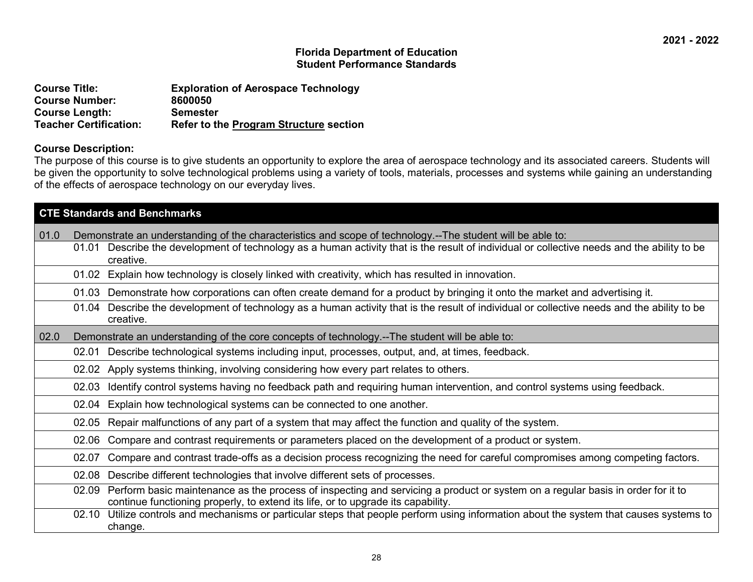| <b>Course Title:</b>          | <b>Exploration of Aerospace Technology</b>    |
|-------------------------------|-----------------------------------------------|
| <b>Course Number:</b>         | 8600050                                       |
| <b>Course Length:</b>         | <b>Semester</b>                               |
| <b>Teacher Certification:</b> | <b>Refer to the Program Structure section</b> |

#### **Course Description:**

The purpose of this course is to give students an opportunity to explore the area of aerospace technology and its associated careers. Students will be given the opportunity to solve technological problems using a variety of tools, materials, processes and systems while gaining an understanding of the effects of aerospace technology on our everyday lives.

|      |                                                                                                              | <b>CTE Standards and Benchmarks</b>                                                                                                                                                                                                                              |
|------|--------------------------------------------------------------------------------------------------------------|------------------------------------------------------------------------------------------------------------------------------------------------------------------------------------------------------------------------------------------------------------------|
| 01.0 | 01.01                                                                                                        | Demonstrate an understanding of the characteristics and scope of technology.--The student will be able to:<br>Describe the development of technology as a human activity that is the result of individual or collective needs and the ability to be<br>creative. |
|      |                                                                                                              | 01.02 Explain how technology is closely linked with creativity, which has resulted in innovation.                                                                                                                                                                |
|      | 01.03                                                                                                        | Demonstrate how corporations can often create demand for a product by bringing it onto the market and advertising it.                                                                                                                                            |
|      | 01.04                                                                                                        | Describe the development of technology as a human activity that is the result of individual or collective needs and the ability to be<br>creative.                                                                                                               |
| 02.0 |                                                                                                              | Demonstrate an understanding of the core concepts of technology.--The student will be able to:                                                                                                                                                                   |
|      | 02.01                                                                                                        | Describe technological systems including input, processes, output, and, at times, feedback.                                                                                                                                                                      |
|      | 02.02                                                                                                        | Apply systems thinking, involving considering how every part relates to others.                                                                                                                                                                                  |
|      | 02.03                                                                                                        | Identify control systems having no feedback path and requiring human intervention, and control systems using feedback.                                                                                                                                           |
|      | 02.04                                                                                                        | Explain how technological systems can be connected to one another.                                                                                                                                                                                               |
|      | Repair malfunctions of any part of a system that may affect the function and quality of the system.<br>02.05 |                                                                                                                                                                                                                                                                  |
|      | 02.06                                                                                                        | Compare and contrast requirements or parameters placed on the development of a product or system.                                                                                                                                                                |
|      | 02.07                                                                                                        | Compare and contrast trade-offs as a decision process recognizing the need for careful compromises among competing factors.                                                                                                                                      |
|      | 02.08                                                                                                        | Describe different technologies that involve different sets of processes.                                                                                                                                                                                        |
|      | 02.09                                                                                                        | Perform basic maintenance as the process of inspecting and servicing a product or system on a regular basis in order for it to<br>continue functioning properly, to extend its life, or to upgrade its capability.                                               |
|      | 02.10                                                                                                        | Utilize controls and mechanisms or particular steps that people perform using information about the system that causes systems to<br>change.                                                                                                                     |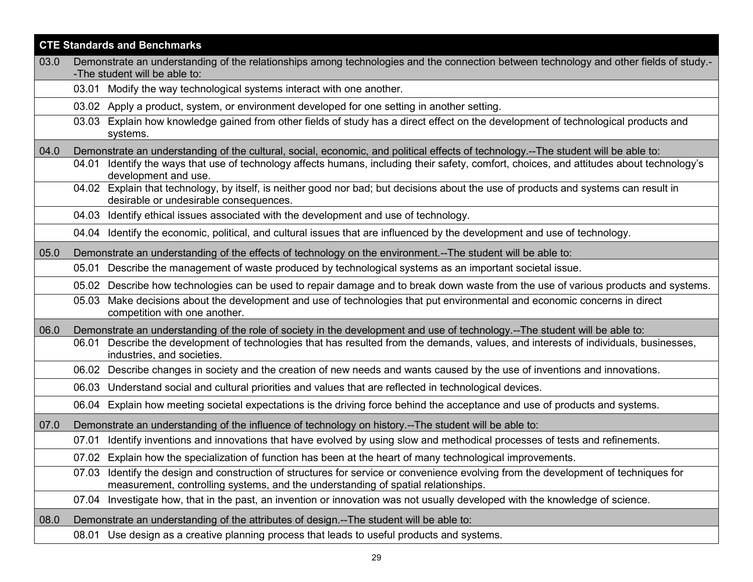|      | <b>CTE Standards and Benchmarks</b>                                                                                                                                                                                      |  |
|------|--------------------------------------------------------------------------------------------------------------------------------------------------------------------------------------------------------------------------|--|
| 03.0 | Demonstrate an understanding of the relationships among technologies and the connection between technology and other fields of study.-                                                                                   |  |
|      | -The student will be able to:<br>03.01 Modify the way technological systems interact with one another.                                                                                                                   |  |
|      | 03.02 Apply a product, system, or environment developed for one setting in another setting.                                                                                                                              |  |
|      | Explain how knowledge gained from other fields of study has a direct effect on the development of technological products and<br>03.03<br>systems.                                                                        |  |
| 04.0 | Demonstrate an understanding of the cultural, social, economic, and political effects of technology.--The student will be able to:                                                                                       |  |
|      | 04.01 Identify the ways that use of technology affects humans, including their safety, comfort, choices, and attitudes about technology's<br>development and use.                                                        |  |
|      | 04.02 Explain that technology, by itself, is neither good nor bad; but decisions about the use of products and systems can result in<br>desirable or undesirable consequences.                                           |  |
|      | 04.03 Identify ethical issues associated with the development and use of technology.                                                                                                                                     |  |
|      | 04.04 Identify the economic, political, and cultural issues that are influenced by the development and use of technology.                                                                                                |  |
| 05.0 | Demonstrate an understanding of the effects of technology on the environment.--The student will be able to:                                                                                                              |  |
|      | 05.01 Describe the management of waste produced by technological systems as an important societal issue.                                                                                                                 |  |
|      | 05.02 Describe how technologies can be used to repair damage and to break down waste from the use of various products and systems.                                                                                       |  |
|      | Make decisions about the development and use of technologies that put environmental and economic concerns in direct<br>05.03<br>competition with one another.                                                            |  |
| 06.0 | Demonstrate an understanding of the role of society in the development and use of technology.--The student will be able to:                                                                                              |  |
|      | Describe the development of technologies that has resulted from the demands, values, and interests of individuals, businesses,<br>06.01<br>industries, and societies.                                                    |  |
|      | 06.02 Describe changes in society and the creation of new needs and wants caused by the use of inventions and innovations.                                                                                               |  |
|      | 06.03 Understand social and cultural priorities and values that are reflected in technological devices.                                                                                                                  |  |
|      | 06.04 Explain how meeting societal expectations is the driving force behind the acceptance and use of products and systems.                                                                                              |  |
| 07.0 | Demonstrate an understanding of the influence of technology on history.--The student will be able to:                                                                                                                    |  |
|      | 07.01 Identify inventions and innovations that have evolved by using slow and methodical processes of tests and refinements.                                                                                             |  |
|      | 07.02 Explain how the specialization of function has been at the heart of many technological improvements.                                                                                                               |  |
|      | 07.03 Identify the design and construction of structures for service or convenience evolving from the development of techniques for<br>measurement, controlling systems, and the understanding of spatial relationships. |  |
|      | 07.04 Investigate how, that in the past, an invention or innovation was not usually developed with the knowledge of science.                                                                                             |  |
| 08.0 | Demonstrate an understanding of the attributes of design.--The student will be able to:                                                                                                                                  |  |
|      | 08.01 Use design as a creative planning process that leads to useful products and systems.                                                                                                                               |  |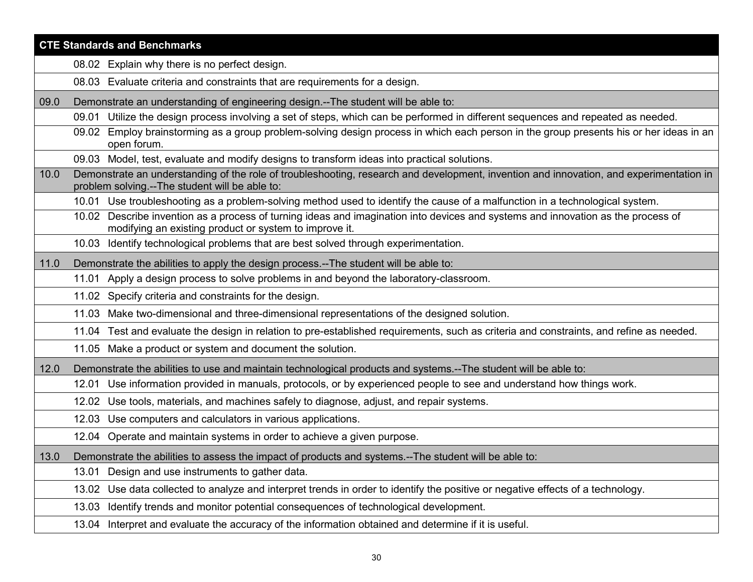|      | <b>CTE Standards and Benchmarks</b>                                                                                                                                                        |
|------|--------------------------------------------------------------------------------------------------------------------------------------------------------------------------------------------|
|      | 08.02 Explain why there is no perfect design.                                                                                                                                              |
|      | 08.03 Evaluate criteria and constraints that are requirements for a design.                                                                                                                |
| 09.0 | Demonstrate an understanding of engineering design.--The student will be able to:                                                                                                          |
|      | 09.01 Utilize the design process involving a set of steps, which can be performed in different sequences and repeated as needed.                                                           |
|      | Employ brainstorming as a group problem-solving design process in which each person in the group presents his or her ideas in an<br>09.02<br>open forum.                                   |
|      | 09.03 Model, test, evaluate and modify designs to transform ideas into practical solutions.                                                                                                |
| 10.0 | Demonstrate an understanding of the role of troubleshooting, research and development, invention and innovation, and experimentation in<br>problem solving.--The student will be able to:  |
|      | 10.01 Use troubleshooting as a problem-solving method used to identify the cause of a malfunction in a technological system.                                                               |
|      | 10.02 Describe invention as a process of turning ideas and imagination into devices and systems and innovation as the process of<br>modifying an existing product or system to improve it. |
|      | 10.03 Identify technological problems that are best solved through experimentation.                                                                                                        |
| 11.0 | Demonstrate the abilities to apply the design process.--The student will be able to:                                                                                                       |
|      | 11.01 Apply a design process to solve problems in and beyond the laboratory-classroom.                                                                                                     |
|      | 11.02 Specify criteria and constraints for the design.                                                                                                                                     |
|      | 11.03 Make two-dimensional and three-dimensional representations of the designed solution.                                                                                                 |
|      | 11.04 Test and evaluate the design in relation to pre-established requirements, such as criteria and constraints, and refine as needed.                                                    |
|      | 11.05 Make a product or system and document the solution.                                                                                                                                  |
| 12.0 | Demonstrate the abilities to use and maintain technological products and systems.--The student will be able to:                                                                            |
|      | Use information provided in manuals, protocols, or by experienced people to see and understand how things work.<br>12.01                                                                   |
|      | Use tools, materials, and machines safely to diagnose, adjust, and repair systems.<br>12.02                                                                                                |
|      | 12.03 Use computers and calculators in various applications.                                                                                                                               |
|      | 12.04 Operate and maintain systems in order to achieve a given purpose.                                                                                                                    |
| 13.0 | Demonstrate the abilities to assess the impact of products and systems.--The student will be able to:                                                                                      |
|      | Design and use instruments to gather data.<br>13.01                                                                                                                                        |
|      | Use data collected to analyze and interpret trends in order to identify the positive or negative effects of a technology.<br>13.02                                                         |
|      | Identify trends and monitor potential consequences of technological development.<br>13.03                                                                                                  |
|      | 13.04 Interpret and evaluate the accuracy of the information obtained and determine if it is useful.                                                                                       |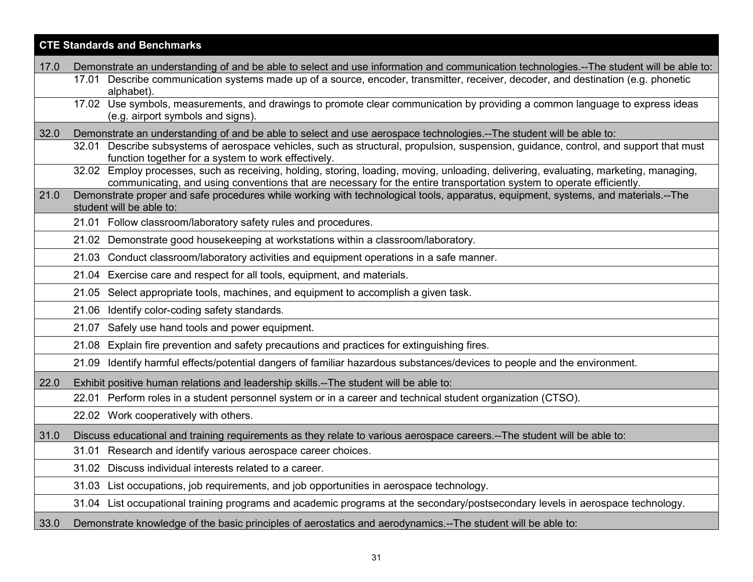|      | <b>CTE Standards and Benchmarks</b>                                                                                                                                                                                                                           |  |
|------|---------------------------------------------------------------------------------------------------------------------------------------------------------------------------------------------------------------------------------------------------------------|--|
| 17.0 | Demonstrate an understanding of and be able to select and use information and communication technologies.--The student will be able to:                                                                                                                       |  |
|      | 17.01 Describe communication systems made up of a source, encoder, transmitter, receiver, decoder, and destination (e.g. phonetic<br>alphabet).                                                                                                               |  |
|      | 17.02 Use symbols, measurements, and drawings to promote clear communication by providing a common language to express ideas<br>(e.g. airport symbols and signs)                                                                                              |  |
| 32.0 | Demonstrate an understanding of and be able to select and use aerospace technologies.--The student will be able to:                                                                                                                                           |  |
|      | 32.01 Describe subsystems of aerospace vehicles, such as structural, propulsion, suspension, guidance, control, and support that must<br>function together for a system to work effectively.                                                                  |  |
|      | 32.02 Employ processes, such as receiving, holding, storing, loading, moving, unloading, delivering, evaluating, marketing, managing,<br>communicating, and using conventions that are necessary for the entire transportation system to operate efficiently. |  |
| 21.0 | Demonstrate proper and safe procedures while working with technological tools, apparatus, equipment, systems, and materials.--The<br>student will be able to:                                                                                                 |  |
|      | 21.01 Follow classroom/laboratory safety rules and procedures.                                                                                                                                                                                                |  |
|      | 21.02 Demonstrate good housekeeping at workstations within a classroom/laboratory.                                                                                                                                                                            |  |
|      | 21.03 Conduct classroom/laboratory activities and equipment operations in a safe manner.                                                                                                                                                                      |  |
|      | 21.04 Exercise care and respect for all tools, equipment, and materials.                                                                                                                                                                                      |  |
|      | 21.05 Select appropriate tools, machines, and equipment to accomplish a given task.                                                                                                                                                                           |  |
|      | 21.06 Identify color-coding safety standards.                                                                                                                                                                                                                 |  |
|      | 21.07 Safely use hand tools and power equipment.                                                                                                                                                                                                              |  |
|      | 21.08 Explain fire prevention and safety precautions and practices for extinguishing fires.                                                                                                                                                                   |  |
|      | Identify harmful effects/potential dangers of familiar hazardous substances/devices to people and the environment.<br>21.09                                                                                                                                   |  |
| 22.0 | Exhibit positive human relations and leadership skills.--The student will be able to:                                                                                                                                                                         |  |
|      | 22.01 Perform roles in a student personnel system or in a career and technical student organization (CTSO).                                                                                                                                                   |  |
|      | 22.02 Work cooperatively with others.                                                                                                                                                                                                                         |  |
| 31.0 | Discuss educational and training requirements as they relate to various aerospace careers.--The student will be able to:                                                                                                                                      |  |
|      | 31.01 Research and identify various aerospace career choices.                                                                                                                                                                                                 |  |
|      | 31.02 Discuss individual interests related to a career.                                                                                                                                                                                                       |  |
|      | 31.03 List occupations, job requirements, and job opportunities in aerospace technology.                                                                                                                                                                      |  |
|      | 31.04 List occupational training programs and academic programs at the secondary/postsecondary levels in aerospace technology.                                                                                                                                |  |
| 33.0 | Demonstrate knowledge of the basic principles of aerostatics and aerodynamics.--The student will be able to:                                                                                                                                                  |  |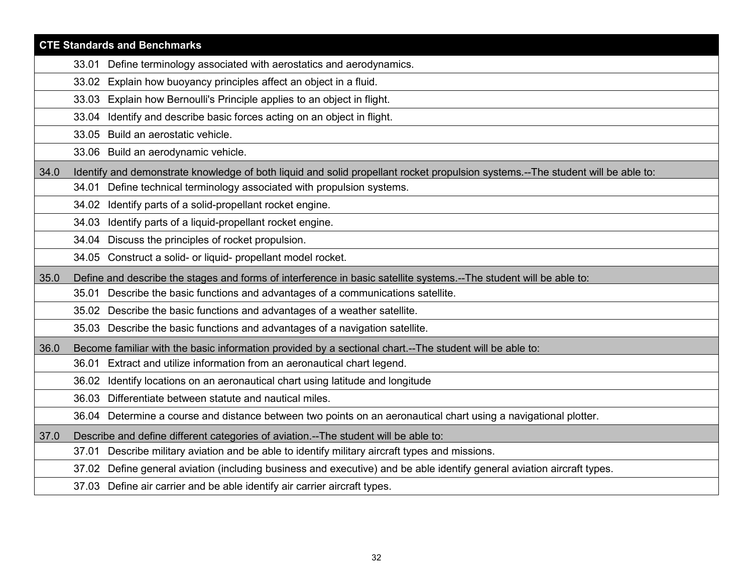|      | <b>CTE Standards and Benchmarks</b>                                                                                             |
|------|---------------------------------------------------------------------------------------------------------------------------------|
|      | 33.01 Define terminology associated with aerostatics and aerodynamics.                                                          |
|      | 33.02 Explain how buoyancy principles affect an object in a fluid.                                                              |
|      | Explain how Bernoulli's Principle applies to an object in flight.<br>33.03                                                      |
|      | Identify and describe basic forces acting on an object in flight.<br>33.04                                                      |
|      | 33.05 Build an aerostatic vehicle.                                                                                              |
|      | 33.06 Build an aerodynamic vehicle.                                                                                             |
| 34.0 | Identify and demonstrate knowledge of both liquid and solid propellant rocket propulsion systems.--The student will be able to: |
|      | 34.01 Define technical terminology associated with propulsion systems.                                                          |
|      | 34.02 Identify parts of a solid-propellant rocket engine.                                                                       |
|      | Identify parts of a liquid-propellant rocket engine.<br>34.03                                                                   |
|      | 34.04 Discuss the principles of rocket propulsion.                                                                              |
|      | 34.05 Construct a solid- or liquid- propellant model rocket.                                                                    |
| 35.0 | Define and describe the stages and forms of interference in basic satellite systems.--The student will be able to:              |
|      | 35.01 Describe the basic functions and advantages of a communications satellite.                                                |
|      | 35.02 Describe the basic functions and advantages of a weather satellite.                                                       |
|      | 35.03 Describe the basic functions and advantages of a navigation satellite.                                                    |
| 36.0 | Become familiar with the basic information provided by a sectional chart.--The student will be able to:                         |
|      | 36.01 Extract and utilize information from an aeronautical chart legend.                                                        |
|      | 36.02 Identify locations on an aeronautical chart using latitude and longitude                                                  |
|      | Differentiate between statute and nautical miles.<br>36.03                                                                      |
|      | 36.04 Determine a course and distance between two points on an aeronautical chart using a navigational plotter.                 |
| 37.0 | Describe and define different categories of aviation.--The student will be able to:                                             |
|      | 37.01 Describe military aviation and be able to identify military aircraft types and missions.                                  |
|      | 37.02 Define general aviation (including business and executive) and be able identify general aviation aircraft types.          |
|      | 37.03 Define air carrier and be able identify air carrier aircraft types.                                                       |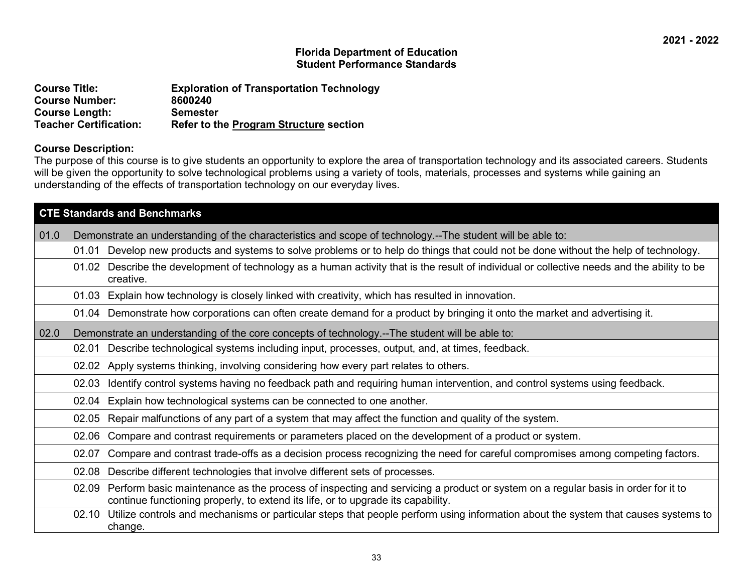| <b>Course Title:</b>          | <b>Exploration of Transportation Technology</b> |
|-------------------------------|-------------------------------------------------|
| <b>Course Number:</b>         | 8600240                                         |
| <b>Course Length:</b>         | <b>Semester</b>                                 |
| <b>Teacher Certification:</b> | <b>Refer to the Program Structure section</b>   |

#### **Course Description:**

The purpose of this course is to give students an opportunity to explore the area of transportation technology and its associated careers. Students will be given the opportunity to solve technological problems using a variety of tools, materials, processes and systems while gaining an understanding of the effects of transportation technology on our everyday lives.

| <b>CTE Standards and Benchmarks</b>                                                                                                                                                                                         |  |  |  |  |
|-----------------------------------------------------------------------------------------------------------------------------------------------------------------------------------------------------------------------------|--|--|--|--|
| 01.0 <br>Demonstrate an understanding of the characteristics and scope of technology.--The student will be able to:                                                                                                         |  |  |  |  |
| Develop new products and systems to solve problems or to help do things that could not be done without the help of technology.<br>01.01                                                                                     |  |  |  |  |
| 01.02 Describe the development of technology as a human activity that is the result of individual or collective needs and the ability to be<br>creative.                                                                    |  |  |  |  |
| 01.03 Explain how technology is closely linked with creativity, which has resulted in innovation.                                                                                                                           |  |  |  |  |
| 01.04 Demonstrate how corporations can often create demand for a product by bringing it onto the market and advertising it.                                                                                                 |  |  |  |  |
| 02.0<br>Demonstrate an understanding of the core concepts of technology.--The student will be able to:                                                                                                                      |  |  |  |  |
| Describe technological systems including input, processes, output, and, at times, feedback.<br>02.01                                                                                                                        |  |  |  |  |
| Apply systems thinking, involving considering how every part relates to others.<br>02.02                                                                                                                                    |  |  |  |  |
| Identify control systems having no feedback path and requiring human intervention, and control systems using feedback.<br>02.03                                                                                             |  |  |  |  |
| Explain how technological systems can be connected to one another.<br>02.04                                                                                                                                                 |  |  |  |  |
| Repair malfunctions of any part of a system that may affect the function and quality of the system.<br>02.05                                                                                                                |  |  |  |  |
| Compare and contrast requirements or parameters placed on the development of a product or system.<br>02.06                                                                                                                  |  |  |  |  |
| Compare and contrast trade-offs as a decision process recognizing the need for careful compromises among competing factors.<br>02.07                                                                                        |  |  |  |  |
| Describe different technologies that involve different sets of processes.<br>02.08                                                                                                                                          |  |  |  |  |
| Perform basic maintenance as the process of inspecting and servicing a product or system on a regular basis in order for it to<br>02.09<br>continue functioning properly, to extend its life, or to upgrade its capability. |  |  |  |  |
| Utilize controls and mechanisms or particular steps that people perform using information about the system that causes systems to<br>02.10<br>change.                                                                       |  |  |  |  |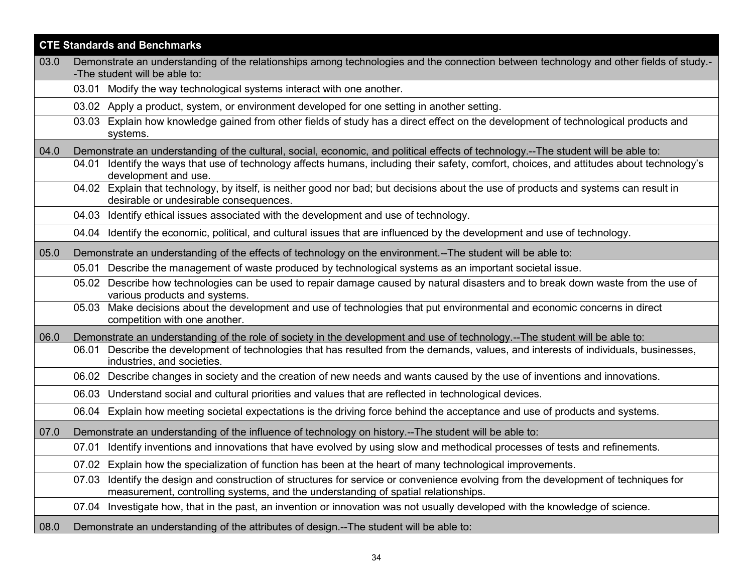| <b>CTE Standards and Benchmarks</b> |                                                                                                                                                                                                                             |  |
|-------------------------------------|-----------------------------------------------------------------------------------------------------------------------------------------------------------------------------------------------------------------------------|--|
| 03.0                                | Demonstrate an understanding of the relationships among technologies and the connection between technology and other fields of study.-                                                                                      |  |
|                                     | -The student will be able to:<br>03.01 Modify the way technological systems interact with one another.                                                                                                                      |  |
|                                     |                                                                                                                                                                                                                             |  |
|                                     | 03.02 Apply a product, system, or environment developed for one setting in another setting.                                                                                                                                 |  |
|                                     | Explain how knowledge gained from other fields of study has a direct effect on the development of technological products and<br>03.03<br>systems.                                                                           |  |
| 04.0                                | Demonstrate an understanding of the cultural, social, economic, and political effects of technology.--The student will be able to:                                                                                          |  |
|                                     | Identify the ways that use of technology affects humans, including their safety, comfort, choices, and attitudes about technology's<br>04.01<br>development and use.                                                        |  |
|                                     | 04.02 Explain that technology, by itself, is neither good nor bad; but decisions about the use of products and systems can result in<br>desirable or undesirable consequences.                                              |  |
|                                     | 04.03 Identify ethical issues associated with the development and use of technology.                                                                                                                                        |  |
|                                     | 04.04 Identify the economic, political, and cultural issues that are influenced by the development and use of technology.                                                                                                   |  |
| 05.0                                | Demonstrate an understanding of the effects of technology on the environment.--The student will be able to:                                                                                                                 |  |
|                                     | 05.01 Describe the management of waste produced by technological systems as an important societal issue.                                                                                                                    |  |
|                                     | 05.02 Describe how technologies can be used to repair damage caused by natural disasters and to break down waste from the use of<br>various products and systems.                                                           |  |
|                                     | 05.03 Make decisions about the development and use of technologies that put environmental and economic concerns in direct<br>competition with one another.                                                                  |  |
| 06.0                                | Demonstrate an understanding of the role of society in the development and use of technology.--The student will be able to:                                                                                                 |  |
|                                     | Describe the development of technologies that has resulted from the demands, values, and interests of individuals, businesses,<br>06.01<br>industries, and societies.                                                       |  |
|                                     | Describe changes in society and the creation of new needs and wants caused by the use of inventions and innovations.<br>06.02                                                                                               |  |
|                                     | 06.03 Understand social and cultural priorities and values that are reflected in technological devices.                                                                                                                     |  |
|                                     | Explain how meeting societal expectations is the driving force behind the acceptance and use of products and systems.<br>06.04                                                                                              |  |
| 07.0                                | Demonstrate an understanding of the influence of technology on history.--The student will be able to:                                                                                                                       |  |
|                                     | Identify inventions and innovations that have evolved by using slow and methodical processes of tests and refinements.<br>07.01                                                                                             |  |
|                                     | 07.02 Explain how the specialization of function has been at the heart of many technological improvements.                                                                                                                  |  |
|                                     | Identify the design and construction of structures for service or convenience evolving from the development of techniques for<br>07.03<br>measurement, controlling systems, and the understanding of spatial relationships. |  |
|                                     | Investigate how, that in the past, an invention or innovation was not usually developed with the knowledge of science.<br>07.04                                                                                             |  |
| 08.0                                | Demonstrate an understanding of the attributes of design.--The student will be able to:                                                                                                                                     |  |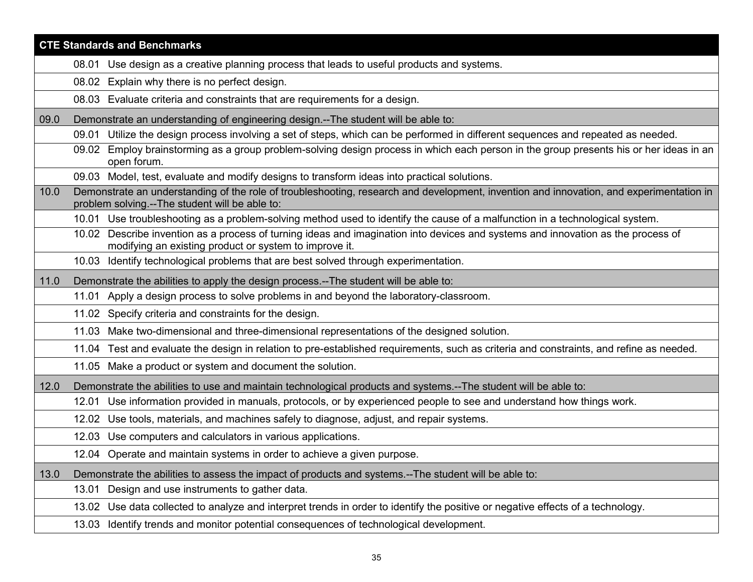|      | <b>CTE Standards and Benchmarks</b>                                                                                                                                                        |  |  |
|------|--------------------------------------------------------------------------------------------------------------------------------------------------------------------------------------------|--|--|
|      | 08.01 Use design as a creative planning process that leads to useful products and systems.                                                                                                 |  |  |
|      | 08.02 Explain why there is no perfect design.                                                                                                                                              |  |  |
|      | 08.03 Evaluate criteria and constraints that are requirements for a design.                                                                                                                |  |  |
| 09.0 | Demonstrate an understanding of engineering design.--The student will be able to:                                                                                                          |  |  |
|      | Utilize the design process involving a set of steps, which can be performed in different sequences and repeated as needed.<br>09.01                                                        |  |  |
|      | 09.02 Employ brainstorming as a group problem-solving design process in which each person in the group presents his or her ideas in an<br>open forum.                                      |  |  |
|      | 09.03 Model, test, evaluate and modify designs to transform ideas into practical solutions.                                                                                                |  |  |
| 10.0 | Demonstrate an understanding of the role of troubleshooting, research and development, invention and innovation, and experimentation in<br>problem solving.--The student will be able to:  |  |  |
|      | 10.01 Use troubleshooting as a problem-solving method used to identify the cause of a malfunction in a technological system.                                                               |  |  |
|      | 10.02 Describe invention as a process of turning ideas and imagination into devices and systems and innovation as the process of<br>modifying an existing product or system to improve it. |  |  |
|      | 10.03 Identify technological problems that are best solved through experimentation.                                                                                                        |  |  |
| 11.0 | Demonstrate the abilities to apply the design process.--The student will be able to:                                                                                                       |  |  |
|      | 11.01 Apply a design process to solve problems in and beyond the laboratory-classroom.                                                                                                     |  |  |
|      | 11.02 Specify criteria and constraints for the design.                                                                                                                                     |  |  |
|      | 11.03 Make two-dimensional and three-dimensional representations of the designed solution.                                                                                                 |  |  |
|      | 11.04 Test and evaluate the design in relation to pre-established requirements, such as criteria and constraints, and refine as needed.                                                    |  |  |
|      | 11.05 Make a product or system and document the solution.                                                                                                                                  |  |  |
| 12.0 | Demonstrate the abilities to use and maintain technological products and systems.--The student will be able to:                                                                            |  |  |
|      | Use information provided in manuals, protocols, or by experienced people to see and understand how things work.<br>12.01                                                                   |  |  |
|      | Use tools, materials, and machines safely to diagnose, adjust, and repair systems.<br>12.02                                                                                                |  |  |
|      | 12.03 Use computers and calculators in various applications.                                                                                                                               |  |  |
|      | 12.04 Operate and maintain systems in order to achieve a given purpose.                                                                                                                    |  |  |
| 13.0 | Demonstrate the abilities to assess the impact of products and systems.--The student will be able to:                                                                                      |  |  |
|      | Design and use instruments to gather data.<br>13.01                                                                                                                                        |  |  |
|      | 13.02 Use data collected to analyze and interpret trends in order to identify the positive or negative effects of a technology.                                                            |  |  |
|      | 13.03 Identify trends and monitor potential consequences of technological development.                                                                                                     |  |  |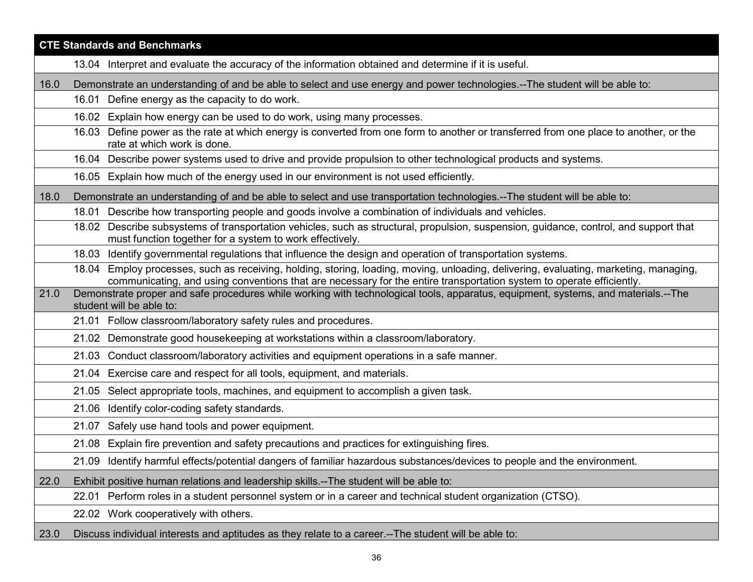| <b>CTE Standards and Benchmarks</b> |                                                                                                                                                                                                                                                                                                                                                                                                    |  |
|-------------------------------------|----------------------------------------------------------------------------------------------------------------------------------------------------------------------------------------------------------------------------------------------------------------------------------------------------------------------------------------------------------------------------------------------------|--|
|                                     | 13.04 Interpret and evaluate the accuracy of the information obtained and determine if it is useful.                                                                                                                                                                                                                                                                                               |  |
| 16.0                                | Demonstrate an understanding of and be able to select and use energy and power technologies.--The student will be able to:                                                                                                                                                                                                                                                                         |  |
|                                     | Define energy as the capacity to do work.<br>16.01                                                                                                                                                                                                                                                                                                                                                 |  |
|                                     | Explain how energy can be used to do work, using many processes.<br>16.02                                                                                                                                                                                                                                                                                                                          |  |
|                                     | Define power as the rate at which energy is converted from one form to another or transferred from one place to another, or the<br>16.03<br>rate at which work is done.                                                                                                                                                                                                                            |  |
|                                     | 16.04 Describe power systems used to drive and provide propulsion to other technological products and systems.                                                                                                                                                                                                                                                                                     |  |
|                                     | 16.05 Explain how much of the energy used in our environment is not used efficiently.                                                                                                                                                                                                                                                                                                              |  |
| 18.0                                | Demonstrate an understanding of and be able to select and use transportation technologies.--The student will be able to:                                                                                                                                                                                                                                                                           |  |
|                                     | 18.01 Describe how transporting people and goods involve a combination of individuals and vehicles.                                                                                                                                                                                                                                                                                                |  |
|                                     | 18.02 Describe subsystems of transportation vehicles, such as structural, propulsion, suspension, guidance, control, and support that<br>must function together for a system to work effectively.                                                                                                                                                                                                  |  |
|                                     | Identify governmental regulations that influence the design and operation of transportation systems.<br>18.03                                                                                                                                                                                                                                                                                      |  |
| 21.0                                | 18.04 Employ processes, such as receiving, holding, storing, loading, moving, unloading, delivering, evaluating, marketing, managing,<br>communicating, and using conventions that are necessary for the entire transportation system to operate efficiently.<br>Demonstrate proper and safe procedures while working with technological tools, apparatus, equipment, systems, and materials.--The |  |
|                                     | student will be able to:                                                                                                                                                                                                                                                                                                                                                                           |  |
|                                     | 21.01 Follow classroom/laboratory safety rules and procedures.                                                                                                                                                                                                                                                                                                                                     |  |
|                                     | 21.02 Demonstrate good housekeeping at workstations within a classroom/laboratory.                                                                                                                                                                                                                                                                                                                 |  |
|                                     | Conduct classroom/laboratory activities and equipment operations in a safe manner.<br>21.03                                                                                                                                                                                                                                                                                                        |  |
|                                     | Exercise care and respect for all tools, equipment, and materials.<br>21.04                                                                                                                                                                                                                                                                                                                        |  |
|                                     | Select appropriate tools, machines, and equipment to accomplish a given task.<br>21.05                                                                                                                                                                                                                                                                                                             |  |
|                                     | Identify color-coding safety standards.<br>21.06                                                                                                                                                                                                                                                                                                                                                   |  |
|                                     | 21.07 Safely use hand tools and power equipment.                                                                                                                                                                                                                                                                                                                                                   |  |
|                                     | 21.08 Explain fire prevention and safety precautions and practices for extinguishing fires.                                                                                                                                                                                                                                                                                                        |  |
|                                     | 21.09 Identify harmful effects/potential dangers of familiar hazardous substances/devices to people and the environment.                                                                                                                                                                                                                                                                           |  |
| 22.0                                | Exhibit positive human relations and leadership skills.--The student will be able to:                                                                                                                                                                                                                                                                                                              |  |
|                                     | Perform roles in a student personnel system or in a career and technical student organization (CTSO).<br>22.01                                                                                                                                                                                                                                                                                     |  |
|                                     | 22.02 Work cooperatively with others.                                                                                                                                                                                                                                                                                                                                                              |  |
| 23.0                                | Discuss individual interests and aptitudes as they relate to a career.--The student will be able to:                                                                                                                                                                                                                                                                                               |  |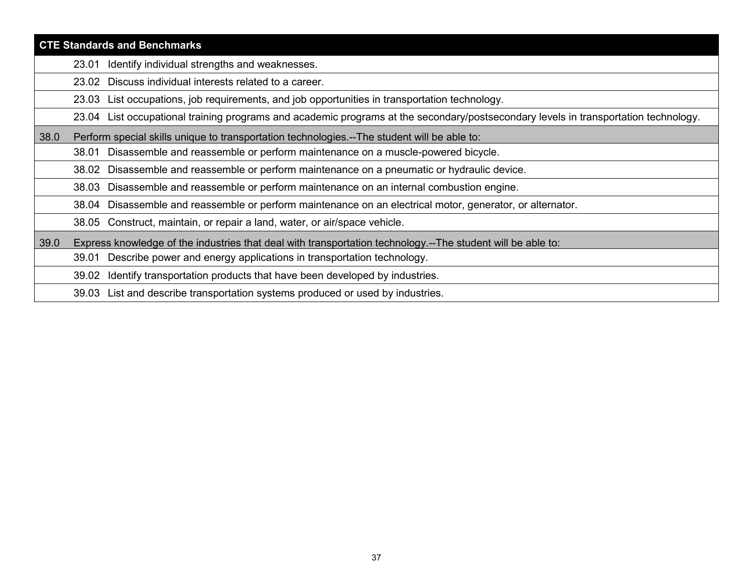|      | <b>CTE Standards and Benchmarks</b>                                                                                                 |
|------|-------------------------------------------------------------------------------------------------------------------------------------|
|      | Identify individual strengths and weaknesses.<br>23.01                                                                              |
|      | Discuss individual interests related to a career.<br>23.02                                                                          |
|      | 23.03 List occupations, job requirements, and job opportunities in transportation technology.                                       |
|      | 23.04 List occupational training programs and academic programs at the secondary/postsecondary levels in transportation technology. |
| 38.0 | Perform special skills unique to transportation technologies.--The student will be able to:                                         |
|      | Disassemble and reassemble or perform maintenance on a muscle-powered bicycle.<br>38.01                                             |
|      | Disassemble and reassemble or perform maintenance on a pneumatic or hydraulic device.<br>38.02                                      |
|      | Disassemble and reassemble or perform maintenance on an internal combustion engine.<br>38.03                                        |
|      | 38.04 Disassemble and reassemble or perform maintenance on an electrical motor, generator, or alternator.                           |
|      | 38.05 Construct, maintain, or repair a land, water, or air/space vehicle.                                                           |
| 39.0 | Express knowledge of the industries that deal with transportation technology.--The student will be able to:                         |
|      | Describe power and energy applications in transportation technology.<br>39.01                                                       |
|      | Identify transportation products that have been developed by industries.<br>39.02                                                   |
|      | 39.03 List and describe transportation systems produced or used by industries.                                                      |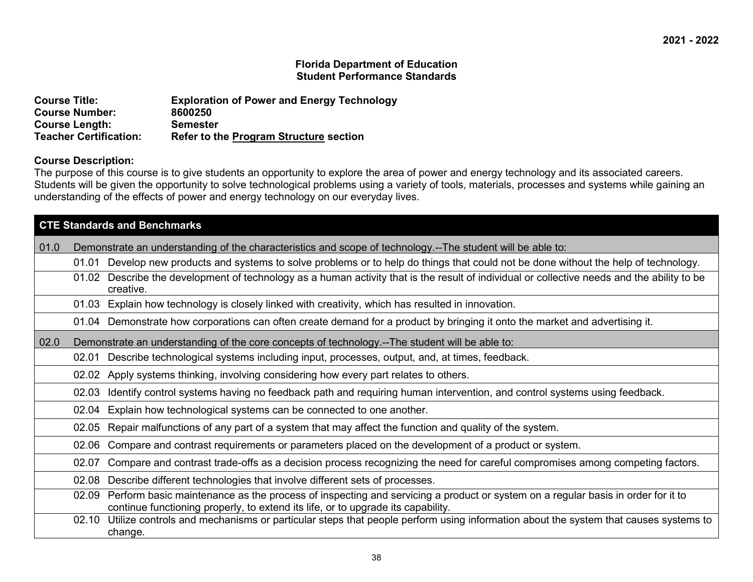| <b>Course Title:</b>          | <b>Exploration of Power and Energy Technology</b> |
|-------------------------------|---------------------------------------------------|
| <b>Course Number:</b>         | 8600250                                           |
| <b>Course Length:</b>         | Semester                                          |
| <b>Teacher Certification:</b> | <b>Refer to the Program Structure section</b>     |

# **Course Description:**

The purpose of this course is to give students an opportunity to explore the area of power and energy technology and its associated careers. Students will be given the opportunity to solve technological problems using a variety of tools, materials, processes and systems while gaining an understanding of the effects of power and energy technology on our everyday lives.

|      |       | <b>CTE Standards and Benchmarks</b>                                                                                                                                                                                |  |  |
|------|-------|--------------------------------------------------------------------------------------------------------------------------------------------------------------------------------------------------------------------|--|--|
| 01.0 |       | Demonstrate an understanding of the characteristics and scope of technology.--The student will be able to:                                                                                                         |  |  |
|      | 01.01 | Develop new products and systems to solve problems or to help do things that could not be done without the help of technology.                                                                                     |  |  |
|      |       | 01.02 Describe the development of technology as a human activity that is the result of individual or collective needs and the ability to be<br>creative.                                                           |  |  |
|      |       | 01.03 Explain how technology is closely linked with creativity, which has resulted in innovation.                                                                                                                  |  |  |
|      |       | 01.04 Demonstrate how corporations can often create demand for a product by bringing it onto the market and advertising it.                                                                                        |  |  |
| 02.0 |       | Demonstrate an understanding of the core concepts of technology.--The student will be able to:                                                                                                                     |  |  |
|      |       | 02.01 Describe technological systems including input, processes, output, and, at times, feedback.                                                                                                                  |  |  |
|      |       | 02.02 Apply systems thinking, involving considering how every part relates to others.                                                                                                                              |  |  |
|      | 02.03 | Identify control systems having no feedback path and requiring human intervention, and control systems using feedback.                                                                                             |  |  |
|      |       | 02.04 Explain how technological systems can be connected to one another.                                                                                                                                           |  |  |
|      | 02.05 | Repair malfunctions of any part of a system that may affect the function and quality of the system.                                                                                                                |  |  |
|      | 02.06 | Compare and contrast requirements or parameters placed on the development of a product or system.                                                                                                                  |  |  |
|      | 02.07 | Compare and contrast trade-offs as a decision process recognizing the need for careful compromises among competing factors.                                                                                        |  |  |
|      | 02.08 | Describe different technologies that involve different sets of processes.                                                                                                                                          |  |  |
|      | 02.09 | Perform basic maintenance as the process of inspecting and servicing a product or system on a regular basis in order for it to<br>continue functioning properly, to extend its life, or to upgrade its capability. |  |  |
|      |       | 02.10 Utilize controls and mechanisms or particular steps that people perform using information about the system that causes systems to<br>change.                                                                 |  |  |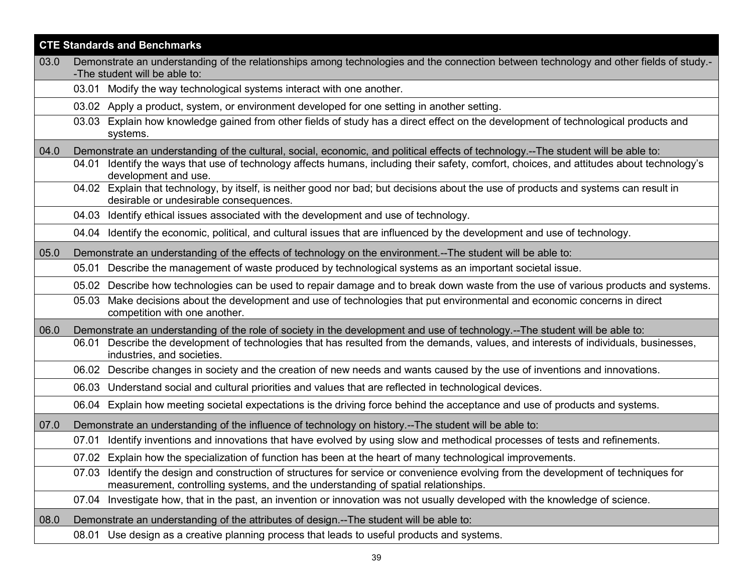|      | <b>CTE Standards and Benchmarks</b>                                                                                                                                                                                      |  |
|------|--------------------------------------------------------------------------------------------------------------------------------------------------------------------------------------------------------------------------|--|
| 03.0 | Demonstrate an understanding of the relationships among technologies and the connection between technology and other fields of study.-                                                                                   |  |
|      | -The student will be able to:<br>03.01 Modify the way technological systems interact with one another.                                                                                                                   |  |
|      | 03.02 Apply a product, system, or environment developed for one setting in another setting.                                                                                                                              |  |
|      | Explain how knowledge gained from other fields of study has a direct effect on the development of technological products and<br>03.03                                                                                    |  |
|      | systems.                                                                                                                                                                                                                 |  |
| 04.0 | Demonstrate an understanding of the cultural, social, economic, and political effects of technology.--The student will be able to:                                                                                       |  |
|      | 04.01 Identify the ways that use of technology affects humans, including their safety, comfort, choices, and attitudes about technology's<br>development and use.                                                        |  |
|      | 04.02 Explain that technology, by itself, is neither good nor bad; but decisions about the use of products and systems can result in<br>desirable or undesirable consequences.                                           |  |
|      | 04.03 Identify ethical issues associated with the development and use of technology.                                                                                                                                     |  |
|      | 04.04 Identify the economic, political, and cultural issues that are influenced by the development and use of technology.                                                                                                |  |
| 05.0 | Demonstrate an understanding of the effects of technology on the environment.--The student will be able to:                                                                                                              |  |
|      | 05.01 Describe the management of waste produced by technological systems as an important societal issue.                                                                                                                 |  |
|      | 05.02 Describe how technologies can be used to repair damage and to break down waste from the use of various products and systems.                                                                                       |  |
|      | Make decisions about the development and use of technologies that put environmental and economic concerns in direct<br>05.03<br>competition with one another.                                                            |  |
| 06.0 | Demonstrate an understanding of the role of society in the development and use of technology.--The student will be able to:                                                                                              |  |
|      | Describe the development of technologies that has resulted from the demands, values, and interests of individuals, businesses,<br>06.01<br>industries, and societies.                                                    |  |
|      | 06.02 Describe changes in society and the creation of new needs and wants caused by the use of inventions and innovations.                                                                                               |  |
|      | 06.03 Understand social and cultural priorities and values that are reflected in technological devices.                                                                                                                  |  |
|      | 06.04 Explain how meeting societal expectations is the driving force behind the acceptance and use of products and systems.                                                                                              |  |
| 07.0 | Demonstrate an understanding of the influence of technology on history.--The student will be able to:                                                                                                                    |  |
|      | 07.01 Identify inventions and innovations that have evolved by using slow and methodical processes of tests and refinements.                                                                                             |  |
|      | 07.02 Explain how the specialization of function has been at the heart of many technological improvements.                                                                                                               |  |
|      | 07.03 Identify the design and construction of structures for service or convenience evolving from the development of techniques for<br>measurement, controlling systems, and the understanding of spatial relationships. |  |
|      | 07.04 Investigate how, that in the past, an invention or innovation was not usually developed with the knowledge of science.                                                                                             |  |
| 08.0 | Demonstrate an understanding of the attributes of design.--The student will be able to:                                                                                                                                  |  |
|      | 08.01 Use design as a creative planning process that leads to useful products and systems.                                                                                                                               |  |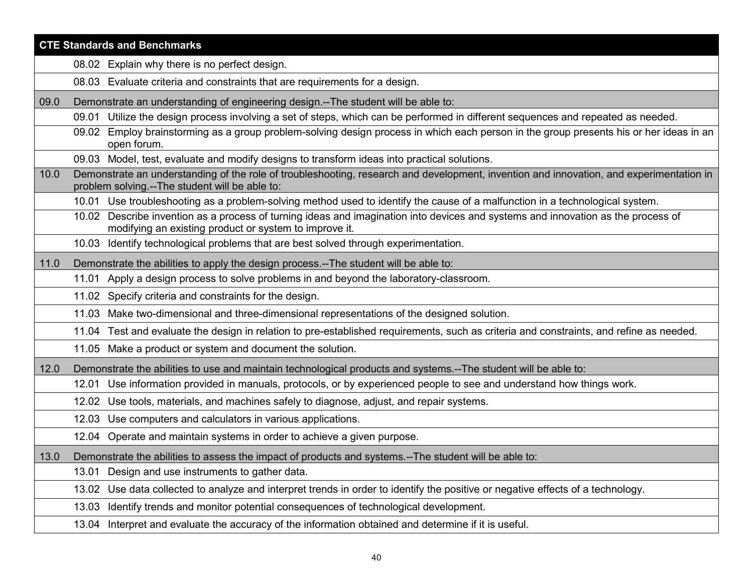|      | <b>CTE Standards and Benchmarks</b>                                                                                                                                                        |
|------|--------------------------------------------------------------------------------------------------------------------------------------------------------------------------------------------|
|      | 08.02 Explain why there is no perfect design.                                                                                                                                              |
|      | 08.03 Evaluate criteria and constraints that are requirements for a design.                                                                                                                |
| 09.0 | Demonstrate an understanding of engineering design.--The student will be able to:                                                                                                          |
|      | 09.01 Utilize the design process involving a set of steps, which can be performed in different sequences and repeated as needed.                                                           |
|      | Employ brainstorming as a group problem-solving design process in which each person in the group presents his or her ideas in an<br>09.02<br>open forum.                                   |
|      | 09.03 Model, test, evaluate and modify designs to transform ideas into practical solutions.                                                                                                |
| 10.0 | Demonstrate an understanding of the role of troubleshooting, research and development, invention and innovation, and experimentation in<br>problem solving.--The student will be able to:  |
|      | 10.01 Use troubleshooting as a problem-solving method used to identify the cause of a malfunction in a technological system.                                                               |
|      | 10.02 Describe invention as a process of turning ideas and imagination into devices and systems and innovation as the process of<br>modifying an existing product or system to improve it. |
|      | 10.03 Identify technological problems that are best solved through experimentation.                                                                                                        |
| 11.0 | Demonstrate the abilities to apply the design process.--The student will be able to:                                                                                                       |
|      | 11.01 Apply a design process to solve problems in and beyond the laboratory-classroom.                                                                                                     |
|      | 11.02 Specify criteria and constraints for the design.                                                                                                                                     |
|      | 11.03 Make two-dimensional and three-dimensional representations of the designed solution.                                                                                                 |
|      | 11.04 Test and evaluate the design in relation to pre-established requirements, such as criteria and constraints, and refine as needed.                                                    |
|      | 11.05 Make a product or system and document the solution.                                                                                                                                  |
| 12.0 | Demonstrate the abilities to use and maintain technological products and systems.--The student will be able to:                                                                            |
|      | Use information provided in manuals, protocols, or by experienced people to see and understand how things work.<br>12.01                                                                   |
|      | Use tools, materials, and machines safely to diagnose, adjust, and repair systems.<br>12.02                                                                                                |
|      | 12.03 Use computers and calculators in various applications.                                                                                                                               |
|      | 12.04 Operate and maintain systems in order to achieve a given purpose.                                                                                                                    |
| 13.0 | Demonstrate the abilities to assess the impact of products and systems.--The student will be able to:                                                                                      |
|      | Design and use instruments to gather data.<br>13.01                                                                                                                                        |
|      | Use data collected to analyze and interpret trends in order to identify the positive or negative effects of a technology.<br>13.02                                                         |
|      | Identify trends and monitor potential consequences of technological development.<br>13.03                                                                                                  |
|      | 13.04 Interpret and evaluate the accuracy of the information obtained and determine if it is useful.                                                                                       |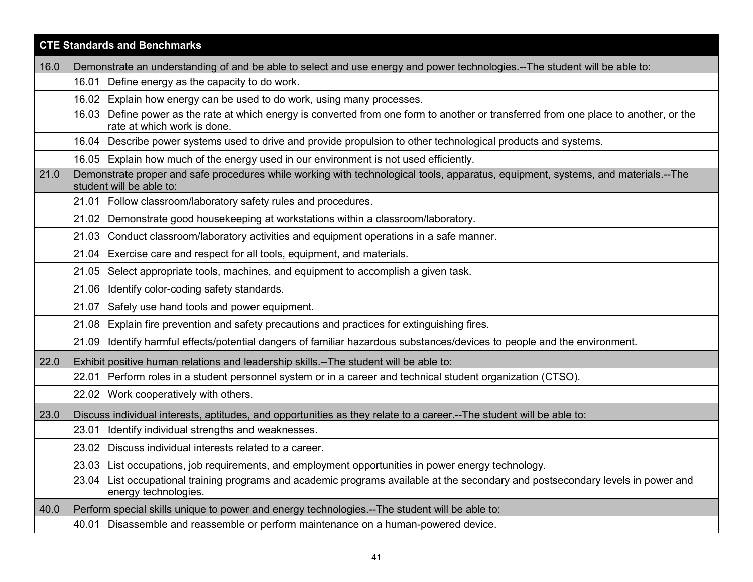|      | <b>CTE Standards and Benchmarks</b>                                                                                                                                     |  |
|------|-------------------------------------------------------------------------------------------------------------------------------------------------------------------------|--|
| 16.0 | Demonstrate an understanding of and be able to select and use energy and power technologies.--The student will be able to:                                              |  |
|      | 16.01 Define energy as the capacity to do work.                                                                                                                         |  |
|      | 16.02 Explain how energy can be used to do work, using many processes.                                                                                                  |  |
|      | Define power as the rate at which energy is converted from one form to another or transferred from one place to another, or the<br>16.03<br>rate at which work is done. |  |
|      | 16.04 Describe power systems used to drive and provide propulsion to other technological products and systems.                                                          |  |
|      | 16.05 Explain how much of the energy used in our environment is not used efficiently.                                                                                   |  |
| 21.0 | Demonstrate proper and safe procedures while working with technological tools, apparatus, equipment, systems, and materials.--The<br>student will be able to:           |  |
|      | 21.01 Follow classroom/laboratory safety rules and procedures.                                                                                                          |  |
|      | 21.02 Demonstrate good housekeeping at workstations within a classroom/laboratory.                                                                                      |  |
|      | Conduct classroom/laboratory activities and equipment operations in a safe manner.<br>21.03                                                                             |  |
|      | 21.04 Exercise care and respect for all tools, equipment, and materials.                                                                                                |  |
|      | Select appropriate tools, machines, and equipment to accomplish a given task.<br>21.05                                                                                  |  |
|      | Identify color-coding safety standards.<br>21.06                                                                                                                        |  |
|      | Safely use hand tools and power equipment.<br>21.07                                                                                                                     |  |
|      | 21.08 Explain fire prevention and safety precautions and practices for extinguishing fires.                                                                             |  |
|      | Identify harmful effects/potential dangers of familiar hazardous substances/devices to people and the environment.<br>21.09                                             |  |
| 22.0 | Exhibit positive human relations and leadership skills.--The student will be able to:                                                                                   |  |
|      | 22.01 Perform roles in a student personnel system or in a career and technical student organization (CTSO).                                                             |  |
|      | 22.02 Work cooperatively with others.                                                                                                                                   |  |
| 23.0 | Discuss individual interests, aptitudes, and opportunities as they relate to a career.--The student will be able to:                                                    |  |
|      | Identify individual strengths and weaknesses.<br>23.01                                                                                                                  |  |
|      | 23.02 Discuss individual interests related to a career.                                                                                                                 |  |
|      | 23.03 List occupations, job requirements, and employment opportunities in power energy technology.                                                                      |  |
|      | List occupational training programs and academic programs available at the secondary and postsecondary levels in power and<br>23.04<br>energy technologies.             |  |
| 40.0 | Perform special skills unique to power and energy technologies.--The student will be able to:                                                                           |  |
|      | Disassemble and reassemble or perform maintenance on a human-powered device.<br>40.01                                                                                   |  |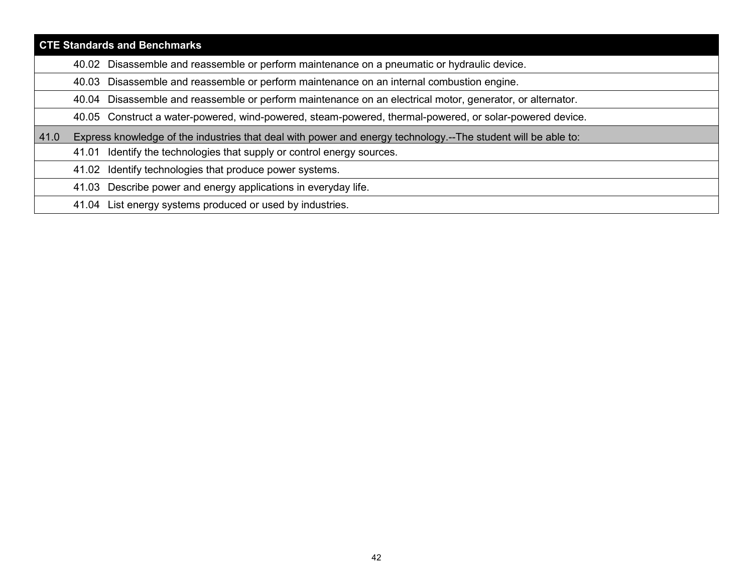|      | <b>CTE Standards and Benchmarks</b>                                                                           |  |  |
|------|---------------------------------------------------------------------------------------------------------------|--|--|
|      | Disassemble and reassemble or perform maintenance on a pneumatic or hydraulic device.<br>40.02                |  |  |
|      | Disassemble and reassemble or perform maintenance on an internal combustion engine.<br>40.03                  |  |  |
|      | 40.04 Disassemble and reassemble or perform maintenance on an electrical motor, generator, or alternator.     |  |  |
|      | 40.05 Construct a water-powered, wind-powered, steam-powered, thermal-powered, or solar-powered device.       |  |  |
| 41.0 | Express knowledge of the industries that deal with power and energy technology.--The student will be able to: |  |  |
|      | 41.01 Identify the technologies that supply or control energy sources.                                        |  |  |
|      | 41.02 Identify technologies that produce power systems.                                                       |  |  |
|      | Describe power and energy applications in everyday life.<br>41.03                                             |  |  |
|      | 41.04 List energy systems produced or used by industries.                                                     |  |  |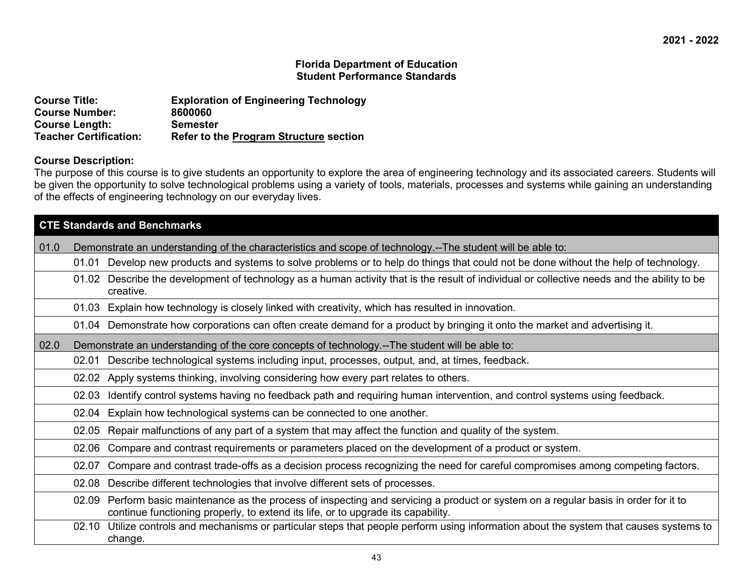| <b>Course Title:</b>          | <b>Exploration of Engineering Technology</b>  |
|-------------------------------|-----------------------------------------------|
| <b>Course Number:</b>         | 8600060                                       |
| <b>Course Length:</b>         | <b>Semester</b>                               |
| <b>Teacher Certification:</b> | <b>Refer to the Program Structure section</b> |

# **Course Description:**

The purpose of this course is to give students an opportunity to explore the area of engineering technology and its associated careers. Students will be given the opportunity to solve technological problems using a variety of tools, materials, processes and systems while gaining an understanding of the effects of engineering technology on our everyday lives.

|      | <b>CTE Standards and Benchmarks</b> |                                                                                                                                                                                                                          |
|------|-------------------------------------|--------------------------------------------------------------------------------------------------------------------------------------------------------------------------------------------------------------------------|
| 01.0 |                                     | Demonstrate an understanding of the characteristics and scope of technology.--The student will be able to:                                                                                                               |
|      | 01.01                               | Develop new products and systems to solve problems or to help do things that could not be done without the help of technology.                                                                                           |
|      |                                     | 01.02 Describe the development of technology as a human activity that is the result of individual or collective needs and the ability to be<br>creative.                                                                 |
|      |                                     | 01.03 Explain how technology is closely linked with creativity, which has resulted in innovation.                                                                                                                        |
|      |                                     | 01.04 Demonstrate how corporations can often create demand for a product by bringing it onto the market and advertising it.                                                                                              |
| 02.0 |                                     | Demonstrate an understanding of the core concepts of technology.--The student will be able to:                                                                                                                           |
|      | 02.01                               | Describe technological systems including input, processes, output, and, at times, feedback.                                                                                                                              |
|      |                                     | 02.02 Apply systems thinking, involving considering how every part relates to others.                                                                                                                                    |
|      | 02.03                               | Identify control systems having no feedback path and requiring human intervention, and control systems using feedback.                                                                                                   |
|      | 02.04                               | Explain how technological systems can be connected to one another.                                                                                                                                                       |
|      | 02.05                               | Repair malfunctions of any part of a system that may affect the function and quality of the system.                                                                                                                      |
|      | 02.06                               | Compare and contrast requirements or parameters placed on the development of a product or system.                                                                                                                        |
|      | 02.07                               | Compare and contrast trade-offs as a decision process recognizing the need for careful compromises among competing factors.                                                                                              |
|      | 02.08                               | Describe different technologies that involve different sets of processes.                                                                                                                                                |
|      |                                     | 02.09 Perform basic maintenance as the process of inspecting and servicing a product or system on a regular basis in order for it to<br>continue functioning properly, to extend its life, or to upgrade its capability. |
|      | 02.10                               | Utilize controls and mechanisms or particular steps that people perform using information about the system that causes systems to<br>change.                                                                             |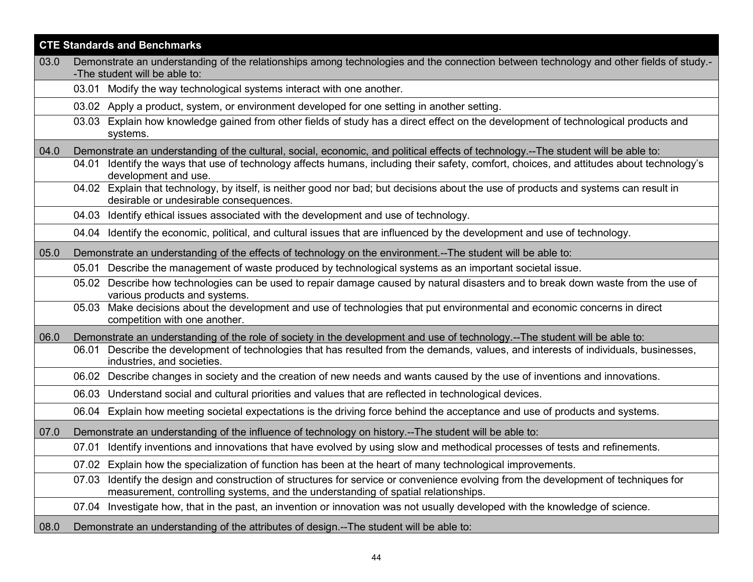|      | <b>CTE Standards and Benchmarks</b>                                                                                                                                                                                         |  |
|------|-----------------------------------------------------------------------------------------------------------------------------------------------------------------------------------------------------------------------------|--|
| 03.0 | Demonstrate an understanding of the relationships among technologies and the connection between technology and other fields of study.-                                                                                      |  |
|      | -The student will be able to:<br>03.01 Modify the way technological systems interact with one another.                                                                                                                      |  |
|      | 03.02 Apply a product, system, or environment developed for one setting in another setting.                                                                                                                                 |  |
|      | Explain how knowledge gained from other fields of study has a direct effect on the development of technological products and<br>03.03                                                                                       |  |
|      | systems.                                                                                                                                                                                                                    |  |
| 04.0 | Demonstrate an understanding of the cultural, social, economic, and political effects of technology.--The student will be able to:                                                                                          |  |
|      | 04.01 Identify the ways that use of technology affects humans, including their safety, comfort, choices, and attitudes about technology's<br>development and use.                                                           |  |
|      | 04.02 Explain that technology, by itself, is neither good nor bad; but decisions about the use of products and systems can result in<br>desirable or undesirable consequences.                                              |  |
|      | 04.03 Identify ethical issues associated with the development and use of technology.                                                                                                                                        |  |
|      | 04.04 Identify the economic, political, and cultural issues that are influenced by the development and use of technology.                                                                                                   |  |
| 05.0 | Demonstrate an understanding of the effects of technology on the environment.--The student will be able to:                                                                                                                 |  |
|      | 05.01 Describe the management of waste produced by technological systems as an important societal issue.                                                                                                                    |  |
|      | 05.02 Describe how technologies can be used to repair damage caused by natural disasters and to break down waste from the use of<br>various products and systems.                                                           |  |
|      | 05.03 Make decisions about the development and use of technologies that put environmental and economic concerns in direct<br>competition with one another.                                                                  |  |
| 06.0 | Demonstrate an understanding of the role of society in the development and use of technology.--The student will be able to:                                                                                                 |  |
|      | Describe the development of technologies that has resulted from the demands, values, and interests of individuals, businesses,<br>06.01<br>industries, and societies.                                                       |  |
|      | 06.02 Describe changes in society and the creation of new needs and wants caused by the use of inventions and innovations.                                                                                                  |  |
|      | 06.03 Understand social and cultural priorities and values that are reflected in technological devices.                                                                                                                     |  |
|      | Explain how meeting societal expectations is the driving force behind the acceptance and use of products and systems.<br>06.04                                                                                              |  |
| 07.0 | Demonstrate an understanding of the influence of technology on history.--The student will be able to:                                                                                                                       |  |
|      | Identify inventions and innovations that have evolved by using slow and methodical processes of tests and refinements.<br>07.01                                                                                             |  |
|      | 07.02 Explain how the specialization of function has been at the heart of many technological improvements.                                                                                                                  |  |
|      | Identify the design and construction of structures for service or convenience evolving from the development of techniques for<br>07.03<br>measurement, controlling systems, and the understanding of spatial relationships. |  |
|      | Investigate how, that in the past, an invention or innovation was not usually developed with the knowledge of science.<br>07.04                                                                                             |  |
| 08.0 | Demonstrate an understanding of the attributes of design.--The student will be able to:                                                                                                                                     |  |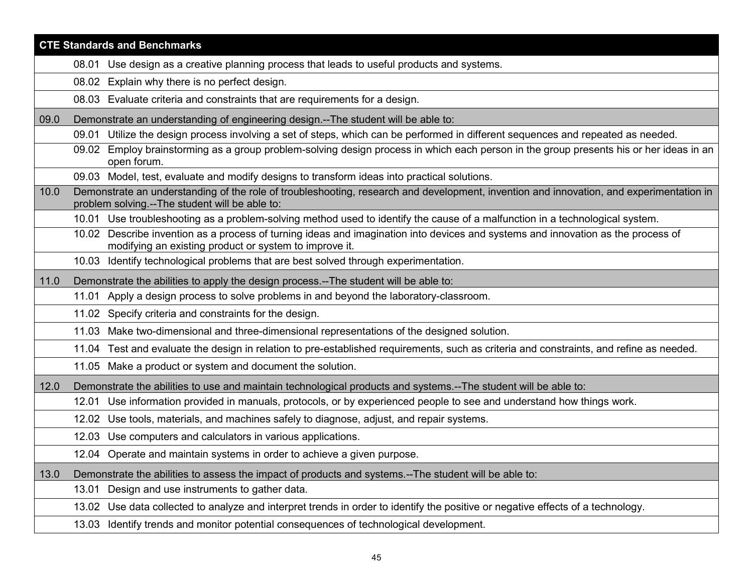|      | <b>CTE Standards and Benchmarks</b>                                                                                                                                                        |  |
|------|--------------------------------------------------------------------------------------------------------------------------------------------------------------------------------------------|--|
|      | 08.01 Use design as a creative planning process that leads to useful products and systems.                                                                                                 |  |
|      | Explain why there is no perfect design.<br>08.02                                                                                                                                           |  |
|      | 08.03 Evaluate criteria and constraints that are requirements for a design.                                                                                                                |  |
| 09.0 | Demonstrate an understanding of engineering design.--The student will be able to:                                                                                                          |  |
|      | Utilize the design process involving a set of steps, which can be performed in different sequences and repeated as needed.<br>09.01                                                        |  |
|      | 09.02 Employ brainstorming as a group problem-solving design process in which each person in the group presents his or her ideas in an<br>open forum.                                      |  |
|      | 09.03 Model, test, evaluate and modify designs to transform ideas into practical solutions.                                                                                                |  |
| 10.0 | Demonstrate an understanding of the role of troubleshooting, research and development, invention and innovation, and experimentation in<br>problem solving.--The student will be able to:  |  |
|      | 10.01 Use troubleshooting as a problem-solving method used to identify the cause of a malfunction in a technological system.                                                               |  |
|      | 10.02 Describe invention as a process of turning ideas and imagination into devices and systems and innovation as the process of<br>modifying an existing product or system to improve it. |  |
|      | 10.03 Identify technological problems that are best solved through experimentation.                                                                                                        |  |
| 11.0 | Demonstrate the abilities to apply the design process.--The student will be able to:                                                                                                       |  |
|      | Apply a design process to solve problems in and beyond the laboratory-classroom.<br>11.01                                                                                                  |  |
|      | 11.02 Specify criteria and constraints for the design.                                                                                                                                     |  |
|      | 11.03 Make two-dimensional and three-dimensional representations of the designed solution.                                                                                                 |  |
|      | 11.04 Test and evaluate the design in relation to pre-established requirements, such as criteria and constraints, and refine as needed.                                                    |  |
|      | 11.05 Make a product or system and document the solution.                                                                                                                                  |  |
| 12.0 | Demonstrate the abilities to use and maintain technological products and systems.--The student will be able to:                                                                            |  |
|      | Use information provided in manuals, protocols, or by experienced people to see and understand how things work.<br>12.01                                                                   |  |
|      | Use tools, materials, and machines safely to diagnose, adjust, and repair systems.<br>12.02                                                                                                |  |
|      | 12.03 Use computers and calculators in various applications.                                                                                                                               |  |
|      | 12.04 Operate and maintain systems in order to achieve a given purpose.                                                                                                                    |  |
| 13.0 | Demonstrate the abilities to assess the impact of products and systems.--The student will be able to:                                                                                      |  |
|      | Design and use instruments to gather data.<br>13.01                                                                                                                                        |  |
|      | 13.02 Use data collected to analyze and interpret trends in order to identify the positive or negative effects of a technology.                                                            |  |
|      | 13.03 Identify trends and monitor potential consequences of technological development.                                                                                                     |  |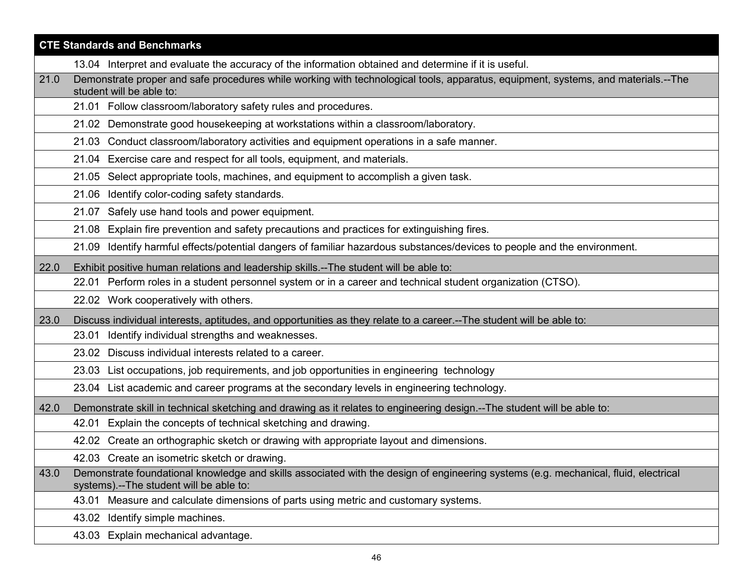|      | <b>CTE Standards and Benchmarks</b>                                                                                                                                            |
|------|--------------------------------------------------------------------------------------------------------------------------------------------------------------------------------|
|      | 13.04 Interpret and evaluate the accuracy of the information obtained and determine if it is useful.                                                                           |
| 21.0 | Demonstrate proper and safe procedures while working with technological tools, apparatus, equipment, systems, and materials.--The<br>student will be able to:                  |
|      | 21.01 Follow classroom/laboratory safety rules and procedures.                                                                                                                 |
|      | 21.02 Demonstrate good housekeeping at workstations within a classroom/laboratory.                                                                                             |
|      | 21.03 Conduct classroom/laboratory activities and equipment operations in a safe manner.                                                                                       |
|      | 21.04 Exercise care and respect for all tools, equipment, and materials.                                                                                                       |
|      | 21.05 Select appropriate tools, machines, and equipment to accomplish a given task.                                                                                            |
|      | 21.06 Identify color-coding safety standards.                                                                                                                                  |
|      | 21.07 Safely use hand tools and power equipment.                                                                                                                               |
|      | Explain fire prevention and safety precautions and practices for extinguishing fires.<br>21.08                                                                                 |
|      | Identify harmful effects/potential dangers of familiar hazardous substances/devices to people and the environment.<br>21.09                                                    |
| 22.0 | Exhibit positive human relations and leadership skills.--The student will be able to:                                                                                          |
|      | 22.01 Perform roles in a student personnel system or in a career and technical student organization (CTSO).                                                                    |
|      | 22.02 Work cooperatively with others.                                                                                                                                          |
| 23.0 | Discuss individual interests, aptitudes, and opportunities as they relate to a career.--The student will be able to:                                                           |
|      | 23.01 Identify individual strengths and weaknesses.                                                                                                                            |
|      | 23.02 Discuss individual interests related to a career.                                                                                                                        |
|      | 23.03 List occupations, job requirements, and job opportunities in engineering technology                                                                                      |
|      | 23.04 List academic and career programs at the secondary levels in engineering technology.                                                                                     |
| 42.0 | Demonstrate skill in technical sketching and drawing as it relates to engineering design.--The student will be able to:                                                        |
|      | Explain the concepts of technical sketching and drawing.<br>42.01                                                                                                              |
|      | 42.02 Create an orthographic sketch or drawing with appropriate layout and dimensions.                                                                                         |
|      | 42.03 Create an isometric sketch or drawing.                                                                                                                                   |
| 43.0 | Demonstrate foundational knowledge and skills associated with the design of engineering systems (e.g. mechanical, fluid, electrical<br>systems).--The student will be able to: |
|      | 43.01 Measure and calculate dimensions of parts using metric and customary systems.                                                                                            |
|      | 43.02 Identify simple machines.                                                                                                                                                |
|      | 43.03 Explain mechanical advantage.                                                                                                                                            |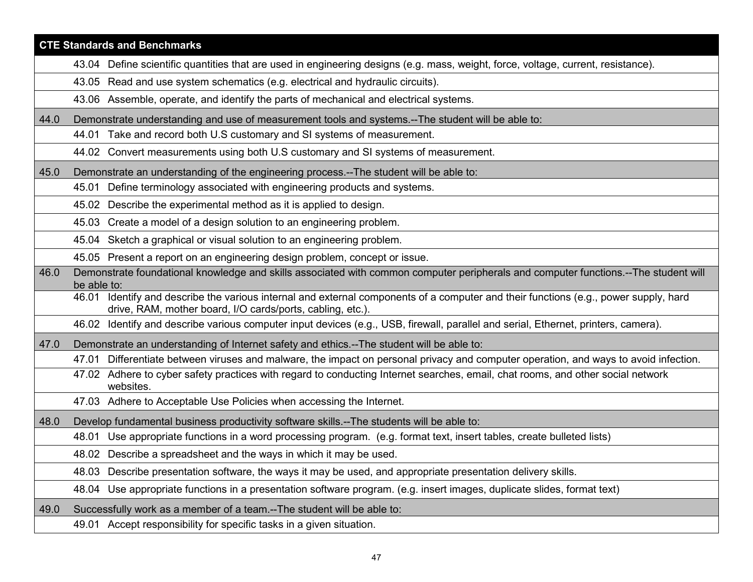|      | <b>CTE Standards and Benchmarks</b>                                                                                                                                                                |  |
|------|----------------------------------------------------------------------------------------------------------------------------------------------------------------------------------------------------|--|
|      | 43.04 Define scientific quantities that are used in engineering designs (e.g. mass, weight, force, voltage, current, resistance).                                                                  |  |
|      | 43.05 Read and use system schematics (e.g. electrical and hydraulic circuits).                                                                                                                     |  |
|      | 43.06 Assemble, operate, and identify the parts of mechanical and electrical systems.                                                                                                              |  |
| 44.0 | Demonstrate understanding and use of measurement tools and systems.--The student will be able to:                                                                                                  |  |
|      | 44.01 Take and record both U.S customary and SI systems of measurement.                                                                                                                            |  |
|      | 44.02 Convert measurements using both U.S customary and SI systems of measurement.                                                                                                                 |  |
| 45.0 | Demonstrate an understanding of the engineering process.--The student will be able to:                                                                                                             |  |
|      | 45.01 Define terminology associated with engineering products and systems.                                                                                                                         |  |
|      | 45.02 Describe the experimental method as it is applied to design.                                                                                                                                 |  |
|      | 45.03 Create a model of a design solution to an engineering problem.                                                                                                                               |  |
|      | 45.04 Sketch a graphical or visual solution to an engineering problem.                                                                                                                             |  |
|      | 45.05 Present a report on an engineering design problem, concept or issue.                                                                                                                         |  |
| 46.0 | Demonstrate foundational knowledge and skills associated with common computer peripherals and computer functions.--The student will<br>be able to:                                                 |  |
|      | 46.01 Identify and describe the various internal and external components of a computer and their functions (e.g., power supply, hard<br>drive, RAM, mother board, I/O cards/ports, cabling, etc.). |  |
|      | 46.02 Identify and describe various computer input devices (e.g., USB, firewall, parallel and serial, Ethernet, printers, camera).                                                                 |  |
| 47.0 | Demonstrate an understanding of Internet safety and ethics.--The student will be able to:                                                                                                          |  |
|      | 47.01 Differentiate between viruses and malware, the impact on personal privacy and computer operation, and ways to avoid infection.                                                               |  |
|      | 47.02 Adhere to cyber safety practices with regard to conducting Internet searches, email, chat rooms, and other social network<br>websites.                                                       |  |
|      | 47.03 Adhere to Acceptable Use Policies when accessing the Internet.                                                                                                                               |  |
| 48.0 | Develop fundamental business productivity software skills.--The students will be able to:                                                                                                          |  |
|      | 48.01 Use appropriate functions in a word processing program. (e.g. format text, insert tables, create bulleted lists)                                                                             |  |
|      | 48.02 Describe a spreadsheet and the ways in which it may be used.                                                                                                                                 |  |
|      | 48.03 Describe presentation software, the ways it may be used, and appropriate presentation delivery skills.                                                                                       |  |
|      | 48.04 Use appropriate functions in a presentation software program. (e.g. insert images, duplicate slides, format text)                                                                            |  |
| 49.0 | Successfully work as a member of a team.--The student will be able to:                                                                                                                             |  |
|      | 49.01 Accept responsibility for specific tasks in a given situation.                                                                                                                               |  |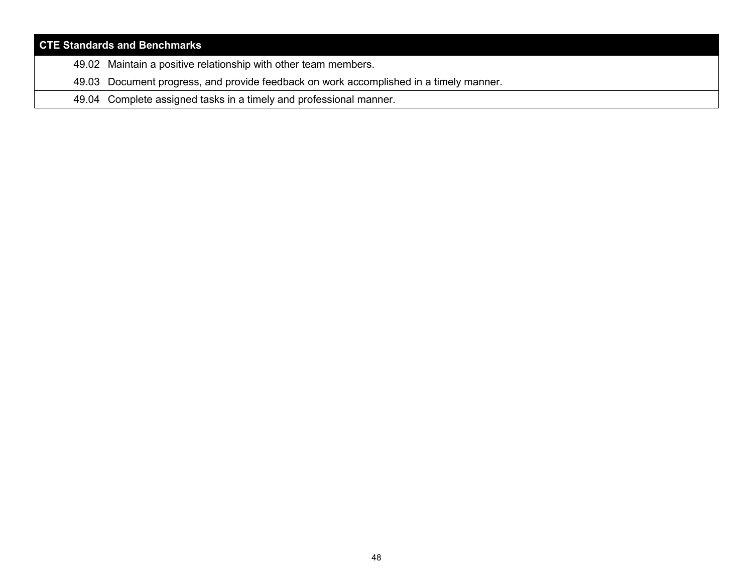| <b>CTE Standards and Benchmarks</b> |                                                                                        |
|-------------------------------------|----------------------------------------------------------------------------------------|
|                                     | 49.02 Maintain a positive relationship with other team members.                        |
|                                     | 49.03 Document progress, and provide feedback on work accomplished in a timely manner. |
|                                     | 49.04 Complete assigned tasks in a timely and professional manner.                     |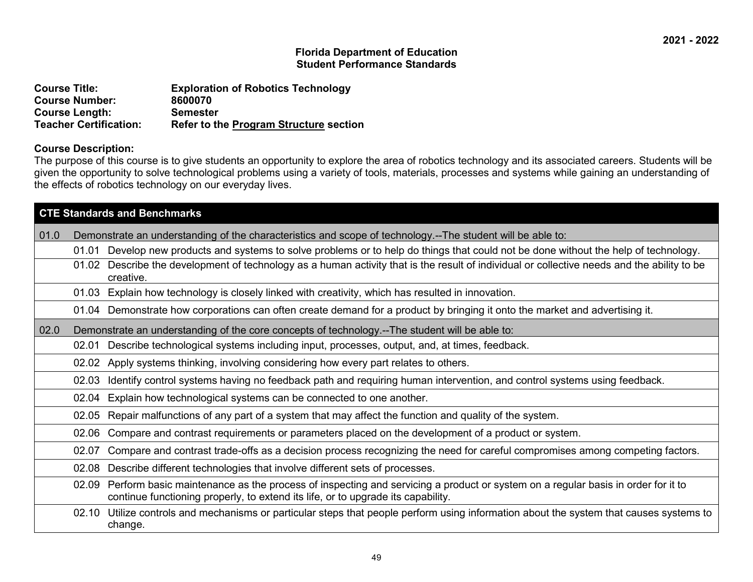| <b>Course Title:</b>          | <b>Exploration of Robotics Technology</b>     |
|-------------------------------|-----------------------------------------------|
| <b>Course Number:</b>         | 8600070                                       |
| <b>Course Length:</b>         | <b>Semester</b>                               |
| <b>Teacher Certification:</b> | <b>Refer to the Program Structure section</b> |

#### **Course Description:**

The purpose of this course is to give students an opportunity to explore the area of robotics technology and its associated careers. Students will be given the opportunity to solve technological problems using a variety of tools, materials, processes and systems while gaining an understanding of the effects of robotics technology on our everyday lives.

|      | <b>CTE Standards and Benchmarks</b> |                                                                                                                                                                                                                    |  |
|------|-------------------------------------|--------------------------------------------------------------------------------------------------------------------------------------------------------------------------------------------------------------------|--|
| 01.0 |                                     | Demonstrate an understanding of the characteristics and scope of technology.--The student will be able to:                                                                                                         |  |
|      | 01.01                               | Develop new products and systems to solve problems or to help do things that could not be done without the help of technology.                                                                                     |  |
|      | 01.02                               | Describe the development of technology as a human activity that is the result of individual or collective needs and the ability to be<br>creative.                                                                 |  |
|      | 01.03                               | Explain how technology is closely linked with creativity, which has resulted in innovation.                                                                                                                        |  |
|      |                                     | 01.04 Demonstrate how corporations can often create demand for a product by bringing it onto the market and advertising it.                                                                                        |  |
| 02.0 |                                     | Demonstrate an understanding of the core concepts of technology.--The student will be able to:                                                                                                                     |  |
|      | 02.01                               | Describe technological systems including input, processes, output, and, at times, feedback.                                                                                                                        |  |
|      | 02.02                               | Apply systems thinking, involving considering how every part relates to others.                                                                                                                                    |  |
|      | 02.03                               | Identify control systems having no feedback path and requiring human intervention, and control systems using feedback.                                                                                             |  |
|      | 02.04                               | Explain how technological systems can be connected to one another.                                                                                                                                                 |  |
|      | 02.05                               | Repair malfunctions of any part of a system that may affect the function and quality of the system.                                                                                                                |  |
|      | 02.06                               | Compare and contrast requirements or parameters placed on the development of a product or system.                                                                                                                  |  |
|      | 02.07                               | Compare and contrast trade-offs as a decision process recognizing the need for careful compromises among competing factors.                                                                                        |  |
|      | 02.08                               | Describe different technologies that involve different sets of processes.                                                                                                                                          |  |
|      | 02.09                               | Perform basic maintenance as the process of inspecting and servicing a product or system on a regular basis in order for it to<br>continue functioning properly, to extend its life, or to upgrade its capability. |  |
|      |                                     | 02.10 Utilize controls and mechanisms or particular steps that people perform using information about the system that causes systems to<br>change.                                                                 |  |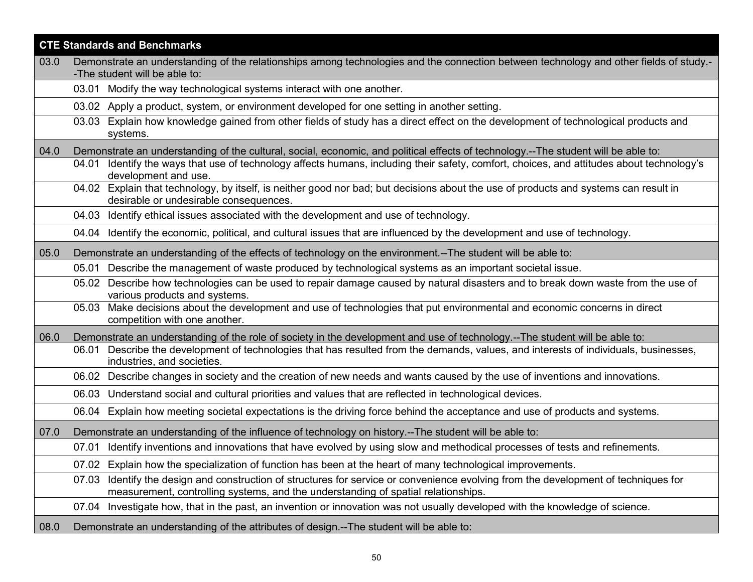|      | <b>CTE Standards and Benchmarks</b>                                                                                                                                                                                         |  |
|------|-----------------------------------------------------------------------------------------------------------------------------------------------------------------------------------------------------------------------------|--|
| 03.0 | Demonstrate an understanding of the relationships among technologies and the connection between technology and other fields of study.-                                                                                      |  |
|      | -The student will be able to:<br>03.01 Modify the way technological systems interact with one another.                                                                                                                      |  |
|      |                                                                                                                                                                                                                             |  |
|      | 03.02 Apply a product, system, or environment developed for one setting in another setting.                                                                                                                                 |  |
|      | Explain how knowledge gained from other fields of study has a direct effect on the development of technological products and<br>03.03<br>systems.                                                                           |  |
| 04.0 | Demonstrate an understanding of the cultural, social, economic, and political effects of technology.--The student will be able to:                                                                                          |  |
|      | Identify the ways that use of technology affects humans, including their safety, comfort, choices, and attitudes about technology's<br>04.01<br>development and use.                                                        |  |
|      | 04.02 Explain that technology, by itself, is neither good nor bad; but decisions about the use of products and systems can result in<br>desirable or undesirable consequences.                                              |  |
|      | 04.03 Identify ethical issues associated with the development and use of technology.                                                                                                                                        |  |
|      | 04.04 Identify the economic, political, and cultural issues that are influenced by the development and use of technology.                                                                                                   |  |
| 05.0 | Demonstrate an understanding of the effects of technology on the environment.--The student will be able to:                                                                                                                 |  |
|      | 05.01 Describe the management of waste produced by technological systems as an important societal issue.                                                                                                                    |  |
|      | 05.02 Describe how technologies can be used to repair damage caused by natural disasters and to break down waste from the use of<br>various products and systems.                                                           |  |
|      | 05.03 Make decisions about the development and use of technologies that put environmental and economic concerns in direct<br>competition with one another.                                                                  |  |
| 06.0 | Demonstrate an understanding of the role of society in the development and use of technology.--The student will be able to:                                                                                                 |  |
|      | Describe the development of technologies that has resulted from the demands, values, and interests of individuals, businesses,<br>06.01<br>industries, and societies.                                                       |  |
|      | Describe changes in society and the creation of new needs and wants caused by the use of inventions and innovations.<br>06.02                                                                                               |  |
|      | 06.03 Understand social and cultural priorities and values that are reflected in technological devices.                                                                                                                     |  |
|      | Explain how meeting societal expectations is the driving force behind the acceptance and use of products and systems.<br>06.04                                                                                              |  |
| 07.0 | Demonstrate an understanding of the influence of technology on history.--The student will be able to:                                                                                                                       |  |
|      | Identify inventions and innovations that have evolved by using slow and methodical processes of tests and refinements.<br>07.01                                                                                             |  |
|      | 07.02 Explain how the specialization of function has been at the heart of many technological improvements.                                                                                                                  |  |
|      | Identify the design and construction of structures for service or convenience evolving from the development of techniques for<br>07.03<br>measurement, controlling systems, and the understanding of spatial relationships. |  |
|      | Investigate how, that in the past, an invention or innovation was not usually developed with the knowledge of science.<br>07.04                                                                                             |  |
| 08.0 | Demonstrate an understanding of the attributes of design.--The student will be able to:                                                                                                                                     |  |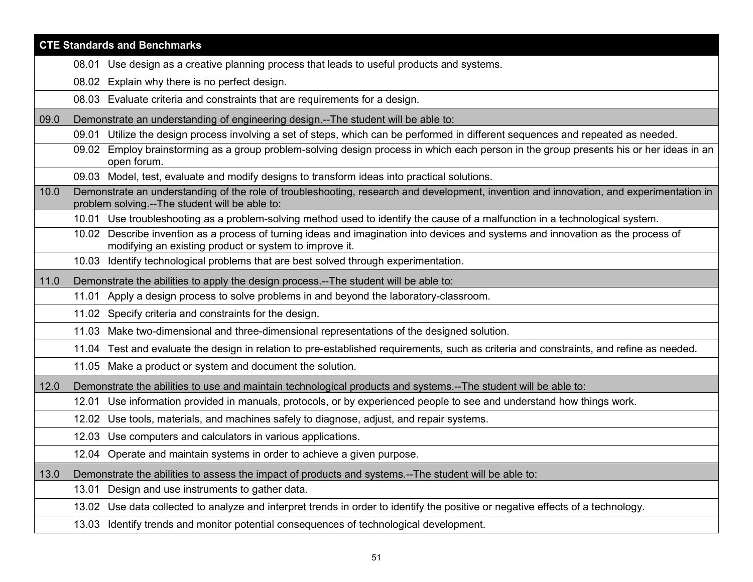|      | <b>CTE Standards and Benchmarks</b>                                                                                                                                                        |  |
|------|--------------------------------------------------------------------------------------------------------------------------------------------------------------------------------------------|--|
|      | 08.01 Use design as a creative planning process that leads to useful products and systems.                                                                                                 |  |
|      | 08.02 Explain why there is no perfect design.                                                                                                                                              |  |
|      | 08.03 Evaluate criteria and constraints that are requirements for a design.                                                                                                                |  |
| 09.0 | Demonstrate an understanding of engineering design.--The student will be able to:                                                                                                          |  |
|      | Utilize the design process involving a set of steps, which can be performed in different sequences and repeated as needed.<br>09.01                                                        |  |
|      | 09.02 Employ brainstorming as a group problem-solving design process in which each person in the group presents his or her ideas in an<br>open forum.                                      |  |
|      | 09.03 Model, test, evaluate and modify designs to transform ideas into practical solutions.                                                                                                |  |
| 10.0 | Demonstrate an understanding of the role of troubleshooting, research and development, invention and innovation, and experimentation in<br>problem solving.--The student will be able to:  |  |
|      | 10.01 Use troubleshooting as a problem-solving method used to identify the cause of a malfunction in a technological system.                                                               |  |
|      | 10.02 Describe invention as a process of turning ideas and imagination into devices and systems and innovation as the process of<br>modifying an existing product or system to improve it. |  |
|      | 10.03 Identify technological problems that are best solved through experimentation.                                                                                                        |  |
| 11.0 | Demonstrate the abilities to apply the design process.--The student will be able to:                                                                                                       |  |
|      | 11.01 Apply a design process to solve problems in and beyond the laboratory-classroom.                                                                                                     |  |
|      | 11.02 Specify criteria and constraints for the design.                                                                                                                                     |  |
|      | 11.03 Make two-dimensional and three-dimensional representations of the designed solution.                                                                                                 |  |
|      | 11.04 Test and evaluate the design in relation to pre-established requirements, such as criteria and constraints, and refine as needed.                                                    |  |
|      | 11.05 Make a product or system and document the solution.                                                                                                                                  |  |
| 12.0 | Demonstrate the abilities to use and maintain technological products and systems.--The student will be able to:                                                                            |  |
|      | Use information provided in manuals, protocols, or by experienced people to see and understand how things work.<br>12.01                                                                   |  |
|      | Use tools, materials, and machines safely to diagnose, adjust, and repair systems.<br>12.02                                                                                                |  |
|      | 12.03 Use computers and calculators in various applications.                                                                                                                               |  |
|      | 12.04 Operate and maintain systems in order to achieve a given purpose.                                                                                                                    |  |
| 13.0 | Demonstrate the abilities to assess the impact of products and systems.--The student will be able to:                                                                                      |  |
|      | Design and use instruments to gather data.<br>13.01                                                                                                                                        |  |
|      | 13.02 Use data collected to analyze and interpret trends in order to identify the positive or negative effects of a technology.                                                            |  |
|      | 13.03 Identify trends and monitor potential consequences of technological development.                                                                                                     |  |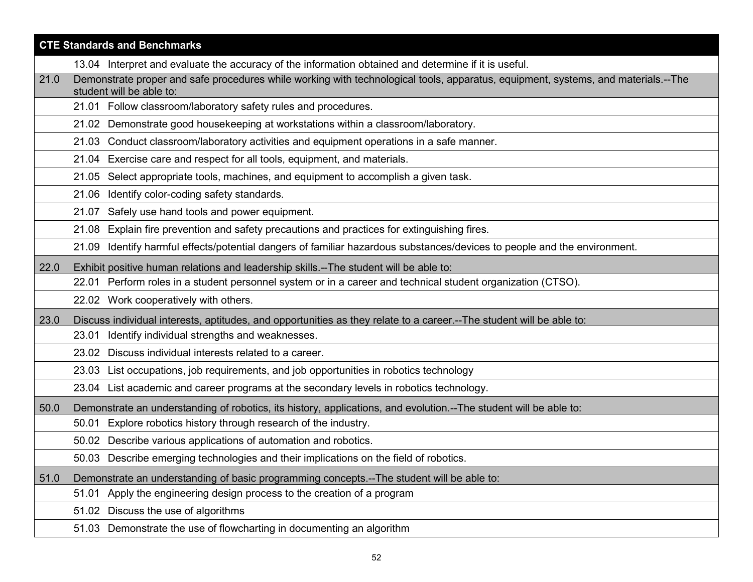|      | <b>CTE Standards and Benchmarks</b>                                                                                                                           |  |
|------|---------------------------------------------------------------------------------------------------------------------------------------------------------------|--|
|      | 13.04 Interpret and evaluate the accuracy of the information obtained and determine if it is useful.                                                          |  |
| 21.0 | Demonstrate proper and safe procedures while working with technological tools, apparatus, equipment, systems, and materials.--The<br>student will be able to: |  |
|      | 21.01 Follow classroom/laboratory safety rules and procedures.                                                                                                |  |
|      | 21.02 Demonstrate good housekeeping at workstations within a classroom/laboratory.                                                                            |  |
|      | 21.03 Conduct classroom/laboratory activities and equipment operations in a safe manner.                                                                      |  |
|      | 21.04 Exercise care and respect for all tools, equipment, and materials.                                                                                      |  |
|      | 21.05 Select appropriate tools, machines, and equipment to accomplish a given task.                                                                           |  |
|      | 21.06 Identify color-coding safety standards.                                                                                                                 |  |
|      | 21.07 Safely use hand tools and power equipment.                                                                                                              |  |
|      | Explain fire prevention and safety precautions and practices for extinguishing fires.<br>21.08                                                                |  |
|      | Identify harmful effects/potential dangers of familiar hazardous substances/devices to people and the environment.<br>21.09                                   |  |
| 22.0 | Exhibit positive human relations and leadership skills.--The student will be able to:                                                                         |  |
|      | 22.01 Perform roles in a student personnel system or in a career and technical student organization (CTSO).                                                   |  |
|      | 22.02 Work cooperatively with others.                                                                                                                         |  |
| 23.0 | Discuss individual interests, aptitudes, and opportunities as they relate to a career.--The student will be able to:                                          |  |
|      | 23.01 Identify individual strengths and weaknesses.                                                                                                           |  |
|      | 23.02 Discuss individual interests related to a career.                                                                                                       |  |
|      | 23.03 List occupations, job requirements, and job opportunities in robotics technology                                                                        |  |
|      | 23.04 List academic and career programs at the secondary levels in robotics technology.                                                                       |  |
| 50.0 | Demonstrate an understanding of robotics, its history, applications, and evolution.--The student will be able to:                                             |  |
|      | 50.01 Explore robotics history through research of the industry.                                                                                              |  |
|      | 50.02 Describe various applications of automation and robotics.                                                                                               |  |
|      | 50.03 Describe emerging technologies and their implications on the field of robotics.                                                                         |  |
| 51.0 | Demonstrate an understanding of basic programming concepts.--The student will be able to:                                                                     |  |
|      | 51.01 Apply the engineering design process to the creation of a program                                                                                       |  |
|      | 51.02 Discuss the use of algorithms                                                                                                                           |  |
|      | 51.03 Demonstrate the use of flowcharting in documenting an algorithm                                                                                         |  |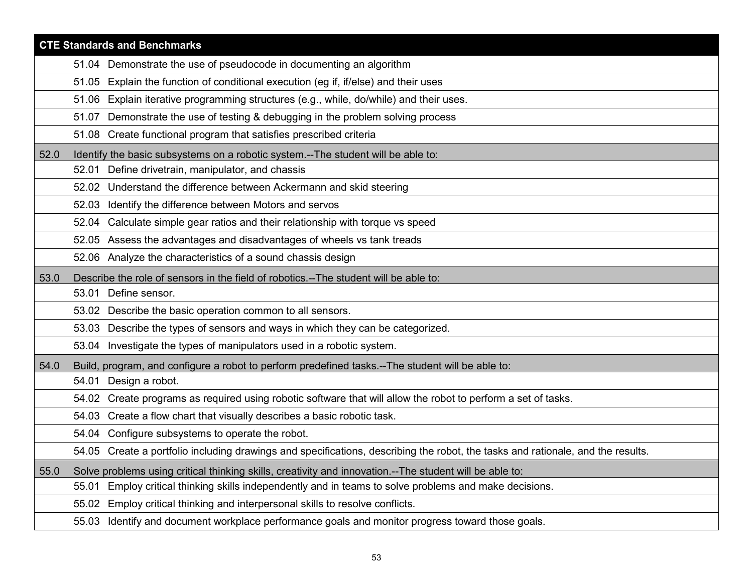|      | <b>CTE Standards and Benchmarks</b>                                                                                             |  |
|------|---------------------------------------------------------------------------------------------------------------------------------|--|
|      | 51.04 Demonstrate the use of pseudocode in documenting an algorithm                                                             |  |
|      | 51.05 Explain the function of conditional execution (eg if, if/else) and their uses                                             |  |
|      | 51.06 Explain iterative programming structures (e.g., while, do/while) and their uses.                                          |  |
|      | 51.07 Demonstrate the use of testing & debugging in the problem solving process                                                 |  |
|      | 51.08 Create functional program that satisfies prescribed criteria                                                              |  |
| 52.0 | Identify the basic subsystems on a robotic system.--The student will be able to:                                                |  |
|      | 52.01 Define drivetrain, manipulator, and chassis                                                                               |  |
|      | 52.02 Understand the difference between Ackermann and skid steering                                                             |  |
|      | 52.03 Identify the difference between Motors and servos                                                                         |  |
|      | Calculate simple gear ratios and their relationship with torque vs speed<br>52.04                                               |  |
|      | 52.05 Assess the advantages and disadvantages of wheels vs tank treads                                                          |  |
|      | 52.06 Analyze the characteristics of a sound chassis design                                                                     |  |
| 53.0 | Describe the role of sensors in the field of robotics.--The student will be able to:                                            |  |
|      | 53.01 Define sensor.                                                                                                            |  |
|      | 53.02 Describe the basic operation common to all sensors.                                                                       |  |
|      | 53.03 Describe the types of sensors and ways in which they can be categorized.                                                  |  |
|      | 53.04 Investigate the types of manipulators used in a robotic system.                                                           |  |
| 54.0 | Build, program, and configure a robot to perform predefined tasks.--The student will be able to:                                |  |
|      | 54.01 Design a robot.                                                                                                           |  |
|      | 54.02 Create programs as required using robotic software that will allow the robot to perform a set of tasks.                   |  |
|      | 54.03 Create a flow chart that visually describes a basic robotic task.                                                         |  |
|      | 54.04 Configure subsystems to operate the robot.                                                                                |  |
|      | 54.05 Create a portfolio including drawings and specifications, describing the robot, the tasks and rationale, and the results. |  |
| 55.0 | Solve problems using critical thinking skills, creativity and innovation.--The student will be able to:                         |  |
|      | Employ critical thinking skills independently and in teams to solve problems and make decisions.<br>55.01                       |  |
|      | 55.02 Employ critical thinking and interpersonal skills to resolve conflicts.                                                   |  |
|      | 55.03 Identify and document workplace performance goals and monitor progress toward those goals.                                |  |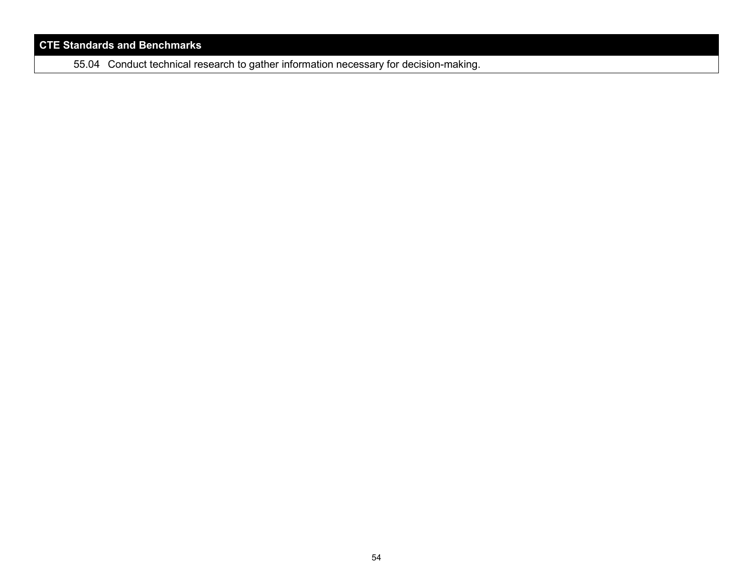55.04 Conduct technical research to gather information necessary for decision-making.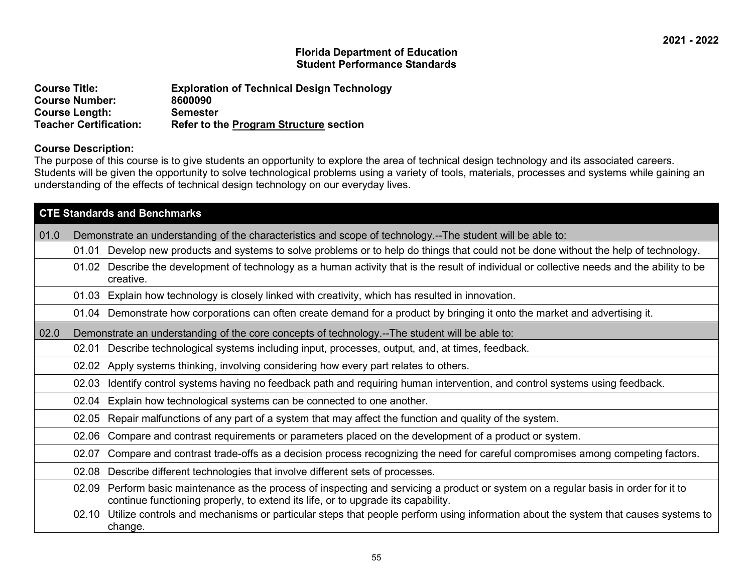| <b>Course Title:</b>          | <b>Exploration of Technical Design Technology</b> |
|-------------------------------|---------------------------------------------------|
| <b>Course Number:</b>         | 8600090                                           |
| <b>Course Length:</b>         | <b>Semester</b>                                   |
| <b>Teacher Certification:</b> | <b>Refer to the Program Structure section</b>     |

#### **Course Description:**

The purpose of this course is to give students an opportunity to explore the area of technical design technology and its associated careers. Students will be given the opportunity to solve technological problems using a variety of tools, materials, processes and systems while gaining an understanding of the effects of technical design technology on our everyday lives.

| <b>CTE Standards and Benchmarks</b>                                                                                                                                                                                         |  |  |
|-----------------------------------------------------------------------------------------------------------------------------------------------------------------------------------------------------------------------------|--|--|
| 01.0 <br>Demonstrate an understanding of the characteristics and scope of technology.--The student will be able to:                                                                                                         |  |  |
| Develop new products and systems to solve problems or to help do things that could not be done without the help of technology.<br>01.01                                                                                     |  |  |
| 01.02 Describe the development of technology as a human activity that is the result of individual or collective needs and the ability to be<br>creative.                                                                    |  |  |
| 01.03 Explain how technology is closely linked with creativity, which has resulted in innovation.                                                                                                                           |  |  |
| 01.04 Demonstrate how corporations can often create demand for a product by bringing it onto the market and advertising it.                                                                                                 |  |  |
| 02.0<br>Demonstrate an understanding of the core concepts of technology.--The student will be able to:                                                                                                                      |  |  |
| Describe technological systems including input, processes, output, and, at times, feedback.<br>02.01                                                                                                                        |  |  |
| Apply systems thinking, involving considering how every part relates to others.<br>02.02                                                                                                                                    |  |  |
| Identify control systems having no feedback path and requiring human intervention, and control systems using feedback.<br>02.03                                                                                             |  |  |
| Explain how technological systems can be connected to one another.<br>02.04                                                                                                                                                 |  |  |
| Repair malfunctions of any part of a system that may affect the function and quality of the system.<br>02.05                                                                                                                |  |  |
| Compare and contrast requirements or parameters placed on the development of a product or system.<br>02.06                                                                                                                  |  |  |
| Compare and contrast trade-offs as a decision process recognizing the need for careful compromises among competing factors.<br>02.07                                                                                        |  |  |
| Describe different technologies that involve different sets of processes.<br>02.08                                                                                                                                          |  |  |
| Perform basic maintenance as the process of inspecting and servicing a product or system on a regular basis in order for it to<br>02.09<br>continue functioning properly, to extend its life, or to upgrade its capability. |  |  |
| Utilize controls and mechanisms or particular steps that people perform using information about the system that causes systems to<br>02.10<br>change.                                                                       |  |  |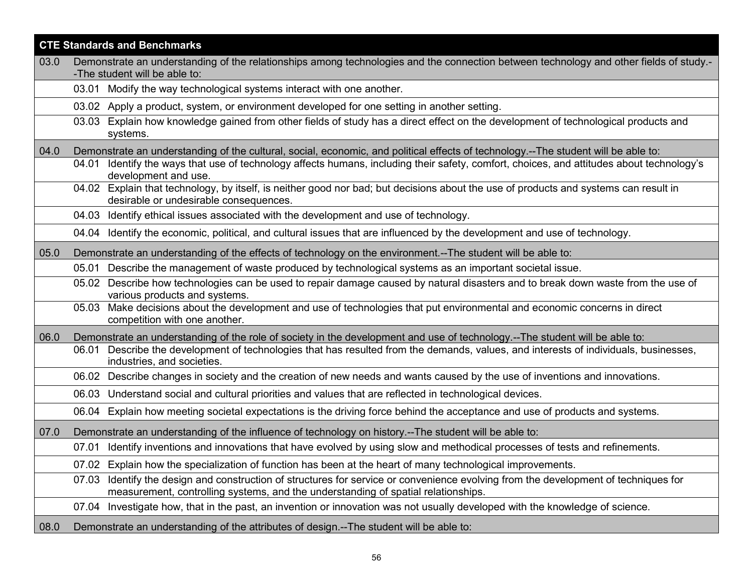|      | <b>CTE Standards and Benchmarks</b>                                                                                                                                                                                         |  |
|------|-----------------------------------------------------------------------------------------------------------------------------------------------------------------------------------------------------------------------------|--|
| 03.0 | Demonstrate an understanding of the relationships among technologies and the connection between technology and other fields of study.-                                                                                      |  |
|      | -The student will be able to:                                                                                                                                                                                               |  |
|      | 03.01 Modify the way technological systems interact with one another.                                                                                                                                                       |  |
|      | 03.02 Apply a product, system, or environment developed for one setting in another setting.                                                                                                                                 |  |
|      | Explain how knowledge gained from other fields of study has a direct effect on the development of technological products and<br>03.03<br>systems.                                                                           |  |
| 04.0 | Demonstrate an understanding of the cultural, social, economic, and political effects of technology.--The student will be able to:                                                                                          |  |
|      | Identify the ways that use of technology affects humans, including their safety, comfort, choices, and attitudes about technology's<br>04.01<br>development and use.                                                        |  |
|      | 04.02 Explain that technology, by itself, is neither good nor bad; but decisions about the use of products and systems can result in<br>desirable or undesirable consequences.                                              |  |
|      | 04.03 Identify ethical issues associated with the development and use of technology.                                                                                                                                        |  |
|      | 04.04 Identify the economic, political, and cultural issues that are influenced by the development and use of technology.                                                                                                   |  |
| 05.0 | Demonstrate an understanding of the effects of technology on the environment.--The student will be able to:                                                                                                                 |  |
|      | 05.01 Describe the management of waste produced by technological systems as an important societal issue.                                                                                                                    |  |
|      | 05.02 Describe how technologies can be used to repair damage caused by natural disasters and to break down waste from the use of<br>various products and systems.                                                           |  |
|      | 05.03 Make decisions about the development and use of technologies that put environmental and economic concerns in direct<br>competition with one another.                                                                  |  |
| 06.0 | Demonstrate an understanding of the role of society in the development and use of technology.--The student will be able to:                                                                                                 |  |
|      | Describe the development of technologies that has resulted from the demands, values, and interests of individuals, businesses,<br>06.01<br>industries, and societies.                                                       |  |
|      | Describe changes in society and the creation of new needs and wants caused by the use of inventions and innovations.<br>06.02                                                                                               |  |
|      | 06.03 Understand social and cultural priorities and values that are reflected in technological devices.                                                                                                                     |  |
|      | Explain how meeting societal expectations is the driving force behind the acceptance and use of products and systems.<br>06.04                                                                                              |  |
| 07.0 | Demonstrate an understanding of the influence of technology on history.--The student will be able to:                                                                                                                       |  |
|      | Identify inventions and innovations that have evolved by using slow and methodical processes of tests and refinements.<br>07.01                                                                                             |  |
|      | 07.02 Explain how the specialization of function has been at the heart of many technological improvements.                                                                                                                  |  |
|      | Identify the design and construction of structures for service or convenience evolving from the development of techniques for<br>07.03<br>measurement, controlling systems, and the understanding of spatial relationships. |  |
|      | Investigate how, that in the past, an invention or innovation was not usually developed with the knowledge of science.<br>07.04                                                                                             |  |
| 08.0 | Demonstrate an understanding of the attributes of design.--The student will be able to:                                                                                                                                     |  |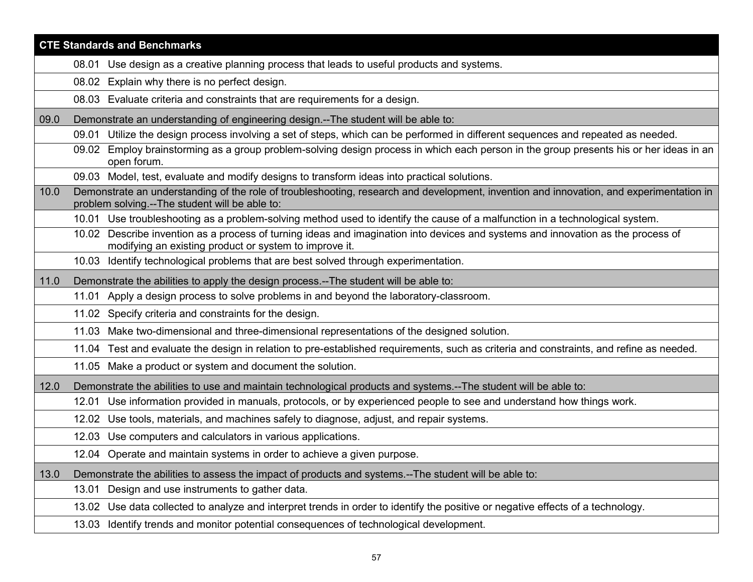|      | <b>CTE Standards and Benchmarks</b>                                                                                                                                                        |  |
|------|--------------------------------------------------------------------------------------------------------------------------------------------------------------------------------------------|--|
|      | 08.01 Use design as a creative planning process that leads to useful products and systems.                                                                                                 |  |
|      | 08.02 Explain why there is no perfect design.                                                                                                                                              |  |
|      | 08.03 Evaluate criteria and constraints that are requirements for a design.                                                                                                                |  |
| 09.0 | Demonstrate an understanding of engineering design.--The student will be able to:                                                                                                          |  |
|      | Utilize the design process involving a set of steps, which can be performed in different sequences and repeated as needed.<br>09.01                                                        |  |
|      | 09.02 Employ brainstorming as a group problem-solving design process in which each person in the group presents his or her ideas in an<br>open forum.                                      |  |
|      | 09.03 Model, test, evaluate and modify designs to transform ideas into practical solutions.                                                                                                |  |
| 10.0 | Demonstrate an understanding of the role of troubleshooting, research and development, invention and innovation, and experimentation in<br>problem solving.--The student will be able to:  |  |
|      | 10.01 Use troubleshooting as a problem-solving method used to identify the cause of a malfunction in a technological system.                                                               |  |
|      | 10.02 Describe invention as a process of turning ideas and imagination into devices and systems and innovation as the process of<br>modifying an existing product or system to improve it. |  |
|      | 10.03 Identify technological problems that are best solved through experimentation.                                                                                                        |  |
| 11.0 | Demonstrate the abilities to apply the design process.--The student will be able to:                                                                                                       |  |
|      | 11.01 Apply a design process to solve problems in and beyond the laboratory-classroom.                                                                                                     |  |
|      | 11.02 Specify criteria and constraints for the design.                                                                                                                                     |  |
|      | 11.03 Make two-dimensional and three-dimensional representations of the designed solution.                                                                                                 |  |
|      | 11.04 Test and evaluate the design in relation to pre-established requirements, such as criteria and constraints, and refine as needed.                                                    |  |
|      | 11.05 Make a product or system and document the solution.                                                                                                                                  |  |
| 12.0 | Demonstrate the abilities to use and maintain technological products and systems.--The student will be able to:                                                                            |  |
|      | Use information provided in manuals, protocols, or by experienced people to see and understand how things work.<br>12.01                                                                   |  |
|      | Use tools, materials, and machines safely to diagnose, adjust, and repair systems.<br>12.02                                                                                                |  |
|      | 12.03 Use computers and calculators in various applications.                                                                                                                               |  |
|      | 12.04 Operate and maintain systems in order to achieve a given purpose.                                                                                                                    |  |
| 13.0 | Demonstrate the abilities to assess the impact of products and systems.--The student will be able to:                                                                                      |  |
|      | Design and use instruments to gather data.<br>13.01                                                                                                                                        |  |
|      | 13.02 Use data collected to analyze and interpret trends in order to identify the positive or negative effects of a technology.                                                            |  |
|      | 13.03 Identify trends and monitor potential consequences of technological development.                                                                                                     |  |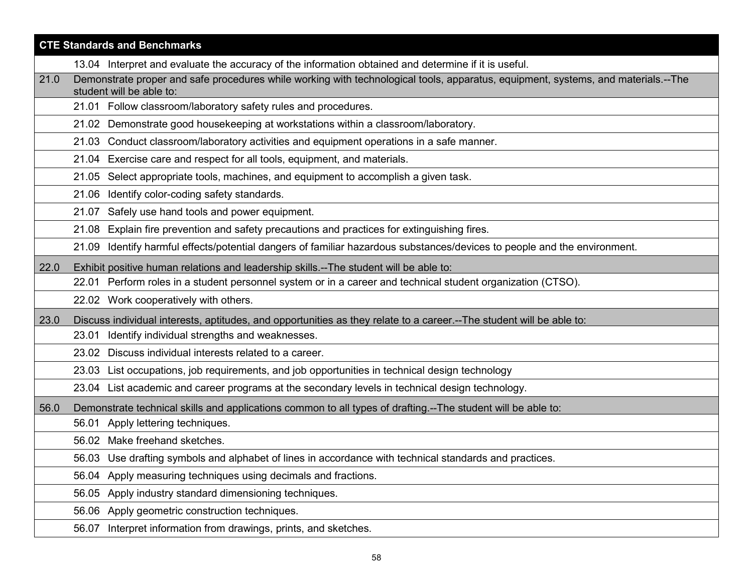|      | <b>CTE Standards and Benchmarks</b>                                                                                                                           |  |
|------|---------------------------------------------------------------------------------------------------------------------------------------------------------------|--|
|      | 13.04 Interpret and evaluate the accuracy of the information obtained and determine if it is useful.                                                          |  |
| 21.0 | Demonstrate proper and safe procedures while working with technological tools, apparatus, equipment, systems, and materials.--The<br>student will be able to: |  |
|      | 21.01 Follow classroom/laboratory safety rules and procedures.                                                                                                |  |
|      | 21.02 Demonstrate good housekeeping at workstations within a classroom/laboratory.                                                                            |  |
|      | 21.03 Conduct classroom/laboratory activities and equipment operations in a safe manner.                                                                      |  |
|      | 21.04 Exercise care and respect for all tools, equipment, and materials.                                                                                      |  |
|      | 21.05 Select appropriate tools, machines, and equipment to accomplish a given task.                                                                           |  |
|      | 21.06 Identify color-coding safety standards.                                                                                                                 |  |
|      | 21.07 Safely use hand tools and power equipment.                                                                                                              |  |
|      | Explain fire prevention and safety precautions and practices for extinguishing fires.<br>21.08                                                                |  |
|      | Identify harmful effects/potential dangers of familiar hazardous substances/devices to people and the environment.<br>21.09                                   |  |
| 22.0 | Exhibit positive human relations and leadership skills.--The student will be able to:                                                                         |  |
|      | 22.01 Perform roles in a student personnel system or in a career and technical student organization (CTSO).                                                   |  |
|      | 22.02 Work cooperatively with others.                                                                                                                         |  |
| 23.0 | Discuss individual interests, aptitudes, and opportunities as they relate to a career.--The student will be able to:                                          |  |
|      | 23.01 Identify individual strengths and weaknesses.                                                                                                           |  |
|      | 23.02 Discuss individual interests related to a career.                                                                                                       |  |
|      | 23.03 List occupations, job requirements, and job opportunities in technical design technology                                                                |  |
|      | 23.04 List academic and career programs at the secondary levels in technical design technology.                                                               |  |
| 56.0 | Demonstrate technical skills and applications common to all types of drafting.--The student will be able to:                                                  |  |
|      | 56.01 Apply lettering techniques.                                                                                                                             |  |
|      | 56.02 Make freehand sketches.                                                                                                                                 |  |
|      | 56.03 Use drafting symbols and alphabet of lines in accordance with technical standards and practices.                                                        |  |
|      | Apply measuring techniques using decimals and fractions.<br>56.04                                                                                             |  |
|      | Apply industry standard dimensioning techniques.<br>56.05                                                                                                     |  |
|      | 56.06 Apply geometric construction techniques.                                                                                                                |  |
|      | 56.07 Interpret information from drawings, prints, and sketches.                                                                                              |  |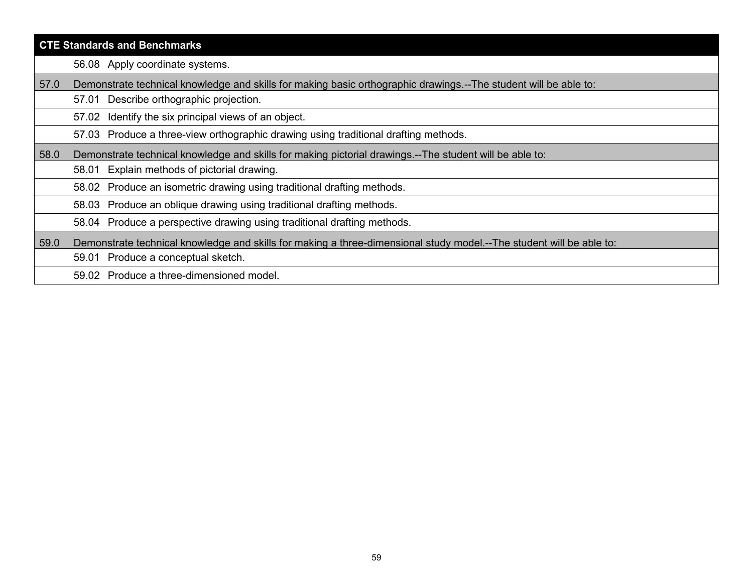| <b>CTE Standards and Benchmarks</b>                                                                                          |  |
|------------------------------------------------------------------------------------------------------------------------------|--|
| 56.08 Apply coordinate systems.                                                                                              |  |
| Demonstrate technical knowledge and skills for making basic orthographic drawings.--The student will be able to:<br>57.0     |  |
| Describe orthographic projection.<br>57.01                                                                                   |  |
| Identify the six principal views of an object.<br>57.02                                                                      |  |
| 57.03 Produce a three-view orthographic drawing using traditional drafting methods.                                          |  |
| Demonstrate technical knowledge and skills for making pictorial drawings.--The student will be able to:<br>58.0              |  |
| Explain methods of pictorial drawing.<br>58.01                                                                               |  |
| 58.02 Produce an isometric drawing using traditional drafting methods.                                                       |  |
| 58.03 Produce an oblique drawing using traditional drafting methods.                                                         |  |
| 58.04 Produce a perspective drawing using traditional drafting methods.                                                      |  |
| Demonstrate technical knowledge and skills for making a three-dimensional study model.--The student will be able to:<br>59.0 |  |
| 59.01 Produce a conceptual sketch.                                                                                           |  |
| 59.02 Produce a three-dimensioned model.                                                                                     |  |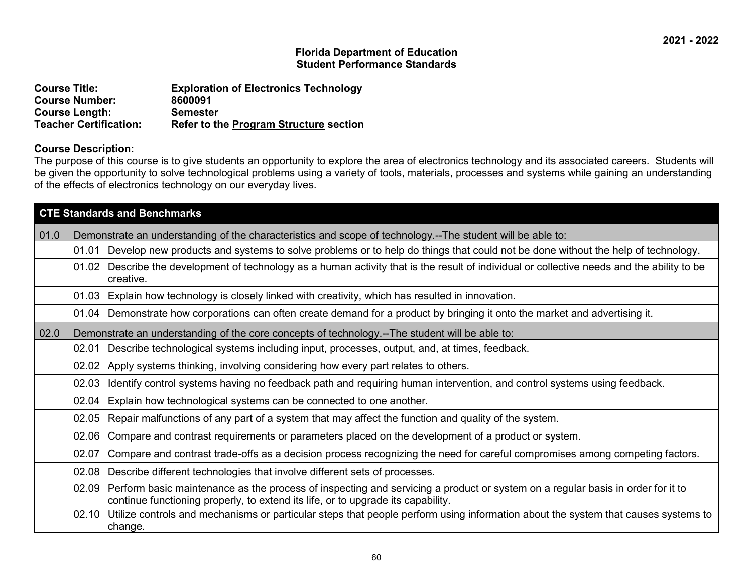| <b>Course Title:</b>          | <b>Exploration of Electronics Technology</b>  |
|-------------------------------|-----------------------------------------------|
| <b>Course Number:</b>         | 8600091                                       |
| <b>Course Length:</b>         | Semester                                      |
| <b>Teacher Certification:</b> | <b>Refer to the Program Structure section</b> |

#### **Course Description:**

The purpose of this course is to give students an opportunity to explore the area of electronics technology and its associated careers. Students will be given the opportunity to solve technological problems using a variety of tools, materials, processes and systems while gaining an understanding of the effects of electronics technology on our everyday lives.

|      | <b>CTE Standards and Benchmarks</b>                                                                                                                                                                                         |
|------|-----------------------------------------------------------------------------------------------------------------------------------------------------------------------------------------------------------------------------|
| 01.0 | Demonstrate an understanding of the characteristics and scope of technology.--The student will be able to:                                                                                                                  |
|      | Develop new products and systems to solve problems or to help do things that could not be done without the help of technology.<br>01.01                                                                                     |
|      | 01.02 Describe the development of technology as a human activity that is the result of individual or collective needs and the ability to be<br>creative.                                                                    |
|      | Explain how technology is closely linked with creativity, which has resulted in innovation.<br>01.03                                                                                                                        |
|      | 01.04 Demonstrate how corporations can often create demand for a product by bringing it onto the market and advertising it.                                                                                                 |
| 02.0 | Demonstrate an understanding of the core concepts of technology.--The student will be able to:                                                                                                                              |
|      | Describe technological systems including input, processes, output, and, at times, feedback.<br>02.01                                                                                                                        |
|      | Apply systems thinking, involving considering how every part relates to others.<br>02.02                                                                                                                                    |
|      | Identify control systems having no feedback path and requiring human intervention, and control systems using feedback.<br>02.03                                                                                             |
|      | Explain how technological systems can be connected to one another.<br>02.04                                                                                                                                                 |
|      | Repair malfunctions of any part of a system that may affect the function and quality of the system.<br>02.05                                                                                                                |
|      | Compare and contrast requirements or parameters placed on the development of a product or system.<br>02.06                                                                                                                  |
|      | Compare and contrast trade-offs as a decision process recognizing the need for careful compromises among competing factors.<br>02.07                                                                                        |
|      | Describe different technologies that involve different sets of processes.<br>02.08                                                                                                                                          |
|      | Perform basic maintenance as the process of inspecting and servicing a product or system on a regular basis in order for it to<br>02.09<br>continue functioning properly, to extend its life, or to upgrade its capability. |
|      | Utilize controls and mechanisms or particular steps that people perform using information about the system that causes systems to<br>02.10<br>change.                                                                       |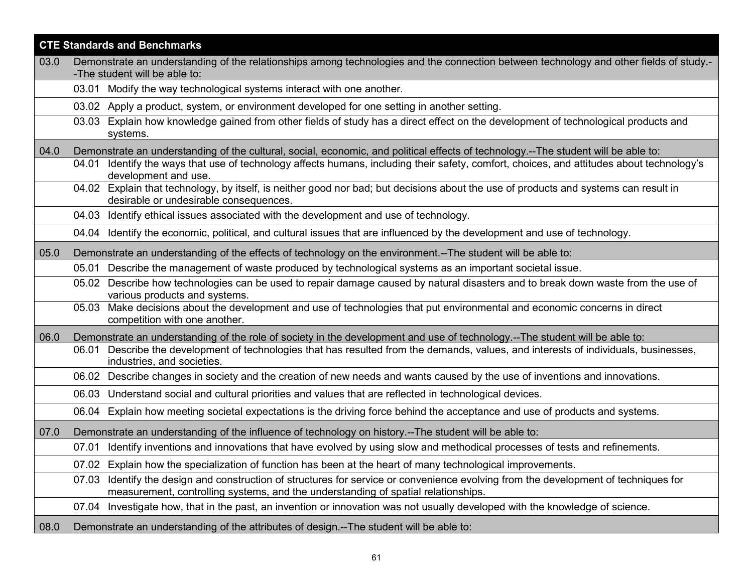| <b>CTE Standards and Benchmarks</b> |                                                                                                                                                                                                                             |
|-------------------------------------|-----------------------------------------------------------------------------------------------------------------------------------------------------------------------------------------------------------------------------|
| 03.0                                | Demonstrate an understanding of the relationships among technologies and the connection between technology and other fields of study.-                                                                                      |
|                                     | -The student will be able to:                                                                                                                                                                                               |
|                                     | 03.01 Modify the way technological systems interact with one another.                                                                                                                                                       |
|                                     | 03.02 Apply a product, system, or environment developed for one setting in another setting.                                                                                                                                 |
|                                     | Explain how knowledge gained from other fields of study has a direct effect on the development of technological products and<br>03.03<br>systems.                                                                           |
| 04.0                                | Demonstrate an understanding of the cultural, social, economic, and political effects of technology.--The student will be able to:                                                                                          |
|                                     | Identify the ways that use of technology affects humans, including their safety, comfort, choices, and attitudes about technology's<br>04.01<br>development and use.                                                        |
|                                     | 04.02 Explain that technology, by itself, is neither good nor bad; but decisions about the use of products and systems can result in<br>desirable or undesirable consequences.                                              |
|                                     | 04.03 Identify ethical issues associated with the development and use of technology.                                                                                                                                        |
|                                     | 04.04 Identify the economic, political, and cultural issues that are influenced by the development and use of technology.                                                                                                   |
| 05.0                                | Demonstrate an understanding of the effects of technology on the environment.--The student will be able to:                                                                                                                 |
|                                     | 05.01 Describe the management of waste produced by technological systems as an important societal issue.                                                                                                                    |
|                                     | 05.02 Describe how technologies can be used to repair damage caused by natural disasters and to break down waste from the use of<br>various products and systems.                                                           |
|                                     | 05.03 Make decisions about the development and use of technologies that put environmental and economic concerns in direct<br>competition with one another.                                                                  |
| 06.0                                | Demonstrate an understanding of the role of society in the development and use of technology.--The student will be able to:                                                                                                 |
|                                     | Describe the development of technologies that has resulted from the demands, values, and interests of individuals, businesses,<br>06.01<br>industries, and societies.                                                       |
|                                     | Describe changes in society and the creation of new needs and wants caused by the use of inventions and innovations.<br>06.02                                                                                               |
|                                     | 06.03 Understand social and cultural priorities and values that are reflected in technological devices.                                                                                                                     |
|                                     | Explain how meeting societal expectations is the driving force behind the acceptance and use of products and systems.<br>06.04                                                                                              |
| 07.0                                | Demonstrate an understanding of the influence of technology on history.--The student will be able to:                                                                                                                       |
|                                     | Identify inventions and innovations that have evolved by using slow and methodical processes of tests and refinements.<br>07.01                                                                                             |
|                                     | 07.02 Explain how the specialization of function has been at the heart of many technological improvements.                                                                                                                  |
|                                     | Identify the design and construction of structures for service or convenience evolving from the development of techniques for<br>07.03<br>measurement, controlling systems, and the understanding of spatial relationships. |
|                                     | Investigate how, that in the past, an invention or innovation was not usually developed with the knowledge of science.<br>07.04                                                                                             |
| 08.0                                | Demonstrate an understanding of the attributes of design.--The student will be able to:                                                                                                                                     |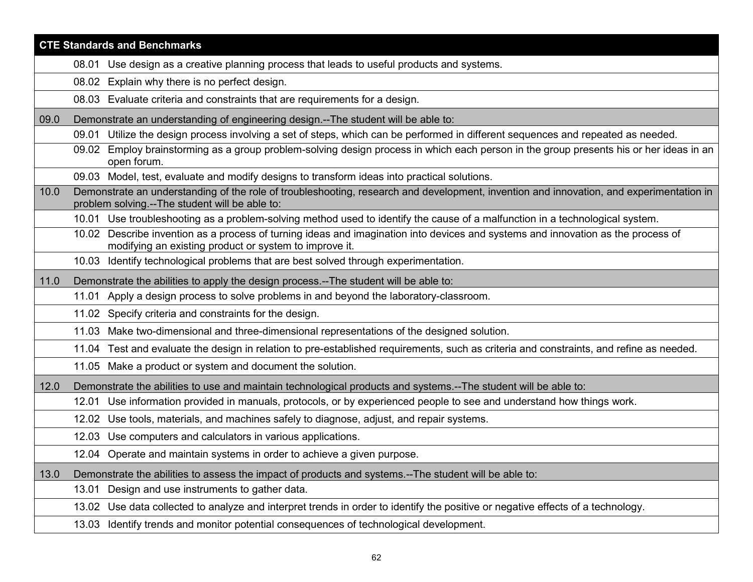|      | <b>CTE Standards and Benchmarks</b>                                                                                                                                                        |  |
|------|--------------------------------------------------------------------------------------------------------------------------------------------------------------------------------------------|--|
|      | 08.01 Use design as a creative planning process that leads to useful products and systems.                                                                                                 |  |
|      | Explain why there is no perfect design.<br>08.02                                                                                                                                           |  |
|      | 08.03 Evaluate criteria and constraints that are requirements for a design.                                                                                                                |  |
| 09.0 | Demonstrate an understanding of engineering design.--The student will be able to:                                                                                                          |  |
|      | Utilize the design process involving a set of steps, which can be performed in different sequences and repeated as needed.<br>09.01                                                        |  |
|      | 09.02 Employ brainstorming as a group problem-solving design process in which each person in the group presents his or her ideas in an<br>open forum.                                      |  |
|      | 09.03 Model, test, evaluate and modify designs to transform ideas into practical solutions.                                                                                                |  |
| 10.0 | Demonstrate an understanding of the role of troubleshooting, research and development, invention and innovation, and experimentation in<br>problem solving.--The student will be able to:  |  |
|      | 10.01 Use troubleshooting as a problem-solving method used to identify the cause of a malfunction in a technological system.                                                               |  |
|      | 10.02 Describe invention as a process of turning ideas and imagination into devices and systems and innovation as the process of<br>modifying an existing product or system to improve it. |  |
|      | 10.03 Identify technological problems that are best solved through experimentation.                                                                                                        |  |
| 11.0 | Demonstrate the abilities to apply the design process.--The student will be able to:                                                                                                       |  |
|      | Apply a design process to solve problems in and beyond the laboratory-classroom.<br>11.01                                                                                                  |  |
|      | 11.02 Specify criteria and constraints for the design.                                                                                                                                     |  |
|      | 11.03 Make two-dimensional and three-dimensional representations of the designed solution.                                                                                                 |  |
|      | 11.04 Test and evaluate the design in relation to pre-established requirements, such as criteria and constraints, and refine as needed.                                                    |  |
|      | 11.05 Make a product or system and document the solution.                                                                                                                                  |  |
| 12.0 | Demonstrate the abilities to use and maintain technological products and systems.--The student will be able to:                                                                            |  |
|      | Use information provided in manuals, protocols, or by experienced people to see and understand how things work.<br>12.01                                                                   |  |
|      | Use tools, materials, and machines safely to diagnose, adjust, and repair systems.<br>12.02                                                                                                |  |
|      | 12.03 Use computers and calculators in various applications.                                                                                                                               |  |
|      | 12.04 Operate and maintain systems in order to achieve a given purpose.                                                                                                                    |  |
| 13.0 | Demonstrate the abilities to assess the impact of products and systems.--The student will be able to:                                                                                      |  |
|      | Design and use instruments to gather data.<br>13.01                                                                                                                                        |  |
|      | 13.02 Use data collected to analyze and interpret trends in order to identify the positive or negative effects of a technology.                                                            |  |
|      | 13.03 Identify trends and monitor potential consequences of technological development.                                                                                                     |  |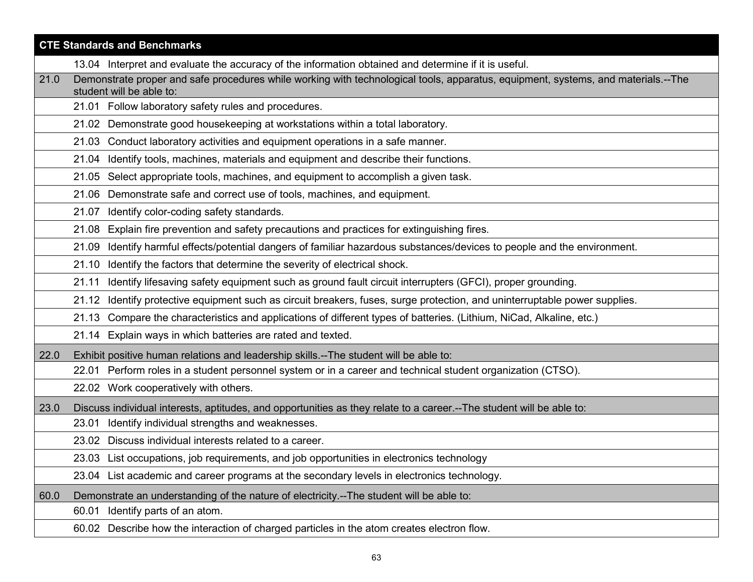|      | <b>CTE Standards and Benchmarks</b>                                                                                                                           |  |
|------|---------------------------------------------------------------------------------------------------------------------------------------------------------------|--|
|      | 13.04 Interpret and evaluate the accuracy of the information obtained and determine if it is useful.                                                          |  |
| 21.0 | Demonstrate proper and safe procedures while working with technological tools, apparatus, equipment, systems, and materials.--The<br>student will be able to: |  |
|      | 21.01 Follow laboratory safety rules and procedures.                                                                                                          |  |
|      | 21.02 Demonstrate good housekeeping at workstations within a total laboratory.                                                                                |  |
|      | 21.03 Conduct laboratory activities and equipment operations in a safe manner.                                                                                |  |
|      | Identify tools, machines, materials and equipment and describe their functions.<br>21.04                                                                      |  |
|      | 21.05 Select appropriate tools, machines, and equipment to accomplish a given task.                                                                           |  |
|      | Demonstrate safe and correct use of tools, machines, and equipment.<br>21.06                                                                                  |  |
|      | 21.07 Identify color-coding safety standards.                                                                                                                 |  |
|      | Explain fire prevention and safety precautions and practices for extinguishing fires.<br>21.08                                                                |  |
|      | Identify harmful effects/potential dangers of familiar hazardous substances/devices to people and the environment.<br>21.09                                   |  |
|      | Identify the factors that determine the severity of electrical shock.<br>21.10                                                                                |  |
|      | Identify lifesaving safety equipment such as ground fault circuit interrupters (GFCI), proper grounding.<br>21.11                                             |  |
|      | Identify protective equipment such as circuit breakers, fuses, surge protection, and uninterruptable power supplies.<br>21.12                                 |  |
|      | 21.13 Compare the characteristics and applications of different types of batteries. (Lithium, NiCad, Alkaline, etc.)                                          |  |
|      | 21.14 Explain ways in which batteries are rated and texted.                                                                                                   |  |
| 22.0 | Exhibit positive human relations and leadership skills.--The student will be able to:                                                                         |  |
|      | 22.01 Perform roles in a student personnel system or in a career and technical student organization (CTSO).                                                   |  |
|      | 22.02 Work cooperatively with others.                                                                                                                         |  |
| 23.0 | Discuss individual interests, aptitudes, and opportunities as they relate to a career.--The student will be able to:                                          |  |
|      | 23.01 Identify individual strengths and weaknesses.                                                                                                           |  |
|      | 23.02 Discuss individual interests related to a career.                                                                                                       |  |
|      | 23.03 List occupations, job requirements, and job opportunities in electronics technology                                                                     |  |
|      | 23.04 List academic and career programs at the secondary levels in electronics technology.                                                                    |  |
| 60.0 | Demonstrate an understanding of the nature of electricity.--The student will be able to:                                                                      |  |
|      | 60.01 Identify parts of an atom.                                                                                                                              |  |
|      | 60.02 Describe how the interaction of charged particles in the atom creates electron flow.                                                                    |  |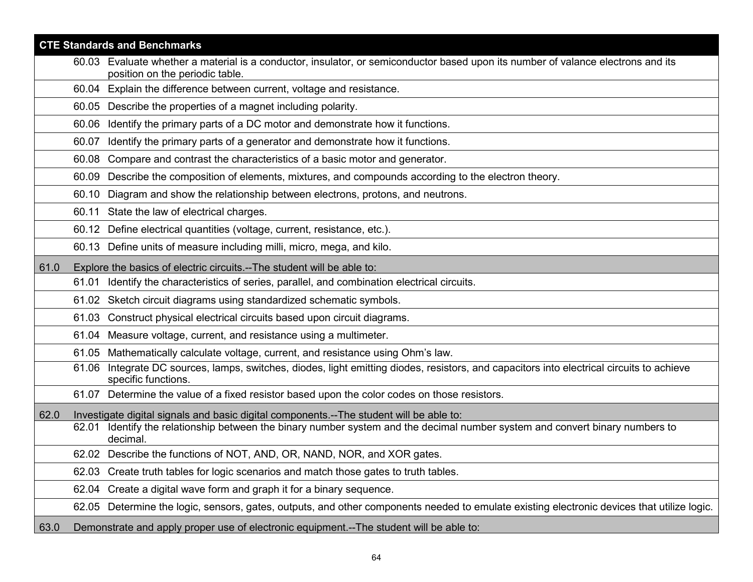|      | <b>CTE Standards and Benchmarks</b>                                                                          |                                                                                                                                            |
|------|--------------------------------------------------------------------------------------------------------------|--------------------------------------------------------------------------------------------------------------------------------------------|
|      | position on the periodic table.                                                                              | 60.03 Evaluate whether a material is a conductor, insulator, or semiconductor based upon its number of valance electrons and its           |
|      | 60.04 Explain the difference between current, voltage and resistance.                                        |                                                                                                                                            |
|      | 60.05 Describe the properties of a magnet including polarity.                                                |                                                                                                                                            |
|      | 60.06 Identify the primary parts of a DC motor and demonstrate how it functions.                             |                                                                                                                                            |
|      | Identify the primary parts of a generator and demonstrate how it functions.<br>60.07                         |                                                                                                                                            |
|      | Compare and contrast the characteristics of a basic motor and generator.<br>60.08                            |                                                                                                                                            |
|      |                                                                                                              | 60.09 Describe the composition of elements, mixtures, and compounds according to the electron theory.                                      |
|      | 60.10                                                                                                        | Diagram and show the relationship between electrons, protons, and neutrons.                                                                |
|      | 60.11 State the law of electrical charges.                                                                   |                                                                                                                                            |
|      | 60.12 Define electrical quantities (voltage, current, resistance, etc.).                                     |                                                                                                                                            |
|      | 60.13 Define units of measure including milli, micro, mega, and kilo.                                        |                                                                                                                                            |
| 61.0 | Explore the basics of electric circuits.--The student will be able to:                                       |                                                                                                                                            |
|      | 61.01                                                                                                        | Identify the characteristics of series, parallel, and combination electrical circuits.                                                     |
|      | 61.02 Sketch circuit diagrams using standardized schematic symbols.                                          |                                                                                                                                            |
|      | 61.03 Construct physical electrical circuits based upon circuit diagrams.                                    |                                                                                                                                            |
|      | 61.04 Measure voltage, current, and resistance using a multimeter.                                           |                                                                                                                                            |
|      | 61.05 Mathematically calculate voltage, current, and resistance using Ohm's law.                             |                                                                                                                                            |
|      | 61.06<br>specific functions.                                                                                 | Integrate DC sources, lamps, switches, diodes, light emitting diodes, resistors, and capacitors into electrical circuits to achieve        |
|      |                                                                                                              | 61.07 Determine the value of a fixed resistor based upon the color codes on those resistors.                                               |
| 62.0 | Investigate digital signals and basic digital components.--The student will be able to:<br>62.01<br>decimal. | Identify the relationship between the binary number system and the decimal number system and convert binary numbers to                     |
|      | 62.02 Describe the functions of NOT, AND, OR, NAND, NOR, and XOR gates.                                      |                                                                                                                                            |
|      | 62.03 Create truth tables for logic scenarios and match those gates to truth tables.                         |                                                                                                                                            |
|      | 62.04 Create a digital wave form and graph it for a binary sequence.                                         |                                                                                                                                            |
|      |                                                                                                              | 62.05 Determine the logic, sensors, gates, outputs, and other components needed to emulate existing electronic devices that utilize logic. |
| 63.0 | Demonstrate and apply proper use of electronic equipment.--The student will be able to:                      |                                                                                                                                            |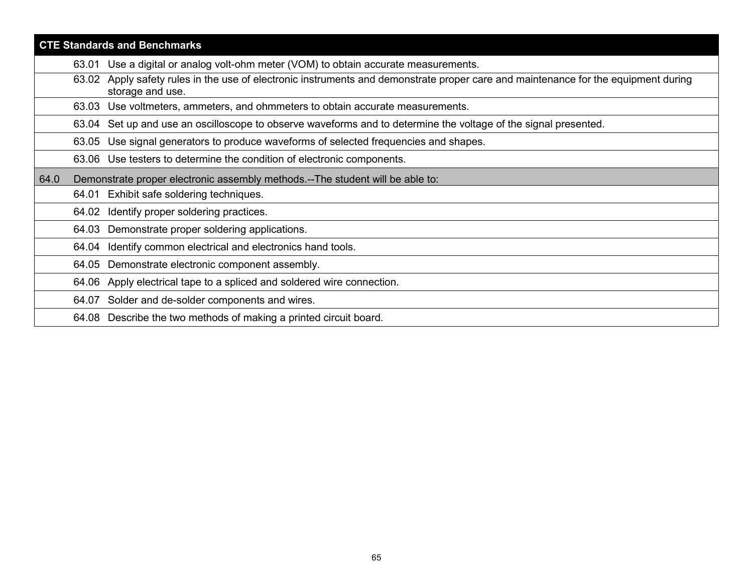| <b>CTE Standards and Benchmarks</b> |                                                                                                                                                        |  |
|-------------------------------------|--------------------------------------------------------------------------------------------------------------------------------------------------------|--|
|                                     | Use a digital or analog volt-ohm meter (VOM) to obtain accurate measurements.<br>63.01                                                                 |  |
|                                     | 63.02 Apply safety rules in the use of electronic instruments and demonstrate proper care and maintenance for the equipment during<br>storage and use. |  |
|                                     | Use voltmeters, ammeters, and ohmmeters to obtain accurate measurements.<br>63.03                                                                      |  |
|                                     | 63.04 Set up and use an oscilloscope to observe waveforms and to determine the voltage of the signal presented.                                        |  |
|                                     | Use signal generators to produce waveforms of selected frequencies and shapes.<br>63.05                                                                |  |
|                                     | 63.06 Use testers to determine the condition of electronic components.                                                                                 |  |
| 64.0                                | Demonstrate proper electronic assembly methods.--The student will be able to:                                                                          |  |
|                                     | 64.01 Exhibit safe soldering techniques.                                                                                                               |  |
|                                     | 64.02 Identify proper soldering practices.                                                                                                             |  |
|                                     | 64.03 Demonstrate proper soldering applications.                                                                                                       |  |
|                                     | Identify common electrical and electronics hand tools.<br>64.04                                                                                        |  |
|                                     | Demonstrate electronic component assembly.<br>64.05                                                                                                    |  |
|                                     | 64.06 Apply electrical tape to a spliced and soldered wire connection.                                                                                 |  |
|                                     | 64.07 Solder and de-solder components and wires.                                                                                                       |  |
|                                     | 64.08 Describe the two methods of making a printed circuit board.                                                                                      |  |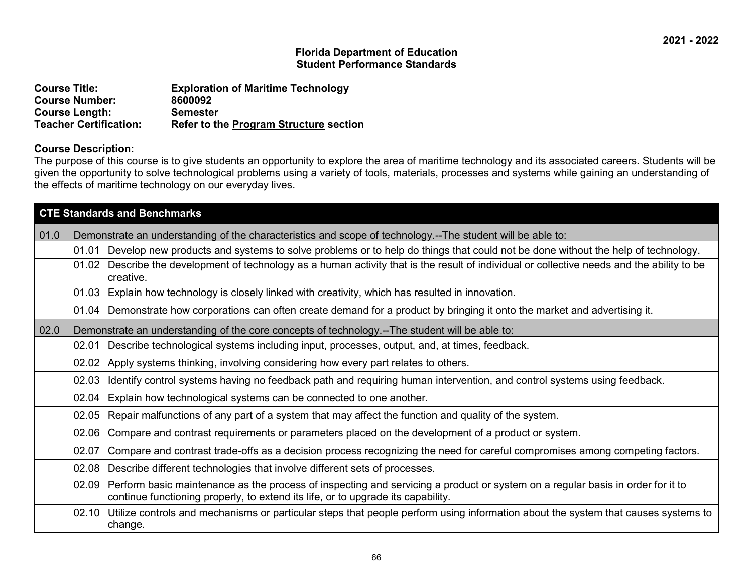| <b>Course Title:</b>          | <b>Exploration of Maritime Technology</b>     |
|-------------------------------|-----------------------------------------------|
| <b>Course Number:</b>         | 8600092                                       |
| <b>Course Length:</b>         | <b>Semester</b>                               |
| <b>Teacher Certification:</b> | <b>Refer to the Program Structure section</b> |

#### **Course Description:**

The purpose of this course is to give students an opportunity to explore the area of maritime technology and its associated careers. Students will be given the opportunity to solve technological problems using a variety of tools, materials, processes and systems while gaining an understanding of the effects of maritime technology on our everyday lives.

|      | <b>CTE Standards and Benchmarks</b> |                                                                                                                                                                                                                    |  |
|------|-------------------------------------|--------------------------------------------------------------------------------------------------------------------------------------------------------------------------------------------------------------------|--|
| 01.0 |                                     | Demonstrate an understanding of the characteristics and scope of technology.--The student will be able to:                                                                                                         |  |
|      | 01.01                               | Develop new products and systems to solve problems or to help do things that could not be done without the help of technology.                                                                                     |  |
|      | 01.02                               | Describe the development of technology as a human activity that is the result of individual or collective needs and the ability to be<br>creative.                                                                 |  |
|      | 01.03                               | Explain how technology is closely linked with creativity, which has resulted in innovation.                                                                                                                        |  |
|      |                                     | 01.04 Demonstrate how corporations can often create demand for a product by bringing it onto the market and advertising it.                                                                                        |  |
| 02.0 |                                     | Demonstrate an understanding of the core concepts of technology.--The student will be able to:                                                                                                                     |  |
|      | 02.01                               | Describe technological systems including input, processes, output, and, at times, feedback.                                                                                                                        |  |
|      | 02.02                               | Apply systems thinking, involving considering how every part relates to others.                                                                                                                                    |  |
|      | 02.03                               | Identify control systems having no feedback path and requiring human intervention, and control systems using feedback.                                                                                             |  |
|      | 02.04                               | Explain how technological systems can be connected to one another.                                                                                                                                                 |  |
|      | 02.05                               | Repair malfunctions of any part of a system that may affect the function and quality of the system.                                                                                                                |  |
|      | 02.06                               | Compare and contrast requirements or parameters placed on the development of a product or system.                                                                                                                  |  |
|      | 02.07                               | Compare and contrast trade-offs as a decision process recognizing the need for careful compromises among competing factors.                                                                                        |  |
|      | 02.08                               | Describe different technologies that involve different sets of processes.                                                                                                                                          |  |
|      | 02.09                               | Perform basic maintenance as the process of inspecting and servicing a product or system on a regular basis in order for it to<br>continue functioning properly, to extend its life, or to upgrade its capability. |  |
|      | 02.10                               | Utilize controls and mechanisms or particular steps that people perform using information about the system that causes systems to<br>change.                                                                       |  |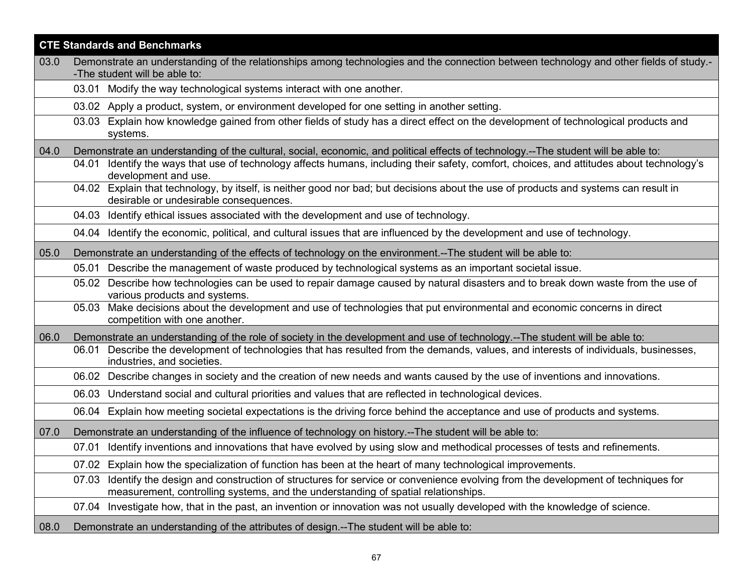| <b>CTE Standards and Benchmarks</b> |                                                                                                                                                                                                                             |
|-------------------------------------|-----------------------------------------------------------------------------------------------------------------------------------------------------------------------------------------------------------------------------|
| 03.0                                | Demonstrate an understanding of the relationships among technologies and the connection between technology and other fields of study.-                                                                                      |
|                                     | -The student will be able to:                                                                                                                                                                                               |
|                                     | 03.01 Modify the way technological systems interact with one another.                                                                                                                                                       |
|                                     | 03.02 Apply a product, system, or environment developed for one setting in another setting.                                                                                                                                 |
|                                     | Explain how knowledge gained from other fields of study has a direct effect on the development of technological products and<br>03.03<br>systems.                                                                           |
| 04.0                                | Demonstrate an understanding of the cultural, social, economic, and political effects of technology.--The student will be able to:                                                                                          |
|                                     | Identify the ways that use of technology affects humans, including their safety, comfort, choices, and attitudes about technology's<br>04.01<br>development and use.                                                        |
|                                     | 04.02 Explain that technology, by itself, is neither good nor bad; but decisions about the use of products and systems can result in<br>desirable or undesirable consequences.                                              |
|                                     | 04.03 Identify ethical issues associated with the development and use of technology.                                                                                                                                        |
|                                     | 04.04 Identify the economic, political, and cultural issues that are influenced by the development and use of technology.                                                                                                   |
| 05.0                                | Demonstrate an understanding of the effects of technology on the environment.--The student will be able to:                                                                                                                 |
|                                     | 05.01 Describe the management of waste produced by technological systems as an important societal issue.                                                                                                                    |
|                                     | 05.02 Describe how technologies can be used to repair damage caused by natural disasters and to break down waste from the use of<br>various products and systems.                                                           |
|                                     | 05.03 Make decisions about the development and use of technologies that put environmental and economic concerns in direct<br>competition with one another.                                                                  |
| 06.0                                | Demonstrate an understanding of the role of society in the development and use of technology.--The student will be able to:                                                                                                 |
|                                     | Describe the development of technologies that has resulted from the demands, values, and interests of individuals, businesses,<br>06.01<br>industries, and societies.                                                       |
|                                     | Describe changes in society and the creation of new needs and wants caused by the use of inventions and innovations.<br>06.02                                                                                               |
|                                     | 06.03 Understand social and cultural priorities and values that are reflected in technological devices.                                                                                                                     |
|                                     | Explain how meeting societal expectations is the driving force behind the acceptance and use of products and systems.<br>06.04                                                                                              |
| 07.0                                | Demonstrate an understanding of the influence of technology on history.--The student will be able to:                                                                                                                       |
|                                     | Identify inventions and innovations that have evolved by using slow and methodical processes of tests and refinements.<br>07.01                                                                                             |
|                                     | 07.02 Explain how the specialization of function has been at the heart of many technological improvements.                                                                                                                  |
|                                     | Identify the design and construction of structures for service or convenience evolving from the development of techniques for<br>07.03<br>measurement, controlling systems, and the understanding of spatial relationships. |
|                                     | Investigate how, that in the past, an invention or innovation was not usually developed with the knowledge of science.<br>07.04                                                                                             |
| 08.0                                | Demonstrate an understanding of the attributes of design.--The student will be able to:                                                                                                                                     |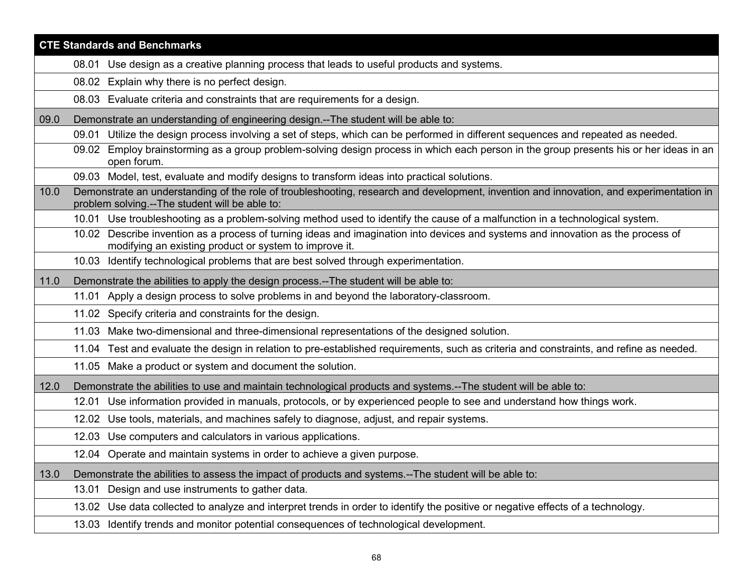|      | <b>CTE Standards and Benchmarks</b>                                                                                                                                                        |  |  |
|------|--------------------------------------------------------------------------------------------------------------------------------------------------------------------------------------------|--|--|
|      | 08.01 Use design as a creative planning process that leads to useful products and systems.                                                                                                 |  |  |
|      | 08.02 Explain why there is no perfect design.                                                                                                                                              |  |  |
|      | 08.03 Evaluate criteria and constraints that are requirements for a design.                                                                                                                |  |  |
| 09.0 | Demonstrate an understanding of engineering design.--The student will be able to:                                                                                                          |  |  |
|      | Utilize the design process involving a set of steps, which can be performed in different sequences and repeated as needed.<br>09.01                                                        |  |  |
|      | 09.02 Employ brainstorming as a group problem-solving design process in which each person in the group presents his or her ideas in an<br>open forum.                                      |  |  |
|      | 09.03 Model, test, evaluate and modify designs to transform ideas into practical solutions.                                                                                                |  |  |
| 10.0 | Demonstrate an understanding of the role of troubleshooting, research and development, invention and innovation, and experimentation in<br>problem solving.--The student will be able to:  |  |  |
|      | 10.01 Use troubleshooting as a problem-solving method used to identify the cause of a malfunction in a technological system.                                                               |  |  |
|      | 10.02 Describe invention as a process of turning ideas and imagination into devices and systems and innovation as the process of<br>modifying an existing product or system to improve it. |  |  |
|      | 10.03 Identify technological problems that are best solved through experimentation.                                                                                                        |  |  |
| 11.0 | Demonstrate the abilities to apply the design process.--The student will be able to:                                                                                                       |  |  |
|      | 11.01 Apply a design process to solve problems in and beyond the laboratory-classroom.                                                                                                     |  |  |
|      | 11.02 Specify criteria and constraints for the design.                                                                                                                                     |  |  |
|      | 11.03 Make two-dimensional and three-dimensional representations of the designed solution.                                                                                                 |  |  |
|      | 11.04 Test and evaluate the design in relation to pre-established requirements, such as criteria and constraints, and refine as needed.                                                    |  |  |
|      | 11.05 Make a product or system and document the solution.                                                                                                                                  |  |  |
| 12.0 | Demonstrate the abilities to use and maintain technological products and systems.--The student will be able to:                                                                            |  |  |
|      | Use information provided in manuals, protocols, or by experienced people to see and understand how things work.<br>12.01                                                                   |  |  |
|      | Use tools, materials, and machines safely to diagnose, adjust, and repair systems.<br>12.02                                                                                                |  |  |
|      | 12.03 Use computers and calculators in various applications.                                                                                                                               |  |  |
|      | 12.04 Operate and maintain systems in order to achieve a given purpose.                                                                                                                    |  |  |
| 13.0 | Demonstrate the abilities to assess the impact of products and systems.--The student will be able to:                                                                                      |  |  |
|      | Design and use instruments to gather data.<br>13.01                                                                                                                                        |  |  |
|      | 13.02 Use data collected to analyze and interpret trends in order to identify the positive or negative effects of a technology.                                                            |  |  |
|      | 13.03 Identify trends and monitor potential consequences of technological development.                                                                                                     |  |  |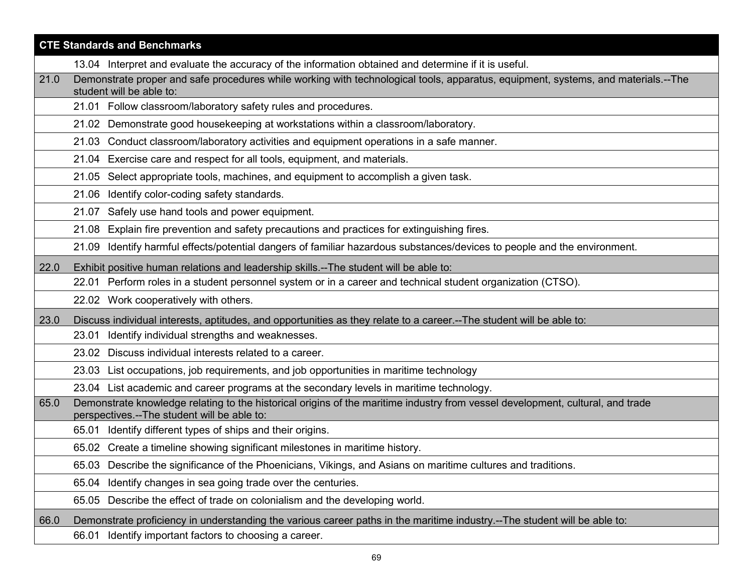| <b>CTE Standards and Benchmarks</b> |                                                                                                                                                                               |  |
|-------------------------------------|-------------------------------------------------------------------------------------------------------------------------------------------------------------------------------|--|
|                                     | 13.04 Interpret and evaluate the accuracy of the information obtained and determine if it is useful.                                                                          |  |
| 21.0                                | Demonstrate proper and safe procedures while working with technological tools, apparatus, equipment, systems, and materials.--The<br>student will be able to:                 |  |
|                                     | 21.01 Follow classroom/laboratory safety rules and procedures.                                                                                                                |  |
|                                     | 21.02 Demonstrate good housekeeping at workstations within a classroom/laboratory.                                                                                            |  |
|                                     | 21.03 Conduct classroom/laboratory activities and equipment operations in a safe manner.                                                                                      |  |
|                                     | 21.04 Exercise care and respect for all tools, equipment, and materials.                                                                                                      |  |
|                                     | 21.05 Select appropriate tools, machines, and equipment to accomplish a given task.                                                                                           |  |
|                                     | 21.06 Identify color-coding safety standards.                                                                                                                                 |  |
|                                     | 21.07 Safely use hand tools and power equipment.                                                                                                                              |  |
|                                     | Explain fire prevention and safety precautions and practices for extinguishing fires.<br>21.08                                                                                |  |
|                                     | Identify harmful effects/potential dangers of familiar hazardous substances/devices to people and the environment.<br>21.09                                                   |  |
| 22.0                                | Exhibit positive human relations and leadership skills.--The student will be able to:                                                                                         |  |
|                                     | 22.01 Perform roles in a student personnel system or in a career and technical student organization (CTSO).                                                                   |  |
|                                     | 22.02 Work cooperatively with others.                                                                                                                                         |  |
| 23.0                                | Discuss individual interests, aptitudes, and opportunities as they relate to a career.--The student will be able to:                                                          |  |
|                                     | 23.01 Identify individual strengths and weaknesses.                                                                                                                           |  |
|                                     | 23.02 Discuss individual interests related to a career.                                                                                                                       |  |
|                                     | 23.03 List occupations, job requirements, and job opportunities in maritime technology                                                                                        |  |
|                                     | 23.04 List academic and career programs at the secondary levels in maritime technology.                                                                                       |  |
| 65.0                                | Demonstrate knowledge relating to the historical origins of the maritime industry from vessel development, cultural, and trade<br>perspectives.--The student will be able to: |  |
|                                     | 65.01 Identify different types of ships and their origins.                                                                                                                    |  |
|                                     | 65.02 Create a timeline showing significant milestones in maritime history.                                                                                                   |  |
|                                     | 65.03 Describe the significance of the Phoenicians, Vikings, and Asians on maritime cultures and traditions.                                                                  |  |
|                                     | 65.04<br>Identify changes in sea going trade over the centuries.                                                                                                              |  |
|                                     | 65.05 Describe the effect of trade on colonialism and the developing world.                                                                                                   |  |
| 66.0                                | Demonstrate proficiency in understanding the various career paths in the maritime industry.--The student will be able to:                                                     |  |
|                                     | 66.01 Identify important factors to choosing a career.                                                                                                                        |  |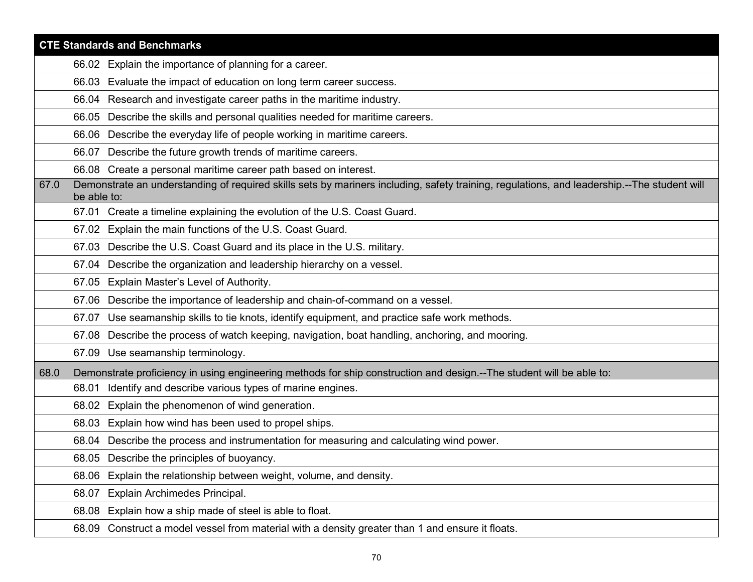| <b>CTE Standards and Benchmarks</b> |                                                                                                                                                            |  |
|-------------------------------------|------------------------------------------------------------------------------------------------------------------------------------------------------------|--|
|                                     | 66.02 Explain the importance of planning for a career.                                                                                                     |  |
|                                     | 66.03 Evaluate the impact of education on long term career success.                                                                                        |  |
|                                     | 66.04 Research and investigate career paths in the maritime industry.                                                                                      |  |
|                                     | 66.05 Describe the skills and personal qualities needed for maritime careers.                                                                              |  |
|                                     | 66.06 Describe the everyday life of people working in maritime careers.                                                                                    |  |
|                                     | 66.07 Describe the future growth trends of maritime careers.                                                                                               |  |
|                                     | 66.08 Create a personal maritime career path based on interest.                                                                                            |  |
| 67.0                                | Demonstrate an understanding of required skills sets by mariners including, safety training, regulations, and leadership.--The student will<br>be able to: |  |
|                                     | 67.01 Create a timeline explaining the evolution of the U.S. Coast Guard.                                                                                  |  |
|                                     | 67.02 Explain the main functions of the U.S. Coast Guard.                                                                                                  |  |
|                                     | 67.03 Describe the U.S. Coast Guard and its place in the U.S. military.                                                                                    |  |
|                                     | Describe the organization and leadership hierarchy on a vessel.<br>67.04                                                                                   |  |
|                                     | 67.05 Explain Master's Level of Authority.                                                                                                                 |  |
|                                     | 67.06 Describe the importance of leadership and chain-of-command on a vessel.                                                                              |  |
|                                     | 67.07 Use seamanship skills to tie knots, identify equipment, and practice safe work methods.                                                              |  |
|                                     | 67.08 Describe the process of watch keeping, navigation, boat handling, anchoring, and mooring.                                                            |  |
|                                     | 67.09 Use seamanship terminology.                                                                                                                          |  |
| 68.0                                | Demonstrate proficiency in using engineering methods for ship construction and design.--The student will be able to:                                       |  |
|                                     | Identify and describe various types of marine engines.<br>68.01                                                                                            |  |
|                                     | 68.02 Explain the phenomenon of wind generation.                                                                                                           |  |
|                                     | Explain how wind has been used to propel ships.<br>68.03                                                                                                   |  |
|                                     | 68.04 Describe the process and instrumentation for measuring and calculating wind power.                                                                   |  |
|                                     | 68.05 Describe the principles of buoyancy.                                                                                                                 |  |
|                                     | 68.06 Explain the relationship between weight, volume, and density.                                                                                        |  |
|                                     | Explain Archimedes Principal.<br>68.07                                                                                                                     |  |
|                                     | 68.08 Explain how a ship made of steel is able to float.                                                                                                   |  |
|                                     | 68.09 Construct a model vessel from material with a density greater than 1 and ensure it floats.                                                           |  |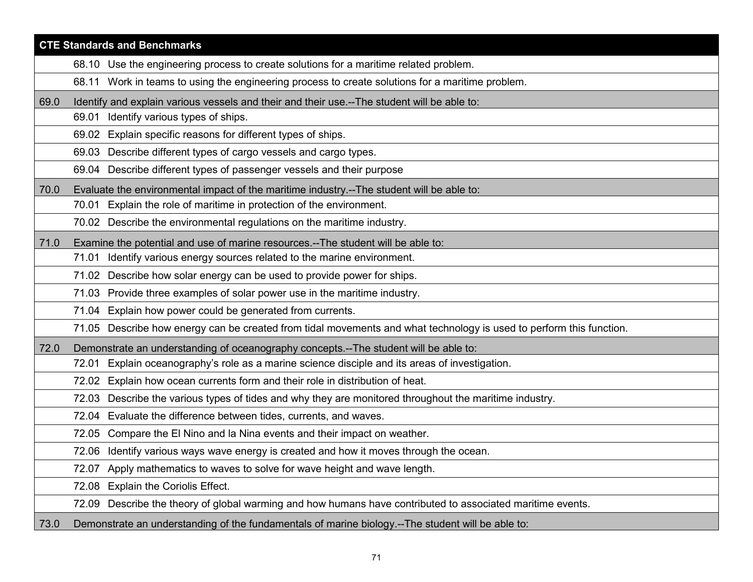| <b>CTE Standards and Benchmarks</b> |                                                                                                                     |  |
|-------------------------------------|---------------------------------------------------------------------------------------------------------------------|--|
|                                     | 68.10 Use the engineering process to create solutions for a maritime related problem.                               |  |
|                                     | 68.11 Work in teams to using the engineering process to create solutions for a maritime problem.                    |  |
| 69.0                                | Identify and explain various vessels and their and their use.--The student will be able to:                         |  |
|                                     | 69.01 Identify various types of ships.                                                                              |  |
|                                     | 69.02 Explain specific reasons for different types of ships.                                                        |  |
|                                     | 69.03 Describe different types of cargo vessels and cargo types.                                                    |  |
|                                     | 69.04 Describe different types of passenger vessels and their purpose                                               |  |
| 70.0                                | Evaluate the environmental impact of the maritime industry.--The student will be able to:                           |  |
|                                     | 70.01 Explain the role of maritime in protection of the environment.                                                |  |
|                                     | 70.02 Describe the environmental regulations on the maritime industry.                                              |  |
| 71.0                                | Examine the potential and use of marine resources.--The student will be able to:                                    |  |
|                                     | 71.01 Identify various energy sources related to the marine environment.                                            |  |
|                                     | Describe how solar energy can be used to provide power for ships.<br>71.02                                          |  |
|                                     | 71.03 Provide three examples of solar power use in the maritime industry.                                           |  |
|                                     | 71.04 Explain how power could be generated from currents.                                                           |  |
|                                     | 71.05 Describe how energy can be created from tidal movements and what technology is used to perform this function. |  |
| 72.0                                | Demonstrate an understanding of oceanography concepts.--The student will be able to:                                |  |
|                                     | Explain oceanography's role as a marine science disciple and its areas of investigation.<br>72.01                   |  |
|                                     | Explain how ocean currents form and their role in distribution of heat.<br>72.02                                    |  |
|                                     | Describe the various types of tides and why they are monitored throughout the maritime industry.<br>72.03           |  |
|                                     | 72.04 Evaluate the difference between tides, currents, and waves.                                                   |  |
|                                     | Compare the El Nino and la Nina events and their impact on weather.<br>72.05                                        |  |
|                                     | 72.06 Identify various ways wave energy is created and how it moves through the ocean.                              |  |
|                                     | Apply mathematics to waves to solve for wave height and wave length.<br>72.07                                       |  |
|                                     | <b>Explain the Coriolis Effect.</b><br>72.08                                                                        |  |
|                                     | 72.09 Describe the theory of global warming and how humans have contributed to associated maritime events.          |  |
| 73.0                                | Demonstrate an understanding of the fundamentals of marine biology.--The student will be able to:                   |  |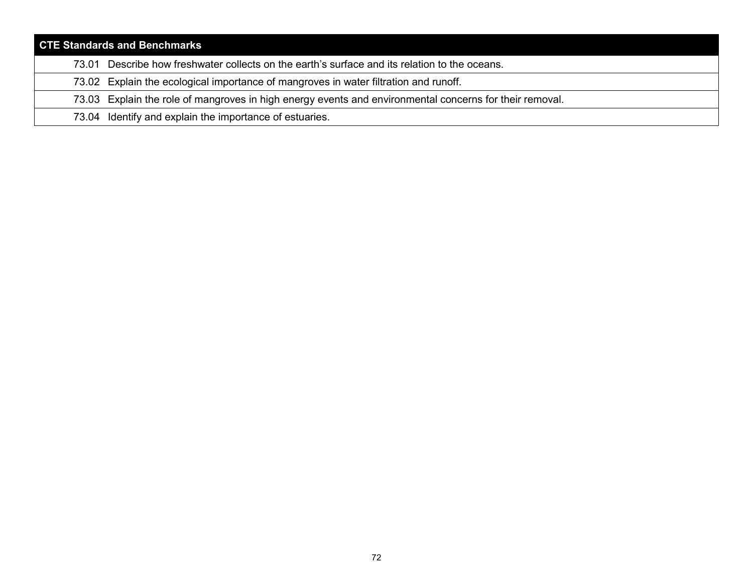| <b>CTE Standards and Benchmarks</b> |                                                                                                         |  |  |  |
|-------------------------------------|---------------------------------------------------------------------------------------------------------|--|--|--|
|                                     | 73.01 Describe how freshwater collects on the earth's surface and its relation to the oceans.           |  |  |  |
|                                     | 73.02 Explain the ecological importance of mangroves in water filtration and runoff.                    |  |  |  |
|                                     | 73.03 Explain the role of mangroves in high energy events and environmental concerns for their removal. |  |  |  |
|                                     | 73.04 Identify and explain the importance of estuaries.                                                 |  |  |  |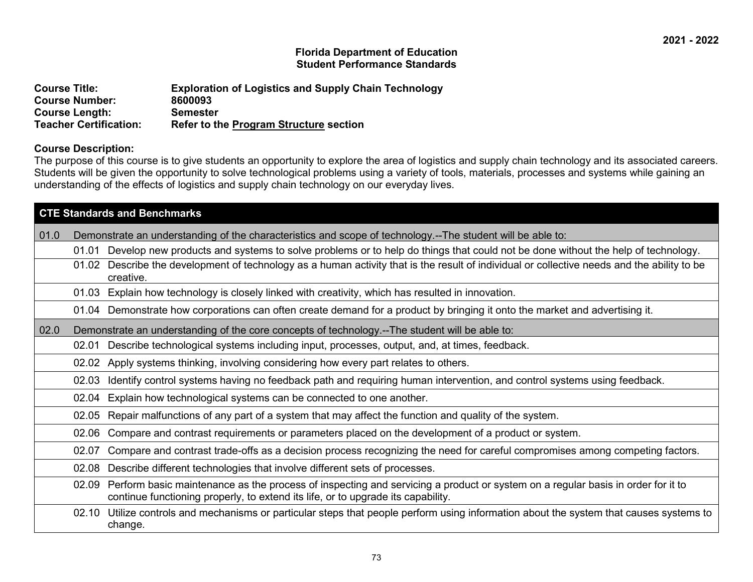## **Florida Department of Education Student Performance Standards**

| <b>Course Title:</b>                           | <b>Exploration of Logistics and Supply Chain Technology</b> |
|------------------------------------------------|-------------------------------------------------------------|
| <b>Course Number:</b><br><b>Course Length:</b> | 8600093<br><b>Semester</b>                                  |
| <b>Teacher Certification:</b>                  | <b>Refer to the Program Structure section</b>               |

## **Course Description:**

The purpose of this course is to give students an opportunity to explore the area of logistics and supply chain technology and its associated careers. Students will be given the opportunity to solve technological problems using a variety of tools, materials, processes and systems while gaining an understanding of the effects of logistics and supply chain technology on our everyday lives.

| <b>CTE Standards and Benchmarks</b> |       |                                                                                                                                                                                                                    |
|-------------------------------------|-------|--------------------------------------------------------------------------------------------------------------------------------------------------------------------------------------------------------------------|
| 01.0                                |       | Demonstrate an understanding of the characteristics and scope of technology.--The student will be able to:                                                                                                         |
|                                     | 01.01 | Develop new products and systems to solve problems or to help do things that could not be done without the help of technology.                                                                                     |
|                                     | 01.02 | Describe the development of technology as a human activity that is the result of individual or collective needs and the ability to be<br>creative.                                                                 |
|                                     | 01.03 | Explain how technology is closely linked with creativity, which has resulted in innovation.                                                                                                                        |
|                                     |       | 01.04 Demonstrate how corporations can often create demand for a product by bringing it onto the market and advertising it.                                                                                        |
| 02.0                                |       | Demonstrate an understanding of the core concepts of technology.--The student will be able to:                                                                                                                     |
|                                     | 02.01 | Describe technological systems including input, processes, output, and, at times, feedback.                                                                                                                        |
|                                     | 02.02 | Apply systems thinking, involving considering how every part relates to others.                                                                                                                                    |
|                                     | 02.03 | Identify control systems having no feedback path and requiring human intervention, and control systems using feedback.                                                                                             |
|                                     | 02.04 | Explain how technological systems can be connected to one another.                                                                                                                                                 |
|                                     | 02.05 | Repair malfunctions of any part of a system that may affect the function and quality of the system.                                                                                                                |
|                                     | 02.06 | Compare and contrast requirements or parameters placed on the development of a product or system.                                                                                                                  |
|                                     | 02.07 | Compare and contrast trade-offs as a decision process recognizing the need for careful compromises among competing factors.                                                                                        |
|                                     | 02.08 | Describe different technologies that involve different sets of processes.                                                                                                                                          |
|                                     | 02.09 | Perform basic maintenance as the process of inspecting and servicing a product or system on a regular basis in order for it to<br>continue functioning properly, to extend its life, or to upgrade its capability. |
|                                     |       | 02.10 Utilize controls and mechanisms or particular steps that people perform using information about the system that causes systems to<br>change.                                                                 |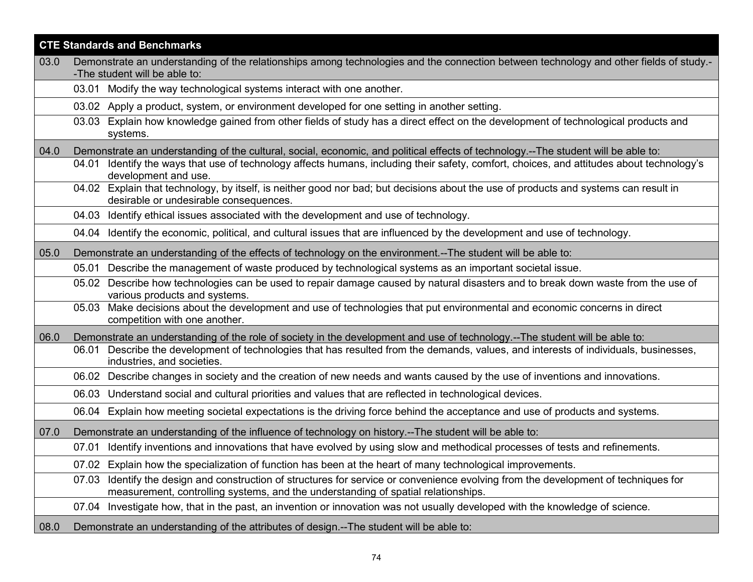|      | <b>CTE Standards and Benchmarks</b>                                                                                                                                                                                         |  |
|------|-----------------------------------------------------------------------------------------------------------------------------------------------------------------------------------------------------------------------------|--|
| 03.0 | Demonstrate an understanding of the relationships among technologies and the connection between technology and other fields of study.-<br>-The student will be able to:                                                     |  |
|      | 03.01 Modify the way technological systems interact with one another.                                                                                                                                                       |  |
|      | 03.02 Apply a product, system, or environment developed for one setting in another setting.                                                                                                                                 |  |
|      | Explain how knowledge gained from other fields of study has a direct effect on the development of technological products and<br>03.03<br>systems.                                                                           |  |
| 04.0 | Demonstrate an understanding of the cultural, social, economic, and political effects of technology.--The student will be able to:                                                                                          |  |
|      | Identify the ways that use of technology affects humans, including their safety, comfort, choices, and attitudes about technology's<br>04.01<br>development and use.                                                        |  |
|      | 04.02 Explain that technology, by itself, is neither good nor bad; but decisions about the use of products and systems can result in<br>desirable or undesirable consequences.                                              |  |
|      | 04.03 Identify ethical issues associated with the development and use of technology.                                                                                                                                        |  |
|      | 04.04 Identify the economic, political, and cultural issues that are influenced by the development and use of technology.                                                                                                   |  |
| 05.0 | Demonstrate an understanding of the effects of technology on the environment.--The student will be able to:                                                                                                                 |  |
|      | 05.01 Describe the management of waste produced by technological systems as an important societal issue.                                                                                                                    |  |
|      | 05.02 Describe how technologies can be used to repair damage caused by natural disasters and to break down waste from the use of<br>various products and systems.                                                           |  |
|      | 05.03 Make decisions about the development and use of technologies that put environmental and economic concerns in direct<br>competition with one another.                                                                  |  |
| 06.0 | Demonstrate an understanding of the role of society in the development and use of technology.--The student will be able to:                                                                                                 |  |
|      | Describe the development of technologies that has resulted from the demands, values, and interests of individuals, businesses,<br>06.01<br>industries, and societies.                                                       |  |
|      | 06.02 Describe changes in society and the creation of new needs and wants caused by the use of inventions and innovations.                                                                                                  |  |
|      | 06.03 Understand social and cultural priorities and values that are reflected in technological devices.                                                                                                                     |  |
|      | Explain how meeting societal expectations is the driving force behind the acceptance and use of products and systems.<br>06.04                                                                                              |  |
| 07.0 | Demonstrate an understanding of the influence of technology on history.--The student will be able to:                                                                                                                       |  |
|      | Identify inventions and innovations that have evolved by using slow and methodical processes of tests and refinements.<br>07.01                                                                                             |  |
|      | 07.02 Explain how the specialization of function has been at the heart of many technological improvements.                                                                                                                  |  |
|      | Identify the design and construction of structures for service or convenience evolving from the development of techniques for<br>07.03<br>measurement, controlling systems, and the understanding of spatial relationships. |  |
|      | 07.04 Investigate how, that in the past, an invention or innovation was not usually developed with the knowledge of science.                                                                                                |  |
| 08.0 | Demonstrate an understanding of the attributes of design.--The student will be able to:                                                                                                                                     |  |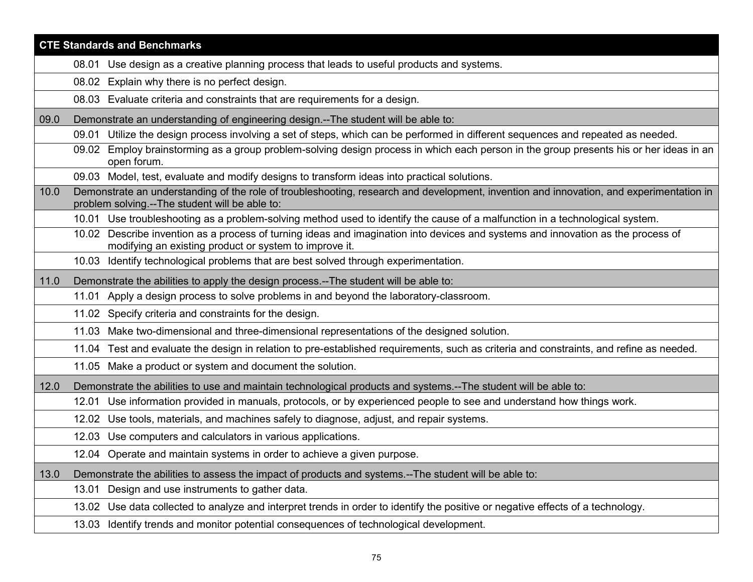|      | <b>CTE Standards and Benchmarks</b>                                                                                                                                                        |
|------|--------------------------------------------------------------------------------------------------------------------------------------------------------------------------------------------|
|      | 08.01 Use design as a creative planning process that leads to useful products and systems.                                                                                                 |
|      | Explain why there is no perfect design.<br>08.02                                                                                                                                           |
|      | 08.03 Evaluate criteria and constraints that are requirements for a design.                                                                                                                |
| 09.0 | Demonstrate an understanding of engineering design.--The student will be able to:                                                                                                          |
|      | Utilize the design process involving a set of steps, which can be performed in different sequences and repeated as needed.<br>09.01                                                        |
|      | 09.02 Employ brainstorming as a group problem-solving design process in which each person in the group presents his or her ideas in an<br>open forum.                                      |
|      | 09.03 Model, test, evaluate and modify designs to transform ideas into practical solutions.                                                                                                |
| 10.0 | Demonstrate an understanding of the role of troubleshooting, research and development, invention and innovation, and experimentation in<br>problem solving.--The student will be able to:  |
|      | 10.01 Use troubleshooting as a problem-solving method used to identify the cause of a malfunction in a technological system.                                                               |
|      | 10.02 Describe invention as a process of turning ideas and imagination into devices and systems and innovation as the process of<br>modifying an existing product or system to improve it. |
|      | 10.03 Identify technological problems that are best solved through experimentation.                                                                                                        |
| 11.0 | Demonstrate the abilities to apply the design process.--The student will be able to:                                                                                                       |
|      | Apply a design process to solve problems in and beyond the laboratory-classroom.<br>11.01                                                                                                  |
|      | 11.02 Specify criteria and constraints for the design.                                                                                                                                     |
|      | 11.03 Make two-dimensional and three-dimensional representations of the designed solution.                                                                                                 |
|      | 11.04 Test and evaluate the design in relation to pre-established requirements, such as criteria and constraints, and refine as needed.                                                    |
|      | 11.05 Make a product or system and document the solution.                                                                                                                                  |
| 12.0 | Demonstrate the abilities to use and maintain technological products and systems.--The student will be able to:                                                                            |
|      | Use information provided in manuals, protocols, or by experienced people to see and understand how things work.<br>12.01                                                                   |
|      | Use tools, materials, and machines safely to diagnose, adjust, and repair systems.<br>12.02                                                                                                |
|      | 12.03 Use computers and calculators in various applications.                                                                                                                               |
|      | 12.04 Operate and maintain systems in order to achieve a given purpose.                                                                                                                    |
| 13.0 | Demonstrate the abilities to assess the impact of products and systems.--The student will be able to:                                                                                      |
|      | Design and use instruments to gather data.<br>13.01                                                                                                                                        |
|      | 13.02 Use data collected to analyze and interpret trends in order to identify the positive or negative effects of a technology.                                                            |
|      | 13.03 Identify trends and monitor potential consequences of technological development.                                                                                                     |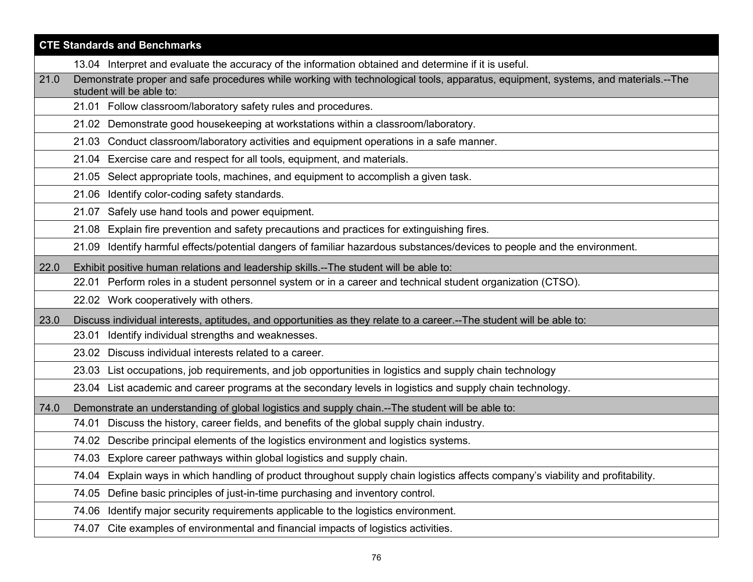|      | <b>CTE Standards and Benchmarks</b>                                                                                                                           |
|------|---------------------------------------------------------------------------------------------------------------------------------------------------------------|
|      | 13.04 Interpret and evaluate the accuracy of the information obtained and determine if it is useful.                                                          |
| 21.0 | Demonstrate proper and safe procedures while working with technological tools, apparatus, equipment, systems, and materials.--The<br>student will be able to: |
|      | 21.01 Follow classroom/laboratory safety rules and procedures.                                                                                                |
|      | 21.02 Demonstrate good housekeeping at workstations within a classroom/laboratory.                                                                            |
|      | 21.03 Conduct classroom/laboratory activities and equipment operations in a safe manner.                                                                      |
|      | 21.04 Exercise care and respect for all tools, equipment, and materials.                                                                                      |
|      | 21.05 Select appropriate tools, machines, and equipment to accomplish a given task.                                                                           |
|      | 21.06 Identify color-coding safety standards.                                                                                                                 |
|      | 21.07 Safely use hand tools and power equipment.                                                                                                              |
|      | Explain fire prevention and safety precautions and practices for extinguishing fires.<br>21.08                                                                |
|      | Identify harmful effects/potential dangers of familiar hazardous substances/devices to people and the environment.<br>21.09                                   |
| 22.0 | Exhibit positive human relations and leadership skills.--The student will be able to:                                                                         |
|      | 22.01 Perform roles in a student personnel system or in a career and technical student organization (CTSO).                                                   |
|      | 22.02 Work cooperatively with others.                                                                                                                         |
| 23.0 | Discuss individual interests, aptitudes, and opportunities as they relate to a career.--The student will be able to:                                          |
|      | 23.01 Identify individual strengths and weaknesses.                                                                                                           |
|      | 23.02 Discuss individual interests related to a career.                                                                                                       |
|      | 23.03 List occupations, job requirements, and job opportunities in logistics and supply chain technology                                                      |
|      | 23.04 List academic and career programs at the secondary levels in logistics and supply chain technology.                                                     |
| 74.0 | Demonstrate an understanding of global logistics and supply chain.--The student will be able to:                                                              |
|      | Discuss the history, career fields, and benefits of the global supply chain industry.<br>74.01                                                                |
|      | 74.02 Describe principal elements of the logistics environment and logistics systems.                                                                         |
|      | 74.03 Explore career pathways within global logistics and supply chain.                                                                                       |
|      | Explain ways in which handling of product throughout supply chain logistics affects company's viability and profitability.<br>74.04                           |
|      | Define basic principles of just-in-time purchasing and inventory control.<br>74.05                                                                            |
|      | Identify major security requirements applicable to the logistics environment.<br>74.06                                                                        |
|      | 74.07 Cite examples of environmental and financial impacts of logistics activities.                                                                           |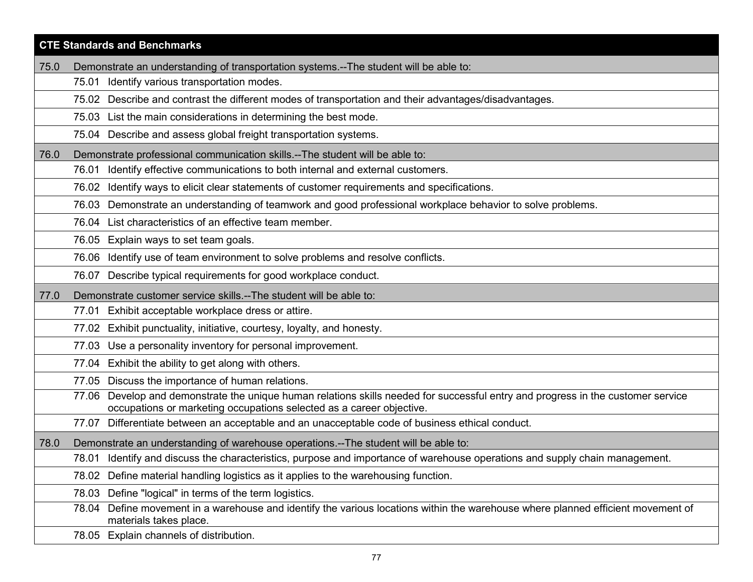|      | <b>CTE Standards and Benchmarks</b>                                                                                                                                                                         |
|------|-------------------------------------------------------------------------------------------------------------------------------------------------------------------------------------------------------------|
| 75.0 | Demonstrate an understanding of transportation systems.--The student will be able to:                                                                                                                       |
|      | 75.01 Identify various transportation modes.                                                                                                                                                                |
|      | 75.02 Describe and contrast the different modes of transportation and their advantages/disadvantages.                                                                                                       |
|      | 75.03 List the main considerations in determining the best mode.                                                                                                                                            |
|      | 75.04 Describe and assess global freight transportation systems.                                                                                                                                            |
| 76.0 | Demonstrate professional communication skills.--The student will be able to:                                                                                                                                |
|      | Identify effective communications to both internal and external customers.<br>76.01                                                                                                                         |
|      | Identify ways to elicit clear statements of customer requirements and specifications.<br>76.02                                                                                                              |
|      | Demonstrate an understanding of teamwork and good professional workplace behavior to solve problems.<br>76.03                                                                                               |
|      | List characteristics of an effective team member.<br>76.04                                                                                                                                                  |
|      | 76.05 Explain ways to set team goals.                                                                                                                                                                       |
|      | Identify use of team environment to solve problems and resolve conflicts.<br>76.06                                                                                                                          |
|      | 76.07 Describe typical requirements for good workplace conduct.                                                                                                                                             |
| 77.0 | Demonstrate customer service skills.--The student will be able to:                                                                                                                                          |
|      | 77.01 Exhibit acceptable workplace dress or attire.                                                                                                                                                         |
|      | 77.02 Exhibit punctuality, initiative, courtesy, loyalty, and honesty.                                                                                                                                      |
|      | 77.03 Use a personality inventory for personal improvement.                                                                                                                                                 |
|      | 77.04 Exhibit the ability to get along with others.                                                                                                                                                         |
|      | 77.05 Discuss the importance of human relations.                                                                                                                                                            |
|      | Develop and demonstrate the unique human relations skills needed for successful entry and progress in the customer service<br>77.06<br>occupations or marketing occupations selected as a career objective. |
|      | Differentiate between an acceptable and an unacceptable code of business ethical conduct.<br>77.07                                                                                                          |
| 78.0 | Demonstrate an understanding of warehouse operations.--The student will be able to:                                                                                                                         |
|      | 78.01 Identify and discuss the characteristics, purpose and importance of warehouse operations and supply chain management.                                                                                 |
|      | Define material handling logistics as it applies to the warehousing function.<br>78.02                                                                                                                      |
|      | Define "logical" in terms of the term logistics.<br>78.03                                                                                                                                                   |
|      | Define movement in a warehouse and identify the various locations within the warehouse where planned efficient movement of<br>78.04<br>materials takes place.                                               |
|      | 78.05 Explain channels of distribution.                                                                                                                                                                     |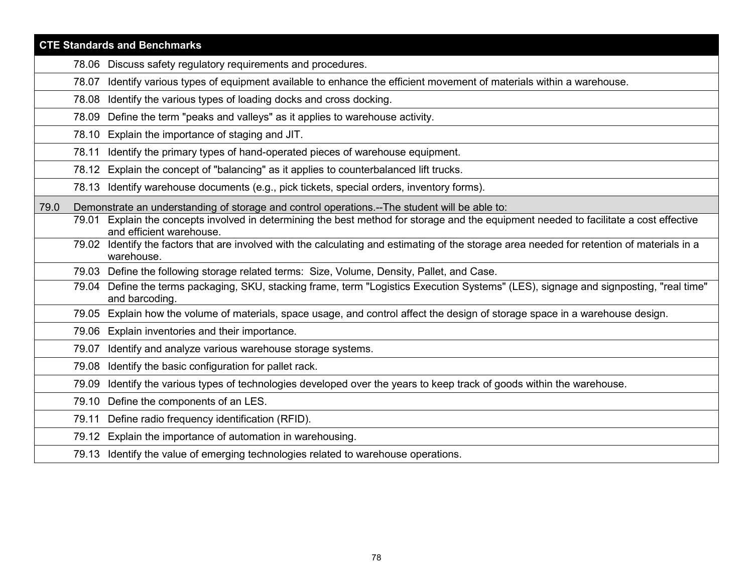| <b>CTE Standards and Benchmarks</b> |       |                                                                                                                                                              |
|-------------------------------------|-------|--------------------------------------------------------------------------------------------------------------------------------------------------------------|
|                                     |       | 78.06 Discuss safety regulatory requirements and procedures.                                                                                                 |
|                                     | 78.07 | Identify various types of equipment available to enhance the efficient movement of materials within a warehouse.                                             |
|                                     | 78.08 | Identify the various types of loading docks and cross docking.                                                                                               |
|                                     | 78.09 | Define the term "peaks and valleys" as it applies to warehouse activity.                                                                                     |
|                                     | 78.10 | Explain the importance of staging and JIT.                                                                                                                   |
|                                     | 78.11 | Identify the primary types of hand-operated pieces of warehouse equipment.                                                                                   |
|                                     |       | 78.12 Explain the concept of "balancing" as it applies to counterbalanced lift trucks.                                                                       |
|                                     |       | 78.13 Identify warehouse documents (e.g., pick tickets, special orders, inventory forms).                                                                    |
| 79.0                                |       | Demonstrate an understanding of storage and control operations.--The student will be able to:                                                                |
|                                     | 79.01 | Explain the concepts involved in determining the best method for storage and the equipment needed to facilitate a cost effective<br>and efficient warehouse. |
|                                     |       | 79.02 Identify the factors that are involved with the calculating and estimating of the storage area needed for retention of materials in a<br>warehouse.    |
|                                     |       | 79.03 Define the following storage related terms: Size, Volume, Density, Pallet, and Case.                                                                   |
|                                     |       | 79.04 Define the terms packaging, SKU, stacking frame, term "Logistics Execution Systems" (LES), signage and signposting, "real time"<br>and barcoding       |
|                                     |       | 79.05 Explain how the volume of materials, space usage, and control affect the design of storage space in a warehouse design.                                |
|                                     |       | 79.06 Explain inventories and their importance.                                                                                                              |
|                                     | 79.07 | Identify and analyze various warehouse storage systems.                                                                                                      |
|                                     | 79.08 | Identify the basic configuration for pallet rack.                                                                                                            |
|                                     | 79.09 | Identify the various types of technologies developed over the years to keep track of goods within the warehouse.                                             |
|                                     | 79.10 | Define the components of an LES.                                                                                                                             |
|                                     | 79.11 | Define radio frequency identification (RFID).                                                                                                                |
|                                     | 79.12 | Explain the importance of automation in warehousing.                                                                                                         |
|                                     |       | 79.13 Identify the value of emerging technologies related to warehouse operations.                                                                           |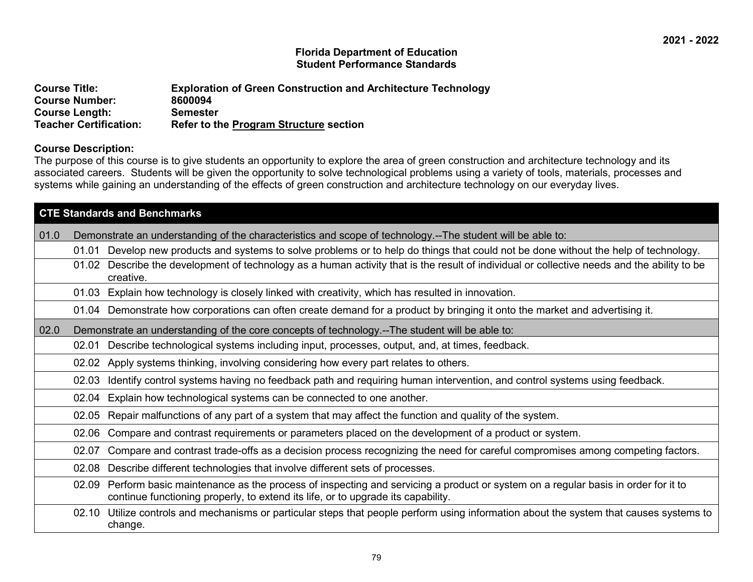## **Florida Department of Education Student Performance Standards**

| <b>Course Title:</b>          | <b>Exploration of Green Construction and Architecture Technology</b> |
|-------------------------------|----------------------------------------------------------------------|
| <b>Course Number:</b>         | 8600094                                                              |
| <b>Course Length:</b>         | Semester                                                             |
| <b>Teacher Certification:</b> | Refer to the Program Structure section                               |

## **Course Description:**

The purpose of this course is to give students an opportunity to explore the area of green construction and architecture technology and its associated careers. Students will be given the opportunity to solve technological problems using a variety of tools, materials, processes and systems while gaining an understanding of the effects of green construction and architecture technology on our everyday lives.

|      | <b>CTE Standards and Benchmarks</b>                                                                        |                                                                                                                                                                                                                    |  |
|------|------------------------------------------------------------------------------------------------------------|--------------------------------------------------------------------------------------------------------------------------------------------------------------------------------------------------------------------|--|
| 01.0 | Demonstrate an understanding of the characteristics and scope of technology.--The student will be able to: |                                                                                                                                                                                                                    |  |
|      | 01.01                                                                                                      | Develop new products and systems to solve problems or to help do things that could not be done without the help of technology.                                                                                     |  |
|      | 01.02                                                                                                      | Describe the development of technology as a human activity that is the result of individual or collective needs and the ability to be<br>creative.                                                                 |  |
|      | 01.03                                                                                                      | Explain how technology is closely linked with creativity, which has resulted in innovation.                                                                                                                        |  |
|      |                                                                                                            | 01.04 Demonstrate how corporations can often create demand for a product by bringing it onto the market and advertising it.                                                                                        |  |
| 02.0 |                                                                                                            | Demonstrate an understanding of the core concepts of technology.--The student will be able to:                                                                                                                     |  |
|      | 02.01                                                                                                      | Describe technological systems including input, processes, output, and, at times, feedback.                                                                                                                        |  |
|      | 02.02                                                                                                      | Apply systems thinking, involving considering how every part relates to others.                                                                                                                                    |  |
|      | 02.03                                                                                                      | Identify control systems having no feedback path and requiring human intervention, and control systems using feedback.                                                                                             |  |
|      | 02.04                                                                                                      | Explain how technological systems can be connected to one another.                                                                                                                                                 |  |
|      | 02.05                                                                                                      | Repair malfunctions of any part of a system that may affect the function and quality of the system.                                                                                                                |  |
|      | 02.06                                                                                                      | Compare and contrast requirements or parameters placed on the development of a product or system.                                                                                                                  |  |
|      | 02.07                                                                                                      | Compare and contrast trade-offs as a decision process recognizing the need for careful compromises among competing factors.                                                                                        |  |
|      | 02.08                                                                                                      | Describe different technologies that involve different sets of processes.                                                                                                                                          |  |
|      | 02.09                                                                                                      | Perform basic maintenance as the process of inspecting and servicing a product or system on a regular basis in order for it to<br>continue functioning properly, to extend its life, or to upgrade its capability. |  |
|      | 02.10                                                                                                      | Utilize controls and mechanisms or particular steps that people perform using information about the system that causes systems to<br>change.                                                                       |  |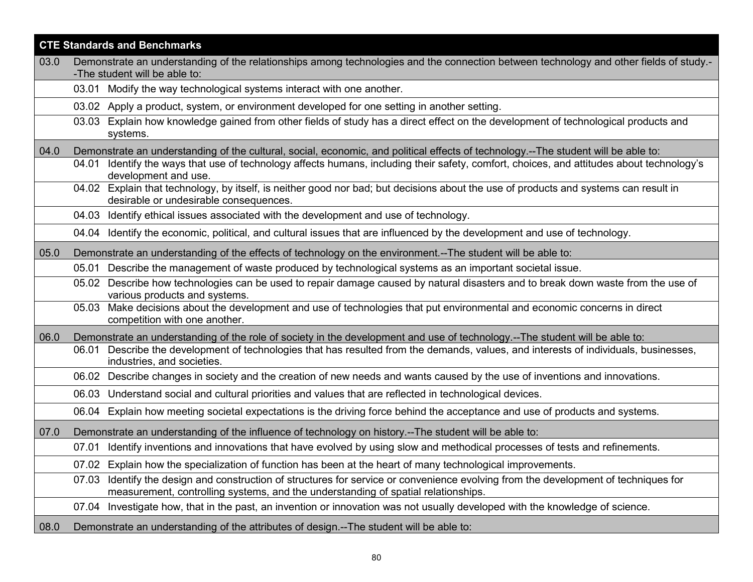|      | <b>CTE Standards and Benchmarks</b>                                                                                                                                                                                         |  |
|------|-----------------------------------------------------------------------------------------------------------------------------------------------------------------------------------------------------------------------------|--|
| 03.0 | Demonstrate an understanding of the relationships among technologies and the connection between technology and other fields of study.-                                                                                      |  |
|      | -The student will be able to:                                                                                                                                                                                               |  |
|      | 03.01 Modify the way technological systems interact with one another.                                                                                                                                                       |  |
|      | 03.02 Apply a product, system, or environment developed for one setting in another setting.                                                                                                                                 |  |
|      | Explain how knowledge gained from other fields of study has a direct effect on the development of technological products and<br>03.03<br>systems.                                                                           |  |
| 04.0 | Demonstrate an understanding of the cultural, social, economic, and political effects of technology.--The student will be able to:                                                                                          |  |
|      | Identify the ways that use of technology affects humans, including their safety, comfort, choices, and attitudes about technology's<br>04.01<br>development and use.                                                        |  |
|      | 04.02 Explain that technology, by itself, is neither good nor bad; but decisions about the use of products and systems can result in<br>desirable or undesirable consequences.                                              |  |
|      | 04.03 Identify ethical issues associated with the development and use of technology.                                                                                                                                        |  |
|      | 04.04 Identify the economic, political, and cultural issues that are influenced by the development and use of technology.                                                                                                   |  |
| 05.0 | Demonstrate an understanding of the effects of technology on the environment.--The student will be able to:                                                                                                                 |  |
|      | 05.01 Describe the management of waste produced by technological systems as an important societal issue.                                                                                                                    |  |
|      | 05.02 Describe how technologies can be used to repair damage caused by natural disasters and to break down waste from the use of<br>various products and systems.                                                           |  |
|      | 05.03 Make decisions about the development and use of technologies that put environmental and economic concerns in direct<br>competition with one another.                                                                  |  |
| 06.0 | Demonstrate an understanding of the role of society in the development and use of technology.--The student will be able to:                                                                                                 |  |
|      | Describe the development of technologies that has resulted from the demands, values, and interests of individuals, businesses,<br>06.01<br>industries, and societies.                                                       |  |
|      | Describe changes in society and the creation of new needs and wants caused by the use of inventions and innovations.<br>06.02                                                                                               |  |
|      | 06.03 Understand social and cultural priorities and values that are reflected in technological devices.                                                                                                                     |  |
|      | Explain how meeting societal expectations is the driving force behind the acceptance and use of products and systems.<br>06.04                                                                                              |  |
| 07.0 | Demonstrate an understanding of the influence of technology on history.--The student will be able to:                                                                                                                       |  |
|      | Identify inventions and innovations that have evolved by using slow and methodical processes of tests and refinements.<br>07.01                                                                                             |  |
|      | 07.02 Explain how the specialization of function has been at the heart of many technological improvements.                                                                                                                  |  |
|      | Identify the design and construction of structures for service or convenience evolving from the development of techniques for<br>07.03<br>measurement, controlling systems, and the understanding of spatial relationships. |  |
|      | Investigate how, that in the past, an invention or innovation was not usually developed with the knowledge of science.<br>07.04                                                                                             |  |
| 08.0 | Demonstrate an understanding of the attributes of design.--The student will be able to:                                                                                                                                     |  |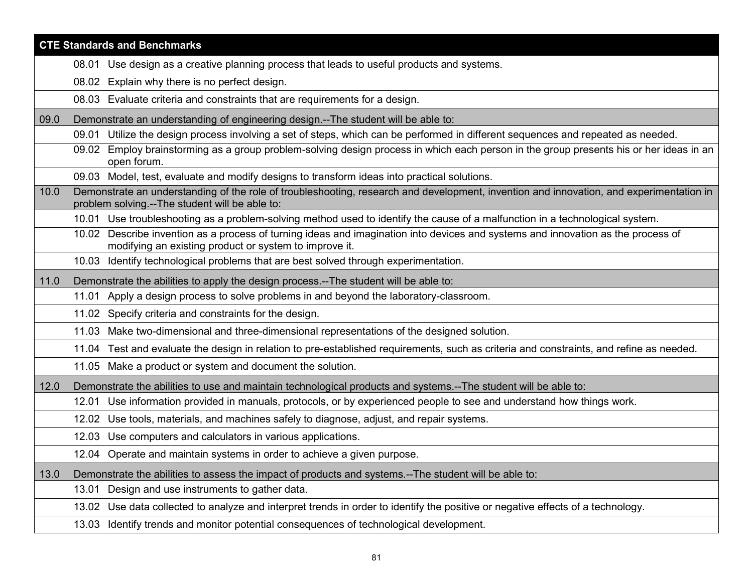|      | <b>CTE Standards and Benchmarks</b>                                                                                                                                                        |  |  |
|------|--------------------------------------------------------------------------------------------------------------------------------------------------------------------------------------------|--|--|
|      | 08.01 Use design as a creative planning process that leads to useful products and systems.                                                                                                 |  |  |
|      | 08.02 Explain why there is no perfect design.                                                                                                                                              |  |  |
|      | 08.03 Evaluate criteria and constraints that are requirements for a design.                                                                                                                |  |  |
| 09.0 | Demonstrate an understanding of engineering design.--The student will be able to:                                                                                                          |  |  |
|      | Utilize the design process involving a set of steps, which can be performed in different sequences and repeated as needed.<br>09.01                                                        |  |  |
|      | 09.02 Employ brainstorming as a group problem-solving design process in which each person in the group presents his or her ideas in an<br>open forum.                                      |  |  |
|      | 09.03 Model, test, evaluate and modify designs to transform ideas into practical solutions.                                                                                                |  |  |
| 10.0 | Demonstrate an understanding of the role of troubleshooting, research and development, invention and innovation, and experimentation in<br>problem solving.--The student will be able to:  |  |  |
|      | 10.01 Use troubleshooting as a problem-solving method used to identify the cause of a malfunction in a technological system.                                                               |  |  |
|      | 10.02 Describe invention as a process of turning ideas and imagination into devices and systems and innovation as the process of<br>modifying an existing product or system to improve it. |  |  |
|      | 10.03 Identify technological problems that are best solved through experimentation.                                                                                                        |  |  |
| 11.0 | Demonstrate the abilities to apply the design process.--The student will be able to:                                                                                                       |  |  |
|      | 11.01 Apply a design process to solve problems in and beyond the laboratory-classroom.                                                                                                     |  |  |
|      | 11.02 Specify criteria and constraints for the design.                                                                                                                                     |  |  |
|      | 11.03 Make two-dimensional and three-dimensional representations of the designed solution.                                                                                                 |  |  |
|      | 11.04 Test and evaluate the design in relation to pre-established requirements, such as criteria and constraints, and refine as needed.                                                    |  |  |
|      | 11.05 Make a product or system and document the solution.                                                                                                                                  |  |  |
| 12.0 | Demonstrate the abilities to use and maintain technological products and systems.--The student will be able to:                                                                            |  |  |
|      | Use information provided in manuals, protocols, or by experienced people to see and understand how things work.<br>12.01                                                                   |  |  |
|      | Use tools, materials, and machines safely to diagnose, adjust, and repair systems.<br>12.02                                                                                                |  |  |
|      | 12.03 Use computers and calculators in various applications.                                                                                                                               |  |  |
|      | 12.04 Operate and maintain systems in order to achieve a given purpose.                                                                                                                    |  |  |
| 13.0 | Demonstrate the abilities to assess the impact of products and systems.--The student will be able to:                                                                                      |  |  |
|      | Design and use instruments to gather data.<br>13.01                                                                                                                                        |  |  |
|      | 13.02 Use data collected to analyze and interpret trends in order to identify the positive or negative effects of a technology.                                                            |  |  |
|      | 13.03 Identify trends and monitor potential consequences of technological development.                                                                                                     |  |  |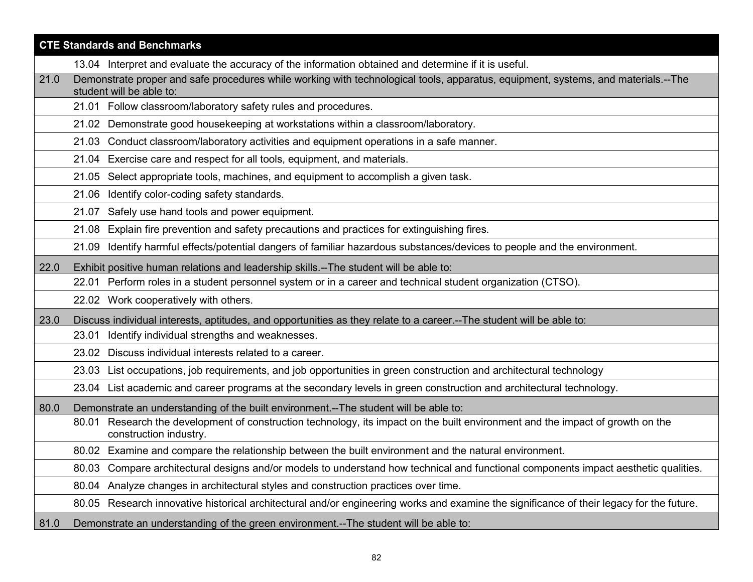|      | <b>CTE Standards and Benchmarks</b>                                                                                                                           |
|------|---------------------------------------------------------------------------------------------------------------------------------------------------------------|
|      | 13.04 Interpret and evaluate the accuracy of the information obtained and determine if it is useful.                                                          |
| 21.0 | Demonstrate proper and safe procedures while working with technological tools, apparatus, equipment, systems, and materials.--The<br>student will be able to: |
|      | 21.01 Follow classroom/laboratory safety rules and procedures.                                                                                                |
|      | 21.02 Demonstrate good housekeeping at workstations within a classroom/laboratory.                                                                            |
|      | 21.03 Conduct classroom/laboratory activities and equipment operations in a safe manner.                                                                      |
|      | 21.04 Exercise care and respect for all tools, equipment, and materials.                                                                                      |
|      | 21.05 Select appropriate tools, machines, and equipment to accomplish a given task.                                                                           |
|      | 21.06 Identify color-coding safety standards.                                                                                                                 |
|      | 21.07 Safely use hand tools and power equipment.                                                                                                              |
|      | Explain fire prevention and safety precautions and practices for extinguishing fires.<br>21.08                                                                |
|      | Identify harmful effects/potential dangers of familiar hazardous substances/devices to people and the environment.<br>21.09                                   |
| 22.0 | Exhibit positive human relations and leadership skills.--The student will be able to:                                                                         |
|      | 22.01 Perform roles in a student personnel system or in a career and technical student organization (CTSO).                                                   |
|      | 22.02 Work cooperatively with others.                                                                                                                         |
| 23.0 | Discuss individual interests, aptitudes, and opportunities as they relate to a career.--The student will be able to:                                          |
|      | 23.01 Identify individual strengths and weaknesses.                                                                                                           |
|      | 23.02 Discuss individual interests related to a career.                                                                                                       |
|      | 23.03 List occupations, job requirements, and job opportunities in green construction and architectural technology                                            |
|      | 23.04 List academic and career programs at the secondary levels in green construction and architectural technology.                                           |
| 80.0 | Demonstrate an understanding of the built environment.--The student will be able to:                                                                          |
|      | 80.01 Research the development of construction technology, its impact on the built environment and the impact of growth on the<br>construction industry.      |
|      | 80.02 Examine and compare the relationship between the built environment and the natural environment.                                                         |
|      | 80.03 Compare architectural designs and/or models to understand how technical and functional components impact aesthetic qualities.                           |
|      | Analyze changes in architectural styles and construction practices over time.<br>80.04                                                                        |
|      | 80.05 Research innovative historical architectural and/or engineering works and examine the significance of their legacy for the future.                      |
| 81.0 | Demonstrate an understanding of the green environment.--The student will be able to:                                                                          |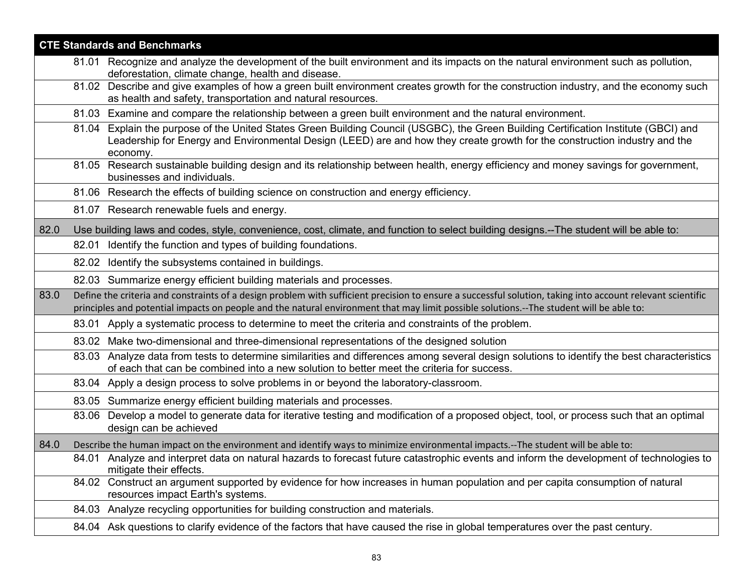| <b>CTE Standards and Benchmarks</b> |  |                                                                                                                                                                                                                                                                                                       |  |
|-------------------------------------|--|-------------------------------------------------------------------------------------------------------------------------------------------------------------------------------------------------------------------------------------------------------------------------------------------------------|--|
|                                     |  | 81.01 Recognize and analyze the development of the built environment and its impacts on the natural environment such as pollution,<br>deforestation, climate change, health and disease.                                                                                                              |  |
|                                     |  | 81.02 Describe and give examples of how a green built environment creates growth for the construction industry, and the economy such<br>as health and safety, transportation and natural resources.                                                                                                   |  |
|                                     |  | 81.03 Examine and compare the relationship between a green built environment and the natural environment.                                                                                                                                                                                             |  |
|                                     |  | 81.04 Explain the purpose of the United States Green Building Council (USGBC), the Green Building Certification Institute (GBCI) and<br>Leadership for Energy and Environmental Design (LEED) are and how they create growth for the construction industry and the<br>economy.                        |  |
|                                     |  | 81.05 Research sustainable building design and its relationship between health, energy efficiency and money savings for government,<br>businesses and individuals.                                                                                                                                    |  |
|                                     |  | 81.06 Research the effects of building science on construction and energy efficiency.                                                                                                                                                                                                                 |  |
|                                     |  | 81.07 Research renewable fuels and energy.                                                                                                                                                                                                                                                            |  |
| 82.0                                |  | Use building laws and codes, style, convenience, cost, climate, and function to select building designs.--The student will be able to:                                                                                                                                                                |  |
|                                     |  | 82.01 Identify the function and types of building foundations.                                                                                                                                                                                                                                        |  |
|                                     |  | 82.02 Identify the subsystems contained in buildings.                                                                                                                                                                                                                                                 |  |
|                                     |  | 82.03 Summarize energy efficient building materials and processes.                                                                                                                                                                                                                                    |  |
| 83.0                                |  | Define the criteria and constraints of a design problem with sufficient precision to ensure a successful solution, taking into account relevant scientific<br>principles and potential impacts on people and the natural environment that may limit possible solutions.--The student will be able to: |  |
|                                     |  | 83.01 Apply a systematic process to determine to meet the criteria and constraints of the problem.                                                                                                                                                                                                    |  |
|                                     |  | 83.02 Make two-dimensional and three-dimensional representations of the designed solution                                                                                                                                                                                                             |  |
|                                     |  | 83.03 Analyze data from tests to determine similarities and differences among several design solutions to identify the best characteristics<br>of each that can be combined into a new solution to better meet the criteria for success.                                                              |  |
|                                     |  | 83.04 Apply a design process to solve problems in or beyond the laboratory-classroom.                                                                                                                                                                                                                 |  |
|                                     |  | 83.05 Summarize energy efficient building materials and processes.                                                                                                                                                                                                                                    |  |
|                                     |  | 83.06 Develop a model to generate data for iterative testing and modification of a proposed object, tool, or process such that an optimal<br>design can be achieved                                                                                                                                   |  |
| 84.0                                |  | Describe the human impact on the environment and identify ways to minimize environmental impacts.--The student will be able to:                                                                                                                                                                       |  |
|                                     |  | 84.01 Analyze and interpret data on natural hazards to forecast future catastrophic events and inform the development of technologies to<br>mitigate their effects.                                                                                                                                   |  |
|                                     |  | 84.02 Construct an argument supported by evidence for how increases in human population and per capita consumption of natural<br>resources impact Earth's systems.                                                                                                                                    |  |
|                                     |  | 84.03 Analyze recycling opportunities for building construction and materials.                                                                                                                                                                                                                        |  |
|                                     |  | 84.04 Ask questions to clarify evidence of the factors that have caused the rise in global temperatures over the past century.                                                                                                                                                                        |  |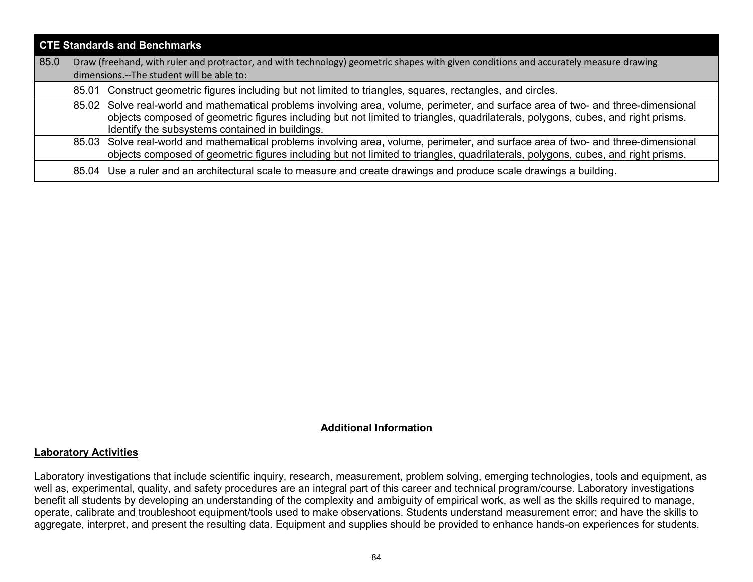| <b>CTE Standards and Benchmarks</b> |                                                                                                                                                                                    |                                                                                                                                                                                                                                                                                                                           |  |
|-------------------------------------|------------------------------------------------------------------------------------------------------------------------------------------------------------------------------------|---------------------------------------------------------------------------------------------------------------------------------------------------------------------------------------------------------------------------------------------------------------------------------------------------------------------------|--|
| 85.0                                | Draw (freehand, with ruler and protractor, and with technology) geometric shapes with given conditions and accurately measure drawing<br>dimensions.--The student will be able to: |                                                                                                                                                                                                                                                                                                                           |  |
|                                     |                                                                                                                                                                                    | 85.01 Construct geometric figures including but not limited to triangles, squares, rectangles, and circles.                                                                                                                                                                                                               |  |
|                                     |                                                                                                                                                                                    | 85.02 Solve real-world and mathematical problems involving area, volume, perimeter, and surface area of two- and three-dimensional<br>objects composed of geometric figures including but not limited to triangles, quadrilaterals, polygons, cubes, and right prisms.<br>Identify the subsystems contained in buildings. |  |
|                                     |                                                                                                                                                                                    | 85.03 Solve real-world and mathematical problems involving area, volume, perimeter, and surface area of two- and three-dimensional<br>objects composed of geometric figures including but not limited to triangles, quadrilaterals, polygons, cubes, and right prisms.                                                    |  |
|                                     |                                                                                                                                                                                    | 85.04 Use a ruler and an architectural scale to measure and create drawings and produce scale drawings a building.                                                                                                                                                                                                        |  |

## **Additional Information**

#### **Laboratory Activities**

Laboratory investigations that include scientific inquiry, research, measurement, problem solving, emerging technologies, tools and equipment, as well as, experimental, quality, and safety procedures are an integral part of this career and technical program/course. Laboratory investigations benefit all students by developing an understanding of the complexity and ambiguity of empirical work, as well as the skills required to manage, operate, calibrate and troubleshoot equipment/tools used to make observations. Students understand measurement error; and have the skills to aggregate, interpret, and present the resulting data. Equipment and supplies should be provided to enhance hands-on experiences for students.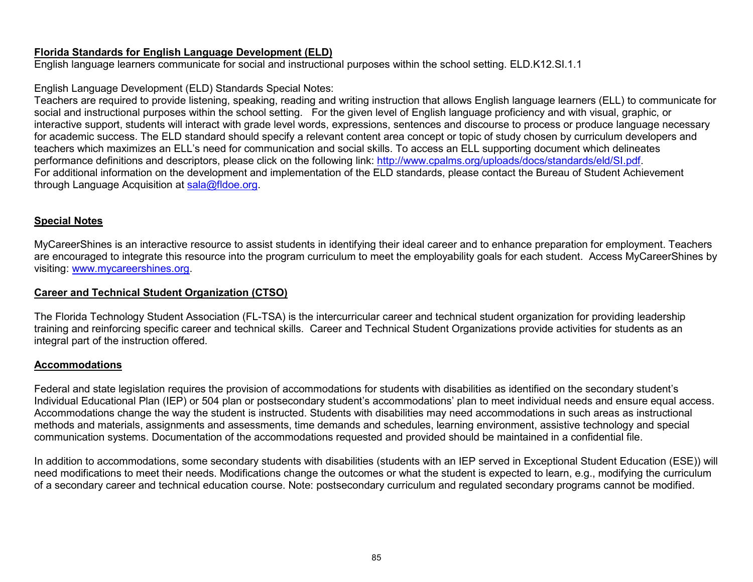## **Florida Standards for English Language Development (ELD)**

English language learners communicate for social and instructional purposes within the school setting. ELD.K12.SI.1.1

# English Language Development (ELD) Standards Special Notes:

Teachers are required to provide listening, speaking, reading and writing instruction that allows English language learners (ELL) to communicate for social and instructional purposes within the school setting. For the given level of English language proficiency and with visual, graphic, or interactive support, students will interact with grade level words, expressions, sentences and discourse to process or produce language necessary for academic success. The ELD standard should specify a relevant content area concept or topic of study chosen by curriculum developers and teachers which maximizes an ELL's need for communication and social skills. To access an ELL supporting document which delineates performance definitions and descriptors, please click on the following link: [http://www.cpalms.org/uploads/docs/standards/eld/SI.pdf.](http://www.cpalms.org/uploads/docs/standards/eld/SI.pdf) For additional information on the development and implementation of the ELD standards, please contact the Bureau of Student Achievement through Language Acquisition at [sala@fldoe.org.](mailto:sala@fldoe.org)

# **Special Notes**

MyCareerShines is an interactive resource to assist students in identifying their ideal career and to enhance preparation for employment. Teachers are encouraged to integrate this resource into the program curriculum to meet the employability goals for each student. Access MyCareerShines by visiting: [www.mycareershines.org.](http://www.mycareershines.org/)

# **Career and Technical Student Organization (CTSO)**

The Florida Technology Student Association (FL-TSA) is the intercurricular career and technical student organization for providing leadership training and reinforcing specific career and technical skills. Career and Technical Student Organizations provide activities for students as an integral part of the instruction offered.

# **Accommodations**

Federal and state legislation requires the provision of accommodations for students with disabilities as identified on the secondary student's Individual Educational Plan (IEP) or 504 plan or postsecondary student's accommodations' plan to meet individual needs and ensure equal access. Accommodations change the way the student is instructed. Students with disabilities may need accommodations in such areas as instructional methods and materials, assignments and assessments, time demands and schedules, learning environment, assistive technology and special communication systems. Documentation of the accommodations requested and provided should be maintained in a confidential file.

In addition to accommodations, some secondary students with disabilities (students with an IEP served in Exceptional Student Education (ESE)) will need modifications to meet their needs. Modifications change the outcomes or what the student is expected to learn, e.g., modifying the curriculum of a secondary career and technical education course. Note: postsecondary curriculum and regulated secondary programs cannot be modified.